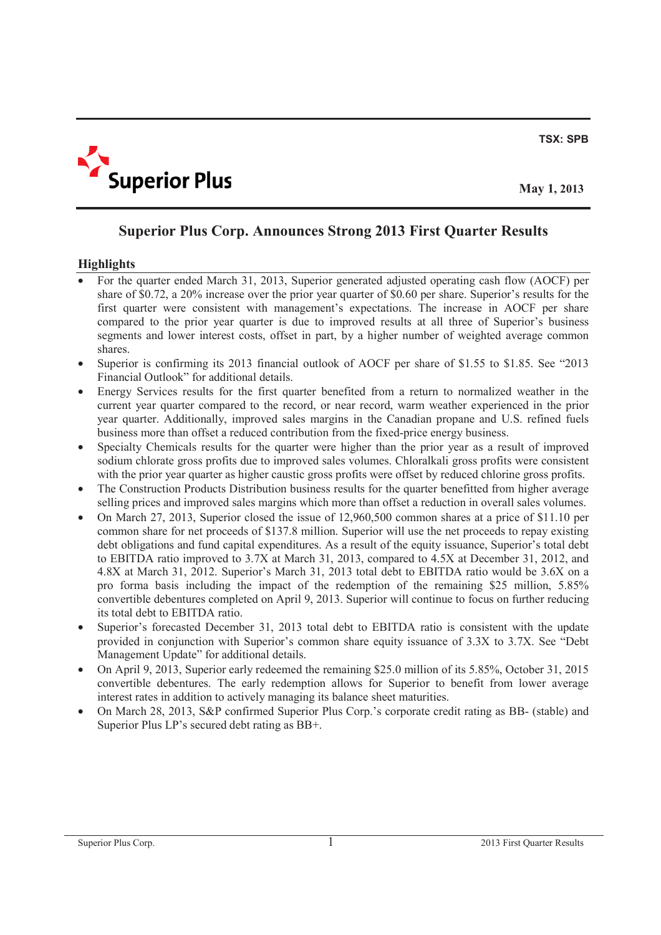

# **Superior Plus Corp. Announces Strong 2013 First Quarter Results**

## **Highlights**

- For the quarter ended March 31, 2013, Superior generated adjusted operating cash flow (AOCF) per share of \$0.72, a 20% increase over the prior year quarter of \$0.60 per share. Superior's results for the first quarter were consistent with management's expectations. The increase in AOCF per share compared to the prior year quarter is due to improved results at all three of Superior's business segments and lower interest costs, offset in part, by a higher number of weighted average common shares.
- Superior is confirming its 2013 financial outlook of AOCF per share of \$1.55 to \$1.85. See "2013 Financial Outlook" for additional details.
- Energy Services results for the first quarter benefited from a return to normalized weather in the current year quarter compared to the record, or near record, warm weather experienced in the prior year quarter. Additionally, improved sales margins in the Canadian propane and U.S. refined fuels business more than offset a reduced contribution from the fixed-price energy business.
- Specialty Chemicals results for the quarter were higher than the prior year as a result of improved sodium chlorate gross profits due to improved sales volumes. Chloralkali gross profits were consistent with the prior year quarter as higher caustic gross profits were offset by reduced chlorine gross profits.
- The Construction Products Distribution business results for the quarter benefitted from higher average selling prices and improved sales margins which more than offset a reduction in overall sales volumes.
- On March 27, 2013, Superior closed the issue of 12,960,500 common shares at a price of \$11.10 per common share for net proceeds of \$137.8 million. Superior will use the net proceeds to repay existing debt obligations and fund capital expenditures. As a result of the equity issuance, Superior's total debt to EBITDA ratio improved to 3.7X at March 31, 2013, compared to 4.5X at December 31, 2012, and 4.8X at March 31, 2012. Superior's March 31, 2013 total debt to EBITDA ratio would be 3.6X on a pro forma basis including the impact of the redemption of the remaining \$25 million, 5.85% convertible debentures completed on April 9, 2013. Superior will continue to focus on further reducing its total debt to EBITDA ratio.
- Superior's forecasted December 31, 2013 total debt to EBITDA ratio is consistent with the update provided in conjunction with Superior's common share equity issuance of 3.3X to 3.7X. See "Debt Management Update" for additional details.
- On April 9, 2013, Superior early redeemed the remaining \$25.0 million of its 5.85%, October 31, 2015 convertible debentures. The early redemption allows for Superior to benefit from lower average interest rates in addition to actively managing its balance sheet maturities.
- On March 28, 2013, S&P confirmed Superior Plus Corp.'s corporate credit rating as BB- (stable) and Superior Plus LP's secured debt rating as BB+.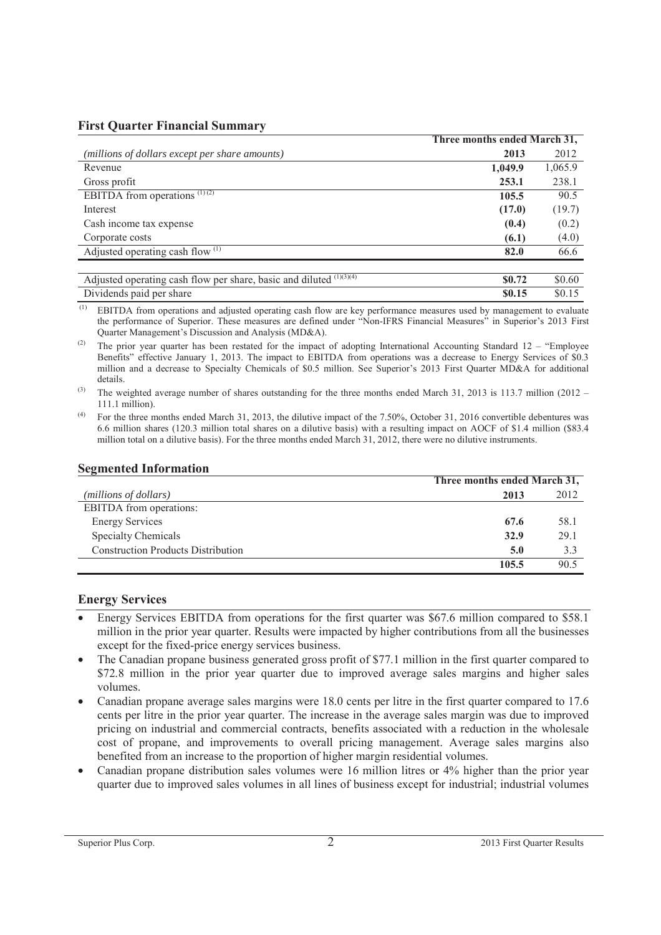## **First Quarter Financial Summary**

|                                                | Three months ended March 31, |         |
|------------------------------------------------|------------------------------|---------|
| (millions of dollars except per share amounts) | 2013                         | 2012    |
| Revenue                                        | 1,049.9                      | 1,065.9 |
| Gross profit                                   | 253.1                        | 238.1   |
| EBITDA from operations $(1)(2)$                | 105.5                        | 90.5    |
| Interest                                       | (17.0)                       | (19.7)  |
| Cash income tax expense                        | (0.4)                        | (0.2)   |
| Corporate costs                                | (6.1)                        | (4.0)   |
| Adjusted operating cash flow <sup>(1)</sup>    | 82.0                         | 66.6    |
|                                                |                              |         |

| Adjusted operating cash flow per share, basic and diluted $(1)(3)(4)$ | \$0.72 | \$0.60 |
|-----------------------------------------------------------------------|--------|--------|
| Dividends paid per share                                              | \$0.15 | \$0.1. |

 $\overline{p(1)}$  EBITDA from operations and adjusted operating cash flow are key performance measures used by management to evaluate the performance of Superior. These measures are defined under "Non-IFRS Financial Measures" in Superior's 2013 First Quarter Management's Discussion and Analysis (MD&A).

The prior year quarter has been restated for the impact of adopting International Accounting Standard  $12 -$  "Employee Benefits" effective January 1, 2013. The impact to EBITDA from operations was a decrease to Energy Services of \$0.3 million and a decrease to Specialty Chemicals of \$0.5 million. See Superior's 2013 First Quarter MD&A for additional details.

(3) The weighted average number of shares outstanding for the three months ended March 31, 2013 is 113.7 million (2012 – 111.1 million).

(4) For the three months ended March 31, 2013, the dilutive impact of the  $7.50\%$ , October 31, 2016 convertible debentures was 6.6 million shares (120.3 million total shares on a dilutive basis) with a resulting impact on AOCF of \$1.4 million (\$83.4 million total on a dilutive basis). For the three months ended March 31, 2012, there were no dilutive instruments.

#### **Segmented Information**

|                                           | Three months ended March 31, |      |
|-------------------------------------------|------------------------------|------|
| (millions of dollars)                     | 2013                         | 2012 |
| EBITDA from operations:                   |                              |      |
| <b>Energy Services</b>                    | 67.6                         | 58.1 |
| <b>Specialty Chemicals</b>                | 32.9                         | 29.1 |
| <b>Construction Products Distribution</b> | 5.0                          | 3.3  |
|                                           | 105.5                        | 90.5 |

### **Energy Services**

- Energy Services EBITDA from operations for the first quarter was \$67.6 million compared to \$58.1 million in the prior year quarter. Results were impacted by higher contributions from all the businesses except for the fixed-price energy services business.
- The Canadian propane business generated gross profit of \$77.1 million in the first quarter compared to \$72.8 million in the prior year quarter due to improved average sales margins and higher sales volumes.
- Canadian propane average sales margins were 18.0 cents per litre in the first quarter compared to 17.6 cents per litre in the prior year quarter. The increase in the average sales margin was due to improved pricing on industrial and commercial contracts, benefits associated with a reduction in the wholesale cost of propane, and improvements to overall pricing management. Average sales margins also benefited from an increase to the proportion of higher margin residential volumes.
- Canadian propane distribution sales volumes were 16 million litres or 4% higher than the prior year quarter due to improved sales volumes in all lines of business except for industrial; industrial volumes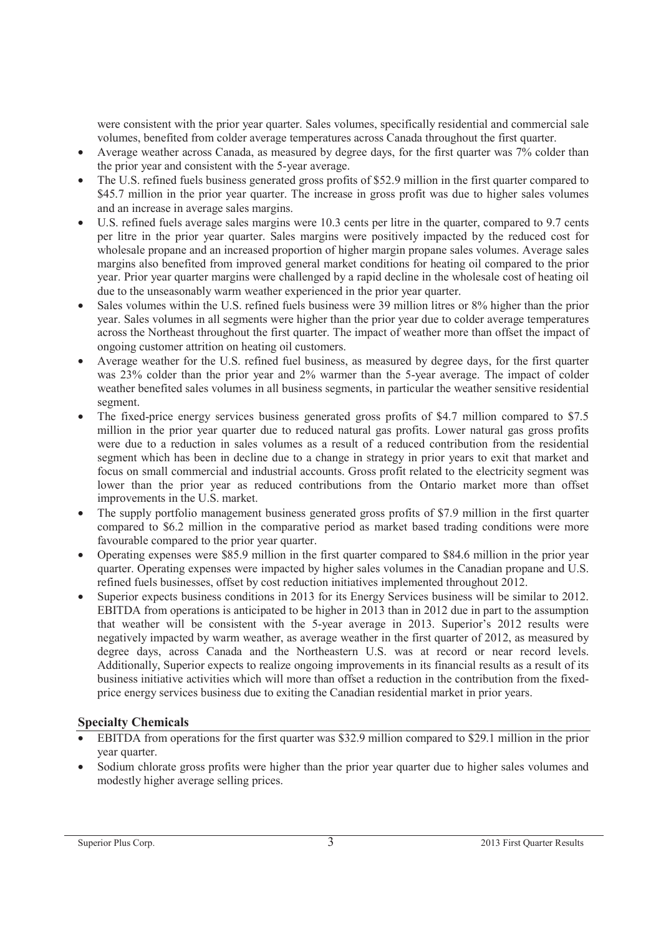were consistent with the prior year quarter. Sales volumes, specifically residential and commercial sale volumes, benefited from colder average temperatures across Canada throughout the first quarter.

- Average weather across Canada, as measured by degree days, for the first quarter was 7% colder than the prior year and consistent with the 5-year average.
- The U.S. refined fuels business generated gross profits of \$52.9 million in the first quarter compared to \$45.7 million in the prior year quarter. The increase in gross profit was due to higher sales volumes and an increase in average sales margins.
- U.S. refined fuels average sales margins were 10.3 cents per litre in the quarter, compared to 9.7 cents per litre in the prior year quarter. Sales margins were positively impacted by the reduced cost for wholesale propane and an increased proportion of higher margin propane sales volumes. Average sales margins also benefited from improved general market conditions for heating oil compared to the prior year. Prior year quarter margins were challenged by a rapid decline in the wholesale cost of heating oil due to the unseasonably warm weather experienced in the prior year quarter.
- Sales volumes within the U.S. refined fuels business were 39 million litres or 8% higher than the prior year. Sales volumes in all segments were higher than the prior year due to colder average temperatures across the Northeast throughout the first quarter. The impact of weather more than offset the impact of ongoing customer attrition on heating oil customers.
- Average weather for the U.S. refined fuel business, as measured by degree days, for the first quarter was 23% colder than the prior year and 2% warmer than the 5-year average. The impact of colder weather benefited sales volumes in all business segments, in particular the weather sensitive residential segment.
- The fixed-price energy services business generated gross profits of \$4.7 million compared to \$7.5 million in the prior year quarter due to reduced natural gas profits. Lower natural gas gross profits were due to a reduction in sales volumes as a result of a reduced contribution from the residential segment which has been in decline due to a change in strategy in prior years to exit that market and focus on small commercial and industrial accounts. Gross profit related to the electricity segment was lower than the prior year as reduced contributions from the Ontario market more than offset improvements in the U.S. market.
- The supply portfolio management business generated gross profits of \$7.9 million in the first quarter compared to \$6.2 million in the comparative period as market based trading conditions were more favourable compared to the prior year quarter.
- Operating expenses were \$85.9 million in the first quarter compared to \$84.6 million in the prior year quarter. Operating expenses were impacted by higher sales volumes in the Canadian propane and U.S. refined fuels businesses, offset by cost reduction initiatives implemented throughout 2012.
- Superior expects business conditions in 2013 for its Energy Services business will be similar to 2012. EBITDA from operations is anticipated to be higher in 2013 than in 2012 due in part to the assumption that weather will be consistent with the 5-year average in 2013. Superior's 2012 results were negatively impacted by warm weather, as average weather in the first quarter of 2012, as measured by degree days, across Canada and the Northeastern U.S. was at record or near record levels. Additionally, Superior expects to realize ongoing improvements in its financial results as a result of its business initiative activities which will more than offset a reduction in the contribution from the fixedprice energy services business due to exiting the Canadian residential market in prior years.

## **Specialty Chemicals**

- EBITDA from operations for the first quarter was \$32.9 million compared to \$29.1 million in the prior year quarter.
- Sodium chlorate gross profits were higher than the prior year quarter due to higher sales volumes and modestly higher average selling prices.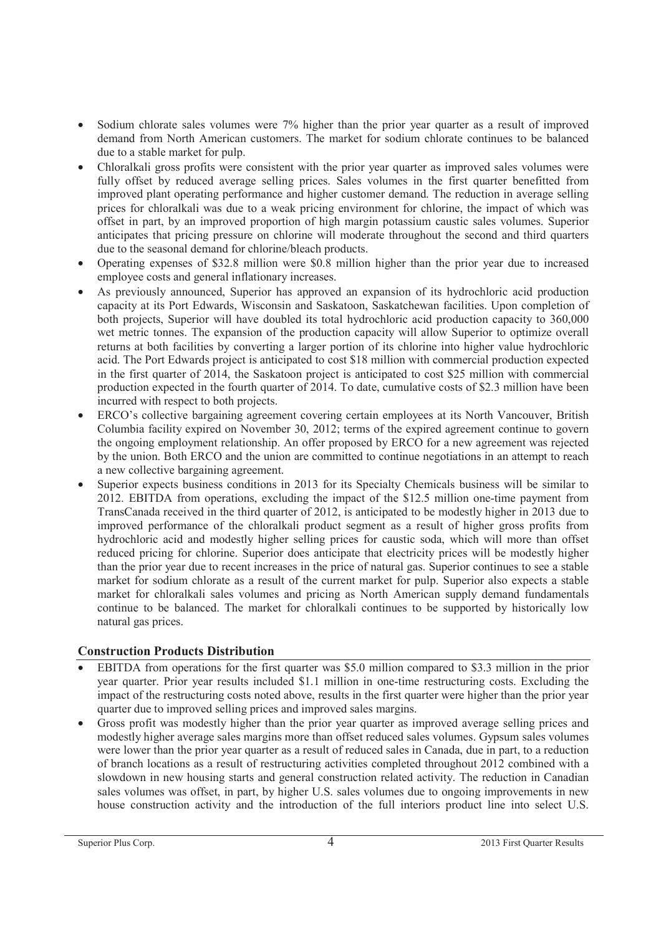- Sodium chlorate sales volumes were 7% higher than the prior year quarter as a result of improved demand from North American customers. The market for sodium chlorate continues to be balanced due to a stable market for pulp.
- Chloralkali gross profits were consistent with the prior year quarter as improved sales volumes were fully offset by reduced average selling prices. Sales volumes in the first quarter benefitted from improved plant operating performance and higher customer demand. The reduction in average selling prices for chloralkali was due to a weak pricing environment for chlorine, the impact of which was offset in part, by an improved proportion of high margin potassium caustic sales volumes. Superior anticipates that pricing pressure on chlorine will moderate throughout the second and third quarters due to the seasonal demand for chlorine/bleach products.
- Operating expenses of \$32.8 million were \$0.8 million higher than the prior year due to increased employee costs and general inflationary increases.
- As previously announced, Superior has approved an expansion of its hydrochloric acid production capacity at its Port Edwards, Wisconsin and Saskatoon, Saskatchewan facilities. Upon completion of both projects, Superior will have doubled its total hydrochloric acid production capacity to 360,000 wet metric tonnes. The expansion of the production capacity will allow Superior to optimize overall returns at both facilities by converting a larger portion of its chlorine into higher value hydrochloric acid. The Port Edwards project is anticipated to cost \$18 million with commercial production expected in the first quarter of 2014, the Saskatoon project is anticipated to cost \$25 million with commercial production expected in the fourth quarter of 2014. To date, cumulative costs of \$2.3 million have been incurred with respect to both projects.
- ERCO's collective bargaining agreement covering certain employees at its North Vancouver, British Columbia facility expired on November 30, 2012; terms of the expired agreement continue to govern the ongoing employment relationship. An offer proposed by ERCO for a new agreement was rejected by the union. Both ERCO and the union are committed to continue negotiations in an attempt to reach a new collective bargaining agreement.
- Superior expects business conditions in 2013 for its Specialty Chemicals business will be similar to 2012. EBITDA from operations, excluding the impact of the \$12.5 million one-time payment from TransCanada received in the third quarter of 2012, is anticipated to be modestly higher in 2013 due to improved performance of the chloralkali product segment as a result of higher gross profits from hydrochloric acid and modestly higher selling prices for caustic soda, which will more than offset reduced pricing for chlorine. Superior does anticipate that electricity prices will be modestly higher than the prior year due to recent increases in the price of natural gas. Superior continues to see a stable market for sodium chlorate as a result of the current market for pulp. Superior also expects a stable market for chloralkali sales volumes and pricing as North American supply demand fundamentals continue to be balanced. The market for chloralkali continues to be supported by historically low natural gas prices.

## **Construction Products Distribution**

- EBITDA from operations for the first quarter was \$5.0 million compared to \$3.3 million in the prior year quarter. Prior year results included \$1.1 million in one-time restructuring costs. Excluding the impact of the restructuring costs noted above, results in the first quarter were higher than the prior year quarter due to improved selling prices and improved sales margins.
- Gross profit was modestly higher than the prior year quarter as improved average selling prices and modestly higher average sales margins more than offset reduced sales volumes. Gypsum sales volumes were lower than the prior year quarter as a result of reduced sales in Canada, due in part, to a reduction of branch locations as a result of restructuring activities completed throughout 2012 combined with a slowdown in new housing starts and general construction related activity. The reduction in Canadian sales volumes was offset, in part, by higher U.S. sales volumes due to ongoing improvements in new house construction activity and the introduction of the full interiors product line into select U.S.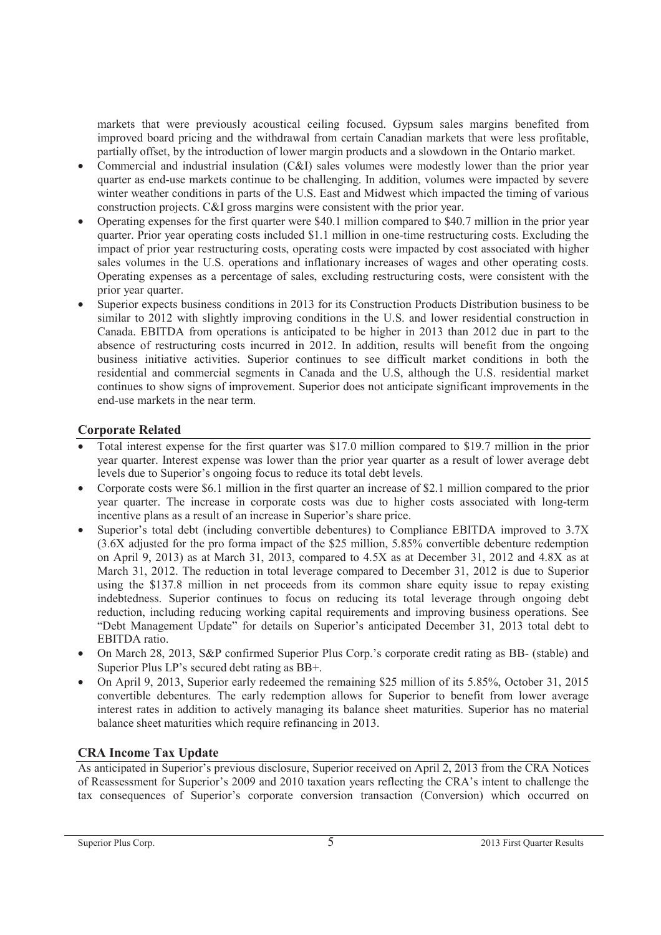markets that were previously acoustical ceiling focused. Gypsum sales margins benefited from improved board pricing and the withdrawal from certain Canadian markets that were less profitable, partially offset, by the introduction of lower margin products and a slowdown in the Ontario market.

- Commercial and industrial insulation (C&I) sales volumes were modestly lower than the prior year quarter as end-use markets continue to be challenging. In addition, volumes were impacted by severe winter weather conditions in parts of the U.S. East and Midwest which impacted the timing of various construction projects. C&I gross margins were consistent with the prior year.
- Operating expenses for the first quarter were \$40.1 million compared to \$40.7 million in the prior year quarter. Prior year operating costs included \$1.1 million in one-time restructuring costs. Excluding the impact of prior year restructuring costs, operating costs were impacted by cost associated with higher sales volumes in the U.S. operations and inflationary increases of wages and other operating costs. Operating expenses as a percentage of sales, excluding restructuring costs, were consistent with the prior year quarter.
- Superior expects business conditions in 2013 for its Construction Products Distribution business to be similar to 2012 with slightly improving conditions in the U.S. and lower residential construction in Canada. EBITDA from operations is anticipated to be higher in 2013 than 2012 due in part to the absence of restructuring costs incurred in 2012. In addition, results will benefit from the ongoing business initiative activities. Superior continues to see difficult market conditions in both the residential and commercial segments in Canada and the U.S, although the U.S. residential market continues to show signs of improvement. Superior does not anticipate significant improvements in the end-use markets in the near term.

## **Corporate Related**

- Total interest expense for the first quarter was \$17.0 million compared to \$19.7 million in the prior year quarter. Interest expense was lower than the prior year quarter as a result of lower average debt levels due to Superior's ongoing focus to reduce its total debt levels.
- Corporate costs were \$6.1 million in the first quarter an increase of \$2.1 million compared to the prior year quarter. The increase in corporate costs was due to higher costs associated with long-term incentive plans as a result of an increase in Superior's share price.
- Superior's total debt (including convertible debentures) to Compliance EBITDA improved to 3.7X (3.6X adjusted for the pro forma impact of the \$25 million, 5.85% convertible debenture redemption on April 9, 2013) as at March 31, 2013, compared to 4.5X as at December 31, 2012 and 4.8X as at March 31, 2012. The reduction in total leverage compared to December 31, 2012 is due to Superior using the \$137.8 million in net proceeds from its common share equity issue to repay existing indebtedness. Superior continues to focus on reducing its total leverage through ongoing debt reduction, including reducing working capital requirements and improving business operations. See "Debt Management Update" for details on Superior's anticipated December 31, 2013 total debt to EBITDA ratio.
- On March 28, 2013, S&P confirmed Superior Plus Corp.'s corporate credit rating as BB- (stable) and Superior Plus LP's secured debt rating as BB+.
- On April 9, 2013, Superior early redeemed the remaining \$25 million of its 5.85%, October 31, 2015 convertible debentures. The early redemption allows for Superior to benefit from lower average interest rates in addition to actively managing its balance sheet maturities. Superior has no material balance sheet maturities which require refinancing in 2013.

## **CRA Income Tax Update**

As anticipated in Superior's previous disclosure, Superior received on April 2, 2013 from the CRA Notices of Reassessment for Superior's 2009 and 2010 taxation years reflecting the CRA's intent to challenge the tax consequences of Superior's corporate conversion transaction (Conversion) which occurred on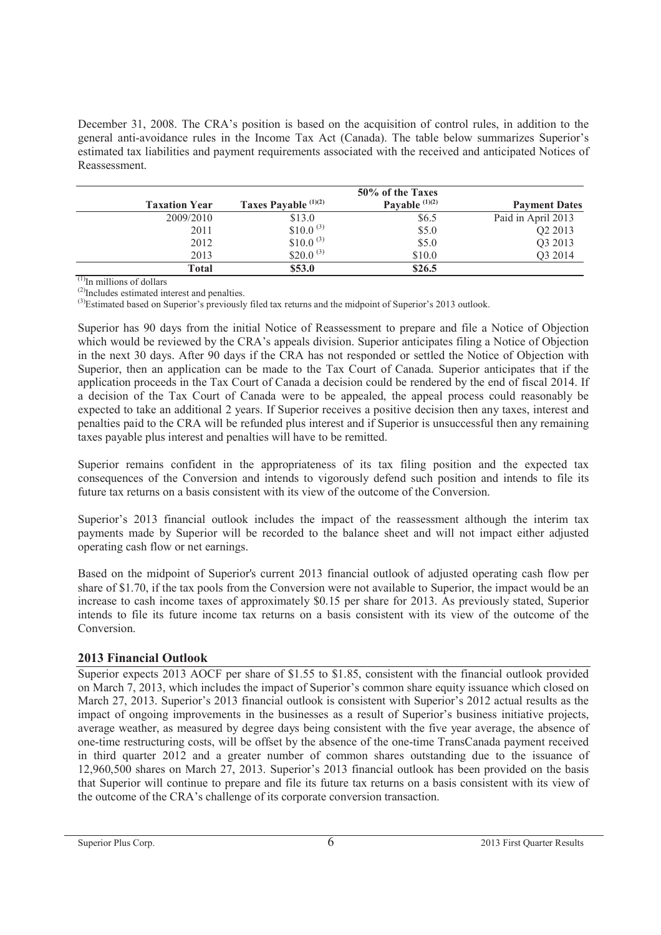December 31, 2008. The CRA's position is based on the acquisition of control rules, in addition to the general anti-avoidance rules in the Income Tax Act (Canada). The table below summarizes Superior's estimated tax liabilities and payment requirements associated with the received and anticipated Notices of Reassessment.

|                      |                        | 50% of the Taxes |                      |
|----------------------|------------------------|------------------|----------------------|
| <b>Taxation Year</b> | Taxes Payable $(1)(2)$ | Pavable $(1)(2)$ | <b>Payment Dates</b> |
| 2009/2010            | \$13.0                 | \$6.5            | Paid in April 2013   |
| 2011                 | \$10.0 <sup>(3)</sup>  | \$5.0            | O <sub>2</sub> 2013  |
| 2012                 | \$10.0 <sup>(3)</sup>  | \$5.0            | O <sub>3</sub> 2013  |
| 2013                 | \$20.0 <sup>(3)</sup>  | \$10.0           | O <sub>3</sub> 2014  |
| Total                | \$53.0                 | \$26.5           |                      |

 $<sup>(1)</sup>$ In millions of dollars</sup>

(2)Includes estimated interest and penalties.

<sup>(3)</sup>Estimated based on Superior's previously filed tax returns and the midpoint of Superior's 2013 outlook.

Superior has 90 days from the initial Notice of Reassessment to prepare and file a Notice of Objection which would be reviewed by the CRA's appeals division. Superior anticipates filing a Notice of Objection in the next 30 days. After 90 days if the CRA has not responded or settled the Notice of Objection with Superior, then an application can be made to the Tax Court of Canada. Superior anticipates that if the application proceeds in the Tax Court of Canada a decision could be rendered by the end of fiscal 2014. If a decision of the Tax Court of Canada were to be appealed, the appeal process could reasonably be expected to take an additional 2 years. If Superior receives a positive decision then any taxes, interest and penalties paid to the CRA will be refunded plus interest and if Superior is unsuccessful then any remaining taxes payable plus interest and penalties will have to be remitted.

Superior remains confident in the appropriateness of its tax filing position and the expected tax consequences of the Conversion and intends to vigorously defend such position and intends to file its future tax returns on a basis consistent with its view of the outcome of the Conversion.

Superior's 2013 financial outlook includes the impact of the reassessment although the interim tax payments made by Superior will be recorded to the balance sheet and will not impact either adjusted operating cash flow or net earnings.

Based on the midpoint of Superior's current 2013 financial outlook of adjusted operating cash flow per share of \$1.70, if the tax pools from the Conversion were not available to Superior, the impact would be an increase to cash income taxes of approximately \$0.15 per share for 2013. As previously stated, Superior intends to file its future income tax returns on a basis consistent with its view of the outcome of the Conversion.

## **2013 Financial Outlook**

Superior expects 2013 AOCF per share of \$1.55 to \$1.85, consistent with the financial outlook provided on March 7, 2013, which includes the impact of Superior's common share equity issuance which closed on March 27, 2013. Superior's 2013 financial outlook is consistent with Superior's 2012 actual results as the impact of ongoing improvements in the businesses as a result of Superior's business initiative projects, average weather, as measured by degree days being consistent with the five year average, the absence of one-time restructuring costs, will be offset by the absence of the one-time TransCanada payment received in third quarter 2012 and a greater number of common shares outstanding due to the issuance of 12,960,500 shares on March 27, 2013. Superior's 2013 financial outlook has been provided on the basis that Superior will continue to prepare and file its future tax returns on a basis consistent with its view of the outcome of the CRA's challenge of its corporate conversion transaction.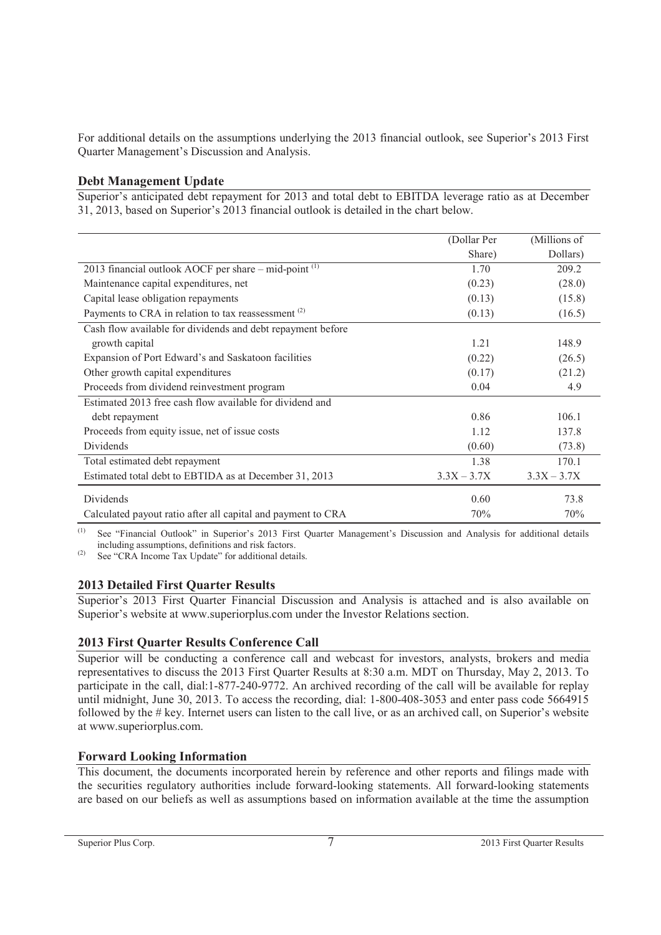For additional details on the assumptions underlying the 2013 financial outlook, see Superior's 2013 First Quarter Management's Discussion and Analysis.

## **Debt Management Update**

Superior's anticipated debt repayment for 2013 and total debt to EBITDA leverage ratio as at December 31, 2013, based on Superior's 2013 financial outlook is detailed in the chart below.

|                                                              | (Dollar Per   | (Millions of  |
|--------------------------------------------------------------|---------------|---------------|
|                                                              | Share)        | Dollars)      |
| 2013 financial outlook AOCF per share – mid-point $(1)$      | 1.70          | 209.2         |
| Maintenance capital expenditures, net                        | (0.23)        | (28.0)        |
| Capital lease obligation repayments                          | (0.13)        | (15.8)        |
| Payments to CRA in relation to tax reassessment $(2)$        | (0.13)        | (16.5)        |
| Cash flow available for dividends and debt repayment before  |               |               |
| growth capital                                               | 1.21          | 148.9         |
| Expansion of Port Edward's and Saskatoon facilities          | (0.22)        | (26.5)        |
| Other growth capital expenditures                            | (0.17)        | (21.2)        |
| Proceeds from dividend reinvestment program                  | 0.04          | 4.9           |
| Estimated 2013 free cash flow available for dividend and     |               |               |
| debt repayment                                               | 0.86          | 106.1         |
| Proceeds from equity issue, net of issue costs               | 1.12          | 137.8         |
| Dividends                                                    | (0.60)        | (73.8)        |
| Total estimated debt repayment                               | 1.38          | 170.1         |
| Estimated total debt to EBTIDA as at December 31, 2013       | $3.3X - 3.7X$ | $3.3X - 3.7X$ |
| Dividends                                                    | 0.60          | 73.8          |
| Calculated payout ratio after all capital and payment to CRA | 70%           | 70%           |

(1) See "Financial Outlook" in Superior's 2013 First Quarter Management's Discussion and Analysis for additional details including assumptions, definitions and risk factors.

(2) See "CRA Income Tax Update" for additional details.

## **2013 Detailed First Quarter Results**

Superior's 2013 First Quarter Financial Discussion and Analysis is attached and is also available on Superior's website at www.superiorplus.com under the Investor Relations section.

## **2013 First Quarter Results Conference Call**

Superior will be conducting a conference call and webcast for investors, analysts, brokers and media representatives to discuss the 2013 First Quarter Results at 8:30 a.m. MDT on Thursday, May 2, 2013. To participate in the call, dial:1-877-240-9772. An archived recording of the call will be available for replay until midnight, June 30, 2013. To access the recording, dial: 1-800-408-3053 and enter pass code 5664915 followed by the # key. Internet users can listen to the call live, or as an archived call, on Superior's website at www.superiorplus.com.

## **Forward Looking Information**

This document, the documents incorporated herein by reference and other reports and filings made with the securities regulatory authorities include forward-looking statements. All forward-looking statements are based on our beliefs as well as assumptions based on information available at the time the assumption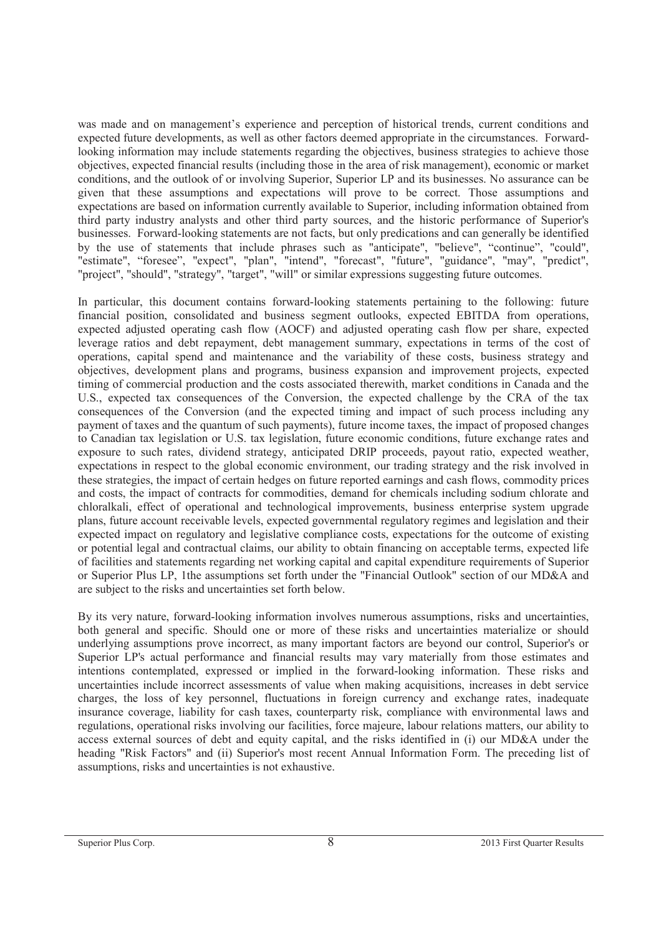was made and on management's experience and perception of historical trends, current conditions and expected future developments, as well as other factors deemed appropriate in the circumstances. Forwardlooking information may include statements regarding the objectives, business strategies to achieve those objectives, expected financial results (including those in the area of risk management), economic or market conditions, and the outlook of or involving Superior, Superior LP and its businesses. No assurance can be given that these assumptions and expectations will prove to be correct. Those assumptions and expectations are based on information currently available to Superior, including information obtained from third party industry analysts and other third party sources, and the historic performance of Superior's businesses. Forward-looking statements are not facts, but only predications and can generally be identified by the use of statements that include phrases such as "anticipate", "believe", "continue", "could", "estimate", "foresee", "expect", "plan", "intend", "forecast", "future", "guidance", "may", "predict", "project", "should", "strategy", "target", "will" or similar expressions suggesting future outcomes.

In particular, this document contains forward-looking statements pertaining to the following: future financial position, consolidated and business segment outlooks, expected EBITDA from operations, expected adjusted operating cash flow (AOCF) and adjusted operating cash flow per share, expected leverage ratios and debt repayment, debt management summary, expectations in terms of the cost of operations, capital spend and maintenance and the variability of these costs, business strategy and objectives, development plans and programs, business expansion and improvement projects, expected timing of commercial production and the costs associated therewith, market conditions in Canada and the U.S., expected tax consequences of the Conversion, the expected challenge by the CRA of the tax consequences of the Conversion (and the expected timing and impact of such process including any payment of taxes and the quantum of such payments), future income taxes, the impact of proposed changes to Canadian tax legislation or U.S. tax legislation, future economic conditions, future exchange rates and exposure to such rates, dividend strategy, anticipated DRIP proceeds, payout ratio, expected weather, expectations in respect to the global economic environment, our trading strategy and the risk involved in these strategies, the impact of certain hedges on future reported earnings and cash flows, commodity prices and costs, the impact of contracts for commodities, demand for chemicals including sodium chlorate and chloralkali, effect of operational and technological improvements, business enterprise system upgrade plans, future account receivable levels, expected governmental regulatory regimes and legislation and their expected impact on regulatory and legislative compliance costs, expectations for the outcome of existing or potential legal and contractual claims, our ability to obtain financing on acceptable terms, expected life of facilities and statements regarding net working capital and capital expenditure requirements of Superior or Superior Plus LP, 1the assumptions set forth under the "Financial Outlook" section of our MD&A and are subject to the risks and uncertainties set forth below.

By its very nature, forward-looking information involves numerous assumptions, risks and uncertainties, both general and specific. Should one or more of these risks and uncertainties materialize or should underlying assumptions prove incorrect, as many important factors are beyond our control, Superior's or Superior LP's actual performance and financial results may vary materially from those estimates and intentions contemplated, expressed or implied in the forward-looking information. These risks and uncertainties include incorrect assessments of value when making acquisitions, increases in debt service charges, the loss of key personnel, fluctuations in foreign currency and exchange rates, inadequate insurance coverage, liability for cash taxes, counterparty risk, compliance with environmental laws and regulations, operational risks involving our facilities, force majeure, labour relations matters, our ability to access external sources of debt and equity capital, and the risks identified in (i) our MD&A under the heading "Risk Factors" and (ii) Superior's most recent Annual Information Form. The preceding list of assumptions, risks and uncertainties is not exhaustive.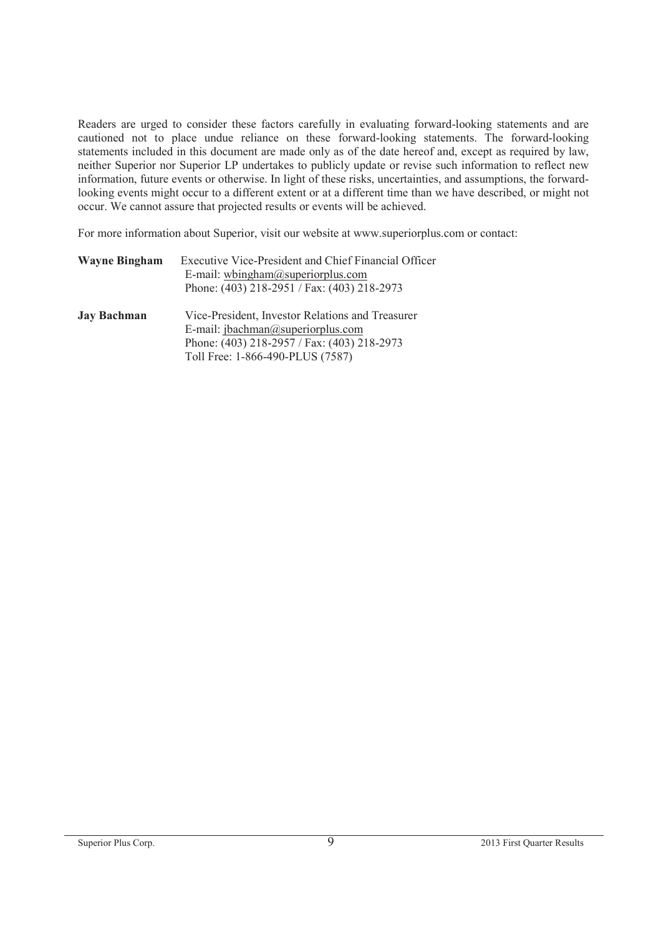Readers are urged to consider these factors carefully in evaluating forward-looking statements and are cautioned not to place undue reliance on these forward-looking statements. The forward-looking statements included in this document are made only as of the date hereof and, except as required by law, neither Superior nor Superior LP undertakes to publicly update or revise such information to reflect new information, future events or otherwise. In light of these risks, uncertainties, and assumptions, the forwardlooking events might occur to a different extent or at a different time than we have described, or might not occur. We cannot assure that projected results or events will be achieved.

For more information about Superior, visit our website at www.superiorplus.com or contact:

| <b>Wayne Bingham</b> | Executive Vice-President and Chief Financial Officer                                  |
|----------------------|---------------------------------------------------------------------------------------|
|                      | E-mail: whingham@superiorplus.com                                                     |
|                      | Phone: (403) 218-2951 / Fax: (403) 218-2973                                           |
| <b>Jay Bachman</b>   | Vice-President, Investor Relations and Treasurer<br>E-mail: jbachman@superiorplus.com |
|                      | Phone: (403) 218-2957 / Fax: (403) 218-2973                                           |
|                      | Toll Free: 1-866-490-PLUS (7587)                                                      |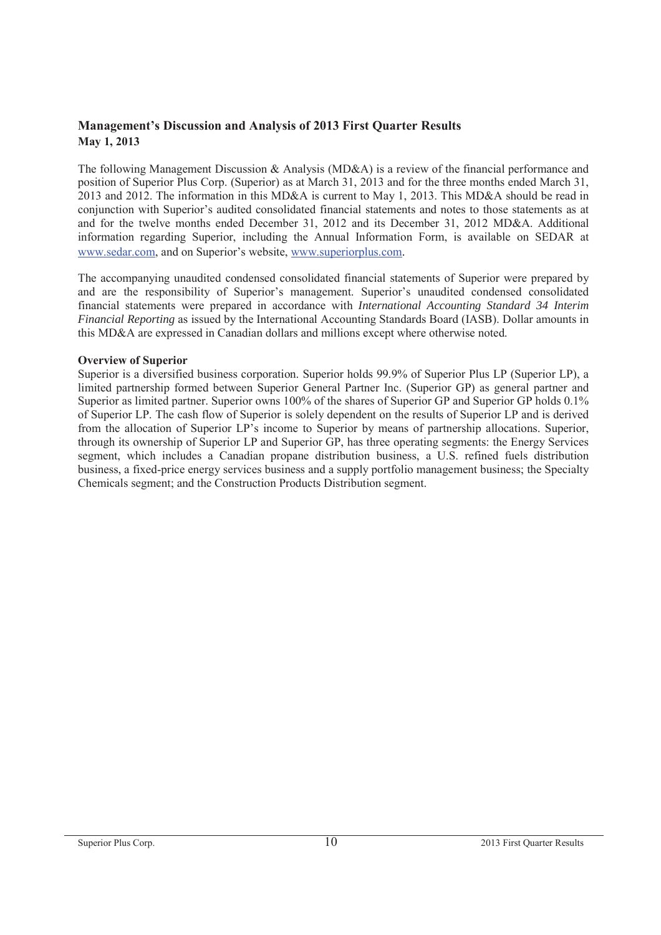## **Management's Discussion and Analysis of 2013 First Quarter Results May 1, 2013**

The following Management Discussion & Analysis (MD&A) is a review of the financial performance and position of Superior Plus Corp. (Superior) as at March 31, 2013 and for the three months ended March 31, 2013 and 2012. The information in this MD&A is current to May 1, 2013. This MD&A should be read in conjunction with Superior's audited consolidated financial statements and notes to those statements as at and for the twelve months ended December 31, 2012 and its December 31, 2012 MD&A. Additional information regarding Superior, including the Annual Information Form, is available on SEDAR at www.sedar.com, and on Superior's website, www.superiorplus.com.

The accompanying unaudited condensed consolidated financial statements of Superior were prepared by and are the responsibility of Superior's management. Superior's unaudited condensed consolidated financial statements were prepared in accordance with *International Accounting Standard 34 Interim Financial Reporting* as issued by the International Accounting Standards Board (IASB). Dollar amounts in this MD&A are expressed in Canadian dollars and millions except where otherwise noted.

## **Overview of Superior**

Superior is a diversified business corporation. Superior holds 99.9% of Superior Plus LP (Superior LP), a limited partnership formed between Superior General Partner Inc. (Superior GP) as general partner and Superior as limited partner. Superior owns 100% of the shares of Superior GP and Superior GP holds 0.1% of Superior LP. The cash flow of Superior is solely dependent on the results of Superior LP and is derived from the allocation of Superior LP's income to Superior by means of partnership allocations. Superior, through its ownership of Superior LP and Superior GP, has three operating segments: the Energy Services segment, which includes a Canadian propane distribution business, a U.S. refined fuels distribution business, a fixed-price energy services business and a supply portfolio management business; the Specialty Chemicals segment; and the Construction Products Distribution segment.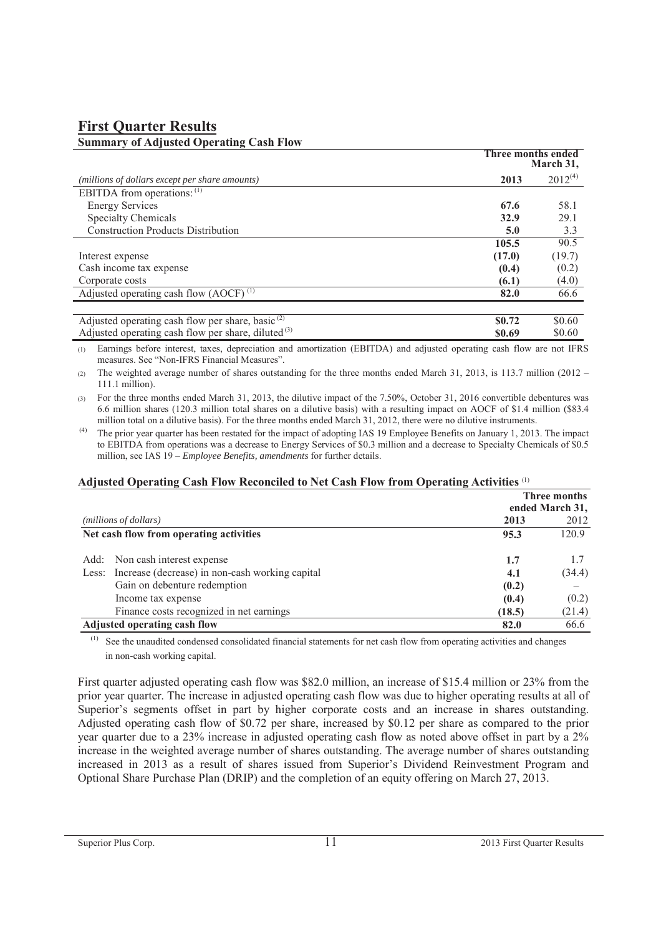## **First Quarter Results Summary of Adjusted Operating Cash Flow**

|                                                              |        | Three months ended<br>March 31, |
|--------------------------------------------------------------|--------|---------------------------------|
| (millions of dollars except per share amounts)               | 2013   | $2012^{(4)}$                    |
| EBITDA from operations: $(1)$                                |        |                                 |
| <b>Energy Services</b>                                       | 67.6   | 58.1                            |
| Specialty Chemicals                                          | 32.9   | 29.1                            |
| <b>Construction Products Distribution</b>                    | 5.0    | 3.3                             |
|                                                              | 105.5  | 90.5                            |
| Interest expense                                             | (17.0) | (19.7)                          |
| Cash income tax expense                                      | (0.4)  | (0.2)                           |
| Corporate costs                                              | (6.1)  | (4.0)                           |
| Adjusted operating cash flow (AOCF) <sup>(1)</sup>           | 82.0   | 66.6                            |
|                                                              |        |                                 |
| Adjusted operating cash flow per share, basic <sup>(2)</sup> | \$0.72 | \$0.60                          |
| Adjusted operating cash flow per share, diluted $(3)$        | \$0.69 | \$0.60                          |

(1) Earnings before interest, taxes, depreciation and amortization (EBITDA) and adjusted operating cash flow are not IFRS measures. See "Non-IFRS Financial Measures".

(2) The weighted average number of shares outstanding for the three months ended March 31, 2013, is 113.7 million (2012 – 111.1 million).

(3) For the three months ended March 31, 2013, the dilutive impact of the 7.50%, October 31, 2016 convertible debentures was 6.6 million shares (120.3 million total shares on a dilutive basis) with a resulting impact on AOCF of \$1.4 million (\$83.4 million total on a dilutive basis). For the three months ended March 31, 2012, there were no dilutive instruments.

(4) The prior year quarter has been restated for the impact of adopting IAS 19 Employee Benefits on January 1, 2013. The impact to EBITDA from operations was a decrease to Energy Services of \$0.3 million and a decrease to Specialty Chemicals of \$0.5 million, see IAS 19 – *Employee Benefits, amendments* for further details.

## **Adjusted Operating Cash Flow Reconciled to Net Cash Flow from Operating Activities** (1)

|                                                       |        | Three months<br>ended March 31, |
|-------------------------------------------------------|--------|---------------------------------|
| (millions of dollars)                                 | 2013   | 2012                            |
| Net cash flow from operating activities               | 95.3   | 120.9                           |
| Add: Non cash interest expense                        | 1.7    | 1.7                             |
| Less: Increase (decrease) in non-cash working capital | 4.1    | (34.4)                          |
| Gain on debenture redemption                          | (0.2)  |                                 |
| Income tax expense                                    | (0.4)  | (0.2)                           |
| Finance costs recognized in net earnings              | (18.5) | (21.4)                          |
| Adjusted operating cash flow                          | 82.0   | 66.6                            |

(1) See the unaudited condensed consolidated financial statements for net cash flow from operating activities and changes in non-cash working capital.

First quarter adjusted operating cash flow was \$82.0 million, an increase of \$15.4 million or 23% from the prior year quarter. The increase in adjusted operating cash flow was due to higher operating results at all of Superior's segments offset in part by higher corporate costs and an increase in shares outstanding. Adjusted operating cash flow of \$0.72 per share, increased by \$0.12 per share as compared to the prior year quarter due to a 23% increase in adjusted operating cash flow as noted above offset in part by a 2% increase in the weighted average number of shares outstanding. The average number of shares outstanding increased in 2013 as a result of shares issued from Superior's Dividend Reinvestment Program and Optional Share Purchase Plan (DRIP) and the completion of an equity offering on March 27, 2013.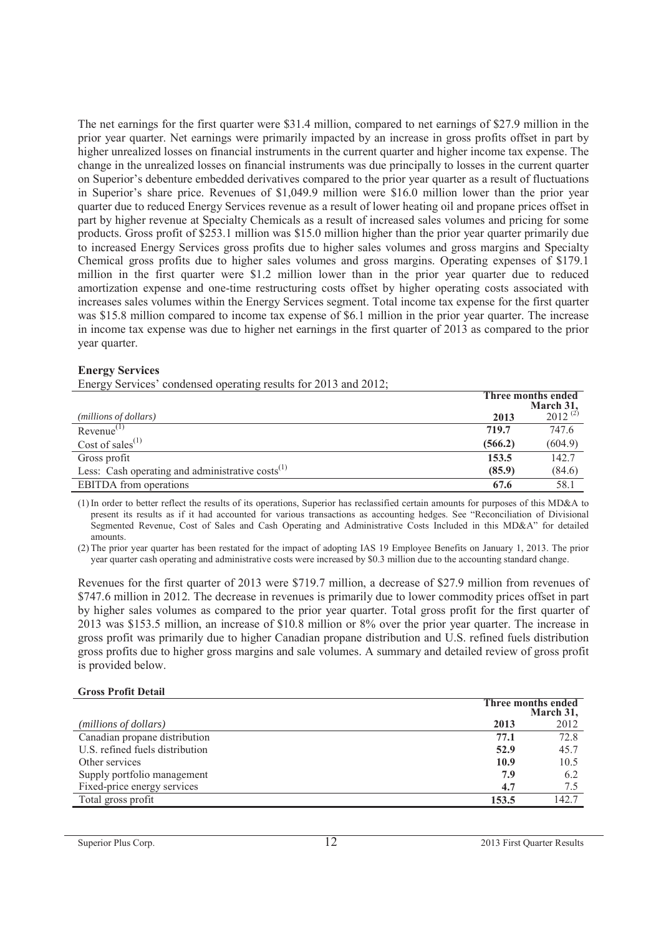The net earnings for the first quarter were \$31.4 million, compared to net earnings of \$27.9 million in the prior year quarter. Net earnings were primarily impacted by an increase in gross profits offset in part by higher unrealized losses on financial instruments in the current quarter and higher income tax expense. The change in the unrealized losses on financial instruments was due principally to losses in the current quarter on Superior's debenture embedded derivatives compared to the prior year quarter as a result of fluctuations in Superior's share price. Revenues of \$1,049.9 million were \$16.0 million lower than the prior year quarter due to reduced Energy Services revenue as a result of lower heating oil and propane prices offset in part by higher revenue at Specialty Chemicals as a result of increased sales volumes and pricing for some products. Gross profit of \$253.1 million was \$15.0 million higher than the prior year quarter primarily due to increased Energy Services gross profits due to higher sales volumes and gross margins and Specialty Chemical gross profits due to higher sales volumes and gross margins. Operating expenses of \$179.1 million in the first quarter were \$1.2 million lower than in the prior year quarter due to reduced amortization expense and one-time restructuring costs offset by higher operating costs associated with increases sales volumes within the Energy Services segment. Total income tax expense for the first quarter was \$15.8 million compared to income tax expense of \$6.1 million in the prior year quarter. The increase in income tax expense was due to higher net earnings in the first quarter of 2013 as compared to the prior year quarter.

### **Energy Services**

Energy Services' condensed operating results for 2013 and 2012;

|                                                       |         | Three months ended |
|-------------------------------------------------------|---------|--------------------|
|                                                       |         | March 31,          |
| (millions of dollars)                                 | 2013    | $2012^{(2)}$       |
| $Revenue$ <sup>(1)</sup>                              | 719.7   | 747.6              |
| Cost of sales <sup><math>(1)</math></sup>             | (566.2) | (604.9)            |
| Gross profit                                          | 153.5   | 142.7              |
| Less: Cash operating and administrative $costs^{(1)}$ | (85.9)  | (84.6)             |
| <b>EBITDA</b> from operations                         | 67.6    | 58.1               |

(1) In order to better reflect the results of its operations, Superior has reclassified certain amounts for purposes of this MD&A to present its results as if it had accounted for various transactions as accounting hedges. See "Reconciliation of Divisional Segmented Revenue, Cost of Sales and Cash Operating and Administrative Costs Included in this MD&A" for detailed amounts.

(2) The prior year quarter has been restated for the impact of adopting IAS 19 Employee Benefits on January 1, 2013. The prior year quarter cash operating and administrative costs were increased by \$0.3 million due to the accounting standard change.

Revenues for the first quarter of 2013 were \$719.7 million, a decrease of \$27.9 million from revenues of \$747.6 million in 2012. The decrease in revenues is primarily due to lower commodity prices offset in part by higher sales volumes as compared to the prior year quarter. Total gross profit for the first quarter of 2013 was \$153.5 million, an increase of \$10.8 million or 8% over the prior year quarter. The increase in gross profit was primarily due to higher Canadian propane distribution and U.S. refined fuels distribution gross profits due to higher gross margins and sale volumes. A summary and detailed review of gross profit is provided below.

#### **Gross Profit Detail**

|                                 | <b>Three months ended</b> |       |
|---------------------------------|---------------------------|-------|
|                                 | March 31,                 |       |
| ( <i>millions of dollars</i> )  | 2013                      | 2012  |
| Canadian propane distribution   | 77.1                      | 72.8  |
| U.S. refined fuels distribution | 52.9                      | 45.7  |
| Other services                  | 10.9                      | 10.5  |
| Supply portfolio management     | 7.9                       | 6.2   |
| Fixed-price energy services     | 4.7                       | 7.5   |
| Total gross profit              | 153.5                     | 142.7 |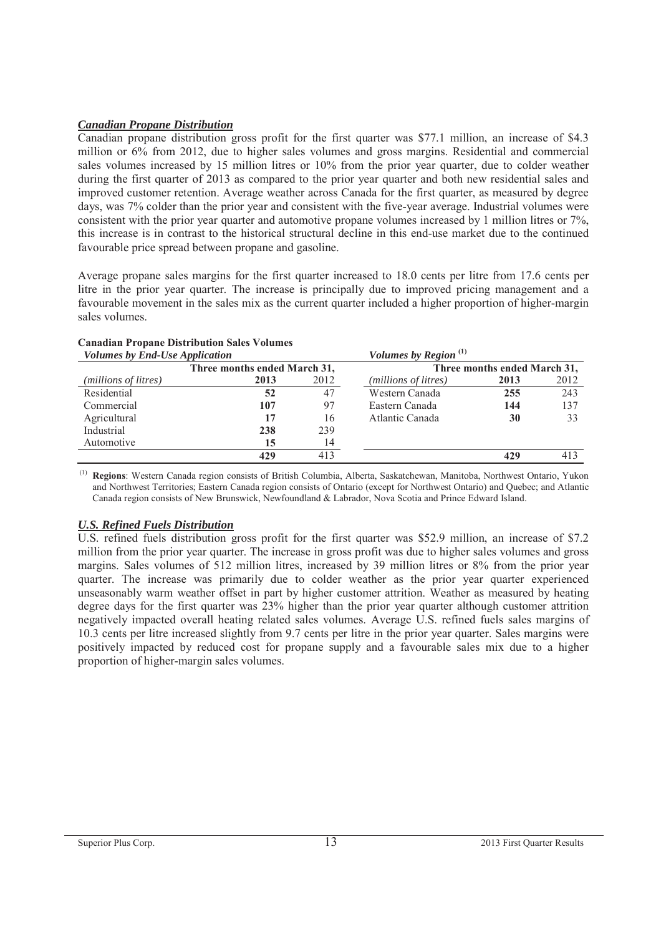## *Canadian Propane Distribution*

Canadian propane distribution gross profit for the first quarter was \$77.1 million, an increase of \$4.3 million or 6% from 2012, due to higher sales volumes and gross margins. Residential and commercial sales volumes increased by 15 million litres or 10% from the prior year quarter, due to colder weather during the first quarter of 2013 as compared to the prior year quarter and both new residential sales and improved customer retention. Average weather across Canada for the first quarter, as measured by degree days, was 7% colder than the prior year and consistent with the five-year average. Industrial volumes were consistent with the prior year quarter and automotive propane volumes increased by 1 million litres or 7%, this increase is in contrast to the historical structural decline in this end-use market due to the continued favourable price spread between propane and gasoline.

Average propane sales margins for the first quarter increased to 18.0 cents per litre from 17.6 cents per litre in the prior year quarter. The increase is principally due to improved pricing management and a favourable movement in the sales mix as the current quarter included a higher proportion of higher-margin sales volumes.

| Volumes by End-Use Application |      |      | Volumes by Region <sup>(1)</sup> |                              |      |
|--------------------------------|------|------|----------------------------------|------------------------------|------|
| Three months ended March 31,   |      |      |                                  | Three months ended March 31, |      |
| (millions of litres)           | 2013 | 2012 | ( <i>millions of litres</i> )    | 2013                         | 2012 |
| Residential                    | 52   | 47   | Western Canada                   | 255                          | 243  |
| Commercial                     | 107  | 97   | Eastern Canada                   | 144                          | 137  |
| Agricultural                   | 17   | 16   | Atlantic Canada                  | 30                           | 33   |
| Industrial                     | 238  | 239  |                                  |                              |      |
| Automotive                     | 15   | 14   |                                  |                              |      |
|                                | 429  | 413  |                                  | 429                          | 413  |

# **Canadian Propane Distribution Sales Volumes**

Regions: Western Canada region consists of British Columbia, Alberta, Saskatchewan, Manitoba, Northwest Ontario, Yukon and Northwest Territories; Eastern Canada region consists of Ontario (except for Northwest Ontario) and Quebec; and Atlantic Canada region consists of New Brunswick, Newfoundland & Labrador, Nova Scotia and Prince Edward Island.

## *U.S. Refined Fuels Distribution*

U.S. refined fuels distribution gross profit for the first quarter was \$52.9 million, an increase of \$7.2 million from the prior year quarter. The increase in gross profit was due to higher sales volumes and gross margins. Sales volumes of 512 million litres, increased by 39 million litres or 8% from the prior year quarter. The increase was primarily due to colder weather as the prior year quarter experienced unseasonably warm weather offset in part by higher customer attrition. Weather as measured by heating degree days for the first quarter was 23% higher than the prior year quarter although customer attrition negatively impacted overall heating related sales volumes. Average U.S. refined fuels sales margins of 10.3 cents per litre increased slightly from 9.7 cents per litre in the prior year quarter. Sales margins were positively impacted by reduced cost for propane supply and a favourable sales mix due to a higher proportion of higher-margin sales volumes.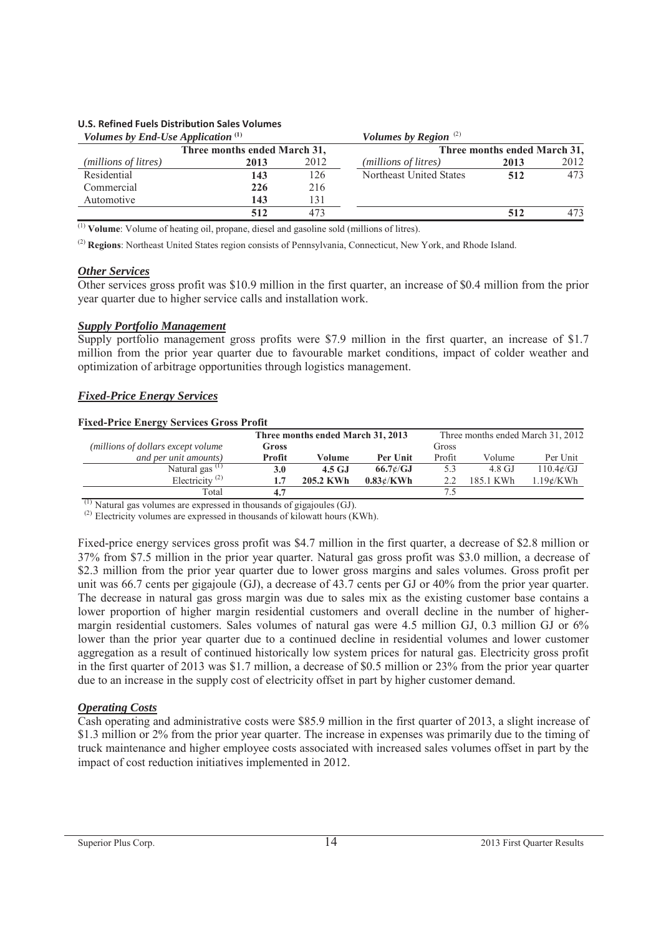#### **U.S. Refined Fuels Distribution Sales Volumes**

| Volumes by End-Use Application $(1)$ |                              | Volumes by Region $(2)$       |      |      |
|--------------------------------------|------------------------------|-------------------------------|------|------|
|                                      | Three months ended March 31, |                               |      |      |
| 2013                                 | 2012                         | ( <i>millions of litres</i> ) | 2013 | 2012 |
| 143                                  | 126                          | Northeast United States       | 512  | 473  |
| 226                                  | 216                          |                               |      |      |
| 143                                  | 31                           |                               |      |      |
| 512                                  |                              |                               | 512  |      |
|                                      |                              | Three months ended March 31,  |      |      |

(1) **Volume**: Volume of heating oil, propane, diesel and gasoline sold (millions of litres).

(2) **Regions**: Northeast United States region consists of Pennsylvania, Connecticut, New York, and Rhode Island.

#### *Other Services*

Other services gross profit was \$10.9 million in the first quarter, an increase of \$0.4 million from the prior year quarter due to higher service calls and installation work.

### *Supply Portfolio Management*

Supply portfolio management gross profits were \$7.9 million in the first quarter, an increase of \$1.7 million from the prior year quarter due to favourable market conditions, impact of colder weather and optimization of arbitrage opportunities through logistics management.

### *Fixed-Price Energy Services*

| <b>Fixed-Price Energy Services Gross Profit</b> |              |                                   |           |        |                  |                                   |
|-------------------------------------------------|--------------|-----------------------------------|-----------|--------|------------------|-----------------------------------|
|                                                 |              | Three months ended March 31, 2013 |           |        |                  | Three months ended March 31, 2012 |
| <i>(millions of dollars except volume)</i>      | <b>Gross</b> |                                   |           | Gross  |                  |                                   |
| and per unit amounts)                           | Profit       | Volume                            | Per Unit  | Profit | Volume           | Per Unit                          |
| Natural gas $(1)$                               | 3.0          | 4.5 GJ                            | 66.7e/GJ  | 5.3    | $4.8 \text{ GJ}$ | $110.4\epsilon/GJ$                |
| Electricity <sup><math>(2)</math></sup>         | 1.7          | 205.2 KWh                         | 0.83c/KWh | 2.2    | 185.1 KWh        | $1.19$ ¢/KWh                      |
| Total                                           | 4.7          |                                   |           | 7.5    |                  |                                   |

 $(1)$  Natural gas volumes are expressed in thousands of gigajoules (GJ).

(2) Electricity volumes are expressed in thousands of kilowatt hours (KWh).

Fixed-price energy services gross profit was \$4.7 million in the first quarter, a decrease of \$2.8 million or 37% from \$7.5 million in the prior year quarter. Natural gas gross profit was \$3.0 million, a decrease of \$2.3 million from the prior year quarter due to lower gross margins and sales volumes. Gross profit per unit was 66.7 cents per gigajoule (GJ), a decrease of 43.7 cents per GJ or 40% from the prior year quarter. The decrease in natural gas gross margin was due to sales mix as the existing customer base contains a lower proportion of higher margin residential customers and overall decline in the number of highermargin residential customers. Sales volumes of natural gas were 4.5 million GJ, 0.3 million GJ or 6% lower than the prior year quarter due to a continued decline in residential volumes and lower customer aggregation as a result of continued historically low system prices for natural gas. Electricity gross profit in the first quarter of 2013 was \$1.7 million, a decrease of \$0.5 million or 23% from the prior year quarter due to an increase in the supply cost of electricity offset in part by higher customer demand.

## *Operating Costs*

Cash operating and administrative costs were \$85.9 million in the first quarter of 2013, a slight increase of \$1.3 million or 2% from the prior year quarter. The increase in expenses was primarily due to the timing of truck maintenance and higher employee costs associated with increased sales volumes offset in part by the impact of cost reduction initiatives implemented in 2012.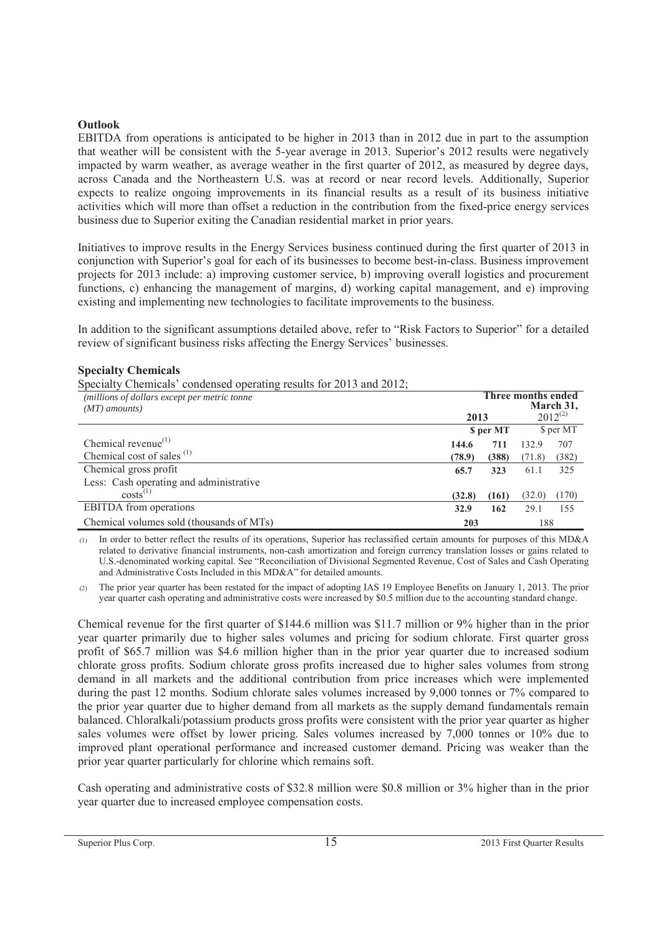### **Outlook**

EBITDA from operations is anticipated to be higher in 2013 than in 2012 due in part to the assumption that weather will be consistent with the 5-year average in 2013. Superior's 2012 results were negatively impacted by warm weather, as average weather in the first quarter of 2012, as measured by degree days, across Canada and the Northeastern U.S. was at record or near record levels. Additionally, Superior expects to realize ongoing improvements in its financial results as a result of its business initiative activities which will more than offset a reduction in the contribution from the fixed-price energy services business due to Superior exiting the Canadian residential market in prior years.

Initiatives to improve results in the Energy Services business continued during the first quarter of 2013 in conjunction with Superior's goal for each of its businesses to become best-in-class. Business improvement projects for 2013 include: a) improving customer service, b) improving overall logistics and procurement functions, c) enhancing the management of margins, d) working capital management, and e) improving existing and implementing new technologies to facilitate improvements to the business.

In addition to the significant assumptions detailed above, refer to "Risk Factors to Superior" for a detailed review of significant business risks affecting the Energy Services' businesses.

### **Specialty Chemicals**

Specialty Chemicals' condensed operating results for 2013 and 2012;

| (millions of dollars except per metric tonne<br>$(MT)$ amounts) | Three months ended<br>March 31, |           |        |              |
|-----------------------------------------------------------------|---------------------------------|-----------|--------|--------------|
|                                                                 | 2013                            |           |        | $2012^{(2)}$ |
|                                                                 |                                 | \$ per MT |        | \$ per MT    |
| Chemical revenue $^{(1)}$                                       | 144.6                           | 711       | 132.9  | 707          |
| Chemical cost of sales <sup>(1)</sup>                           | (78.9)                          | 388)      | (71.8) | (382)        |
| Chemical gross profit                                           | 65.7                            | 323       | 61.1   | 325          |
| Less: Cash operating and administrative                         |                                 |           |        |              |
| $costs^{(1)}$                                                   | (32.8)                          | (161)     | (32.0) | (170)        |
| <b>EBITDA</b> from operations                                   | 32.9                            | 162       | 29.1   | 155          |
| Chemical volumes sold (thousands of MTs)                        | 203                             |           | 188    |              |

(1) In order to better reflect the results of its operations, Superior has reclassified certain amounts for purposes of this MD&A related to derivative financial instruments, non-cash amortization and foreign currency translation losses or gains related to U.S.-denominated working capital. See "Reconciliation of Divisional Segmented Revenue, Cost of Sales and Cash Operating and Administrative Costs Included in this MD&A" for detailed amounts.

(2) The prior year quarter has been restated for the impact of adopting IAS 19 Employee Benefits on January 1, 2013. The prior year quarter cash operating and administrative costs were increased by \$0.5 million due to the accounting standard change.

Chemical revenue for the first quarter of \$144.6 million was \$11.7 million or 9% higher than in the prior year quarter primarily due to higher sales volumes and pricing for sodium chlorate. First quarter gross profit of \$65.7 million was \$4.6 million higher than in the prior year quarter due to increased sodium chlorate gross profits. Sodium chlorate gross profits increased due to higher sales volumes from strong demand in all markets and the additional contribution from price increases which were implemented during the past 12 months. Sodium chlorate sales volumes increased by 9,000 tonnes or 7% compared to the prior year quarter due to higher demand from all markets as the supply demand fundamentals remain balanced. Chloralkali/potassium products gross profits were consistent with the prior year quarter as higher sales volumes were offset by lower pricing. Sales volumes increased by 7,000 tonnes or 10% due to improved plant operational performance and increased customer demand. Pricing was weaker than the prior year quarter particularly for chlorine which remains soft.

Cash operating and administrative costs of \$32.8 million were \$0.8 million or 3% higher than in the prior year quarter due to increased employee compensation costs.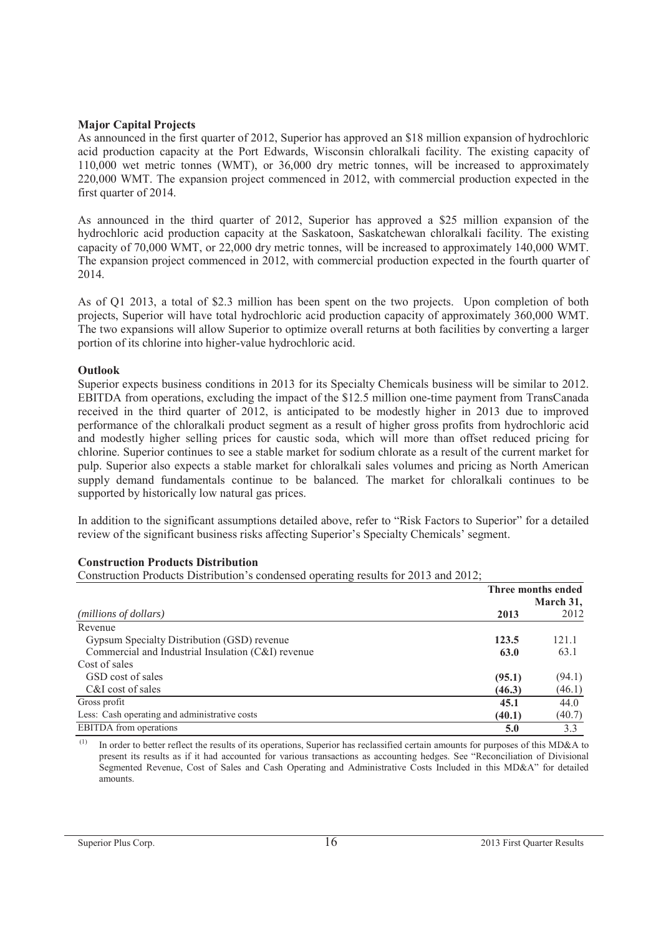### **Major Capital Projects**

As announced in the first quarter of 2012, Superior has approved an \$18 million expansion of hydrochloric acid production capacity at the Port Edwards, Wisconsin chloralkali facility. The existing capacity of 110,000 wet metric tonnes (WMT), or 36,000 dry metric tonnes, will be increased to approximately 220,000 WMT. The expansion project commenced in 2012, with commercial production expected in the first quarter of 2014.

As announced in the third quarter of 2012, Superior has approved a \$25 million expansion of the hydrochloric acid production capacity at the Saskatoon, Saskatchewan chloralkali facility. The existing capacity of 70,000 WMT, or 22,000 dry metric tonnes, will be increased to approximately 140,000 WMT. The expansion project commenced in 2012, with commercial production expected in the fourth quarter of 2014.

As of Q1 2013, a total of \$2.3 million has been spent on the two projects. Upon completion of both projects, Superior will have total hydrochloric acid production capacity of approximately 360,000 WMT. The two expansions will allow Superior to optimize overall returns at both facilities by converting a larger portion of its chlorine into higher-value hydrochloric acid.

### **Outlook**

Superior expects business conditions in 2013 for its Specialty Chemicals business will be similar to 2012. EBITDA from operations, excluding the impact of the \$12.5 million one-time payment from TransCanada received in the third quarter of 2012, is anticipated to be modestly higher in 2013 due to improved performance of the chloralkali product segment as a result of higher gross profits from hydrochloric acid and modestly higher selling prices for caustic soda, which will more than offset reduced pricing for chlorine. Superior continues to see a stable market for sodium chlorate as a result of the current market for pulp. Superior also expects a stable market for chloralkali sales volumes and pricing as North American supply demand fundamentals continue to be balanced. The market for chloralkali continues to be supported by historically low natural gas prices.

In addition to the significant assumptions detailed above, refer to "Risk Factors to Superior" for a detailed review of the significant business risks affecting Superior's Specialty Chemicals' segment.

#### **Construction Products Distribution**

Construction Products Distribution's condensed operating results for 2013 and 2012;

| $\tilde{}$                                         |        |                    |
|----------------------------------------------------|--------|--------------------|
|                                                    |        | Three months ended |
|                                                    |        | March 31,          |
| ( <i>millions of dollars</i> )                     | 2013   | 2012               |
| Revenue                                            |        |                    |
| Gypsum Specialty Distribution (GSD) revenue        | 123.5  | 121.1              |
| Commercial and Industrial Insulation (C&I) revenue | 63.0   | 63.1               |
| Cost of sales                                      |        |                    |
| GSD cost of sales                                  | (95.1) | (94.1)             |
| C&I cost of sales                                  | (46.3) | (46.1)             |
| Gross profit                                       | 45.1   | 44.0               |
| Less: Cash operating and administrative costs      | (40.1) | (40.7)             |
| <b>EBITDA</b> from operations                      | 5.0    | 3.3                |

In order to better reflect the results of its operations, Superior has reclassified certain amounts for purposes of this MD&A to present its results as if it had accounted for various transactions as accounting hedges. See "Reconciliation of Divisional Segmented Revenue, Cost of Sales and Cash Operating and Administrative Costs Included in this MD&A" for detailed amounts.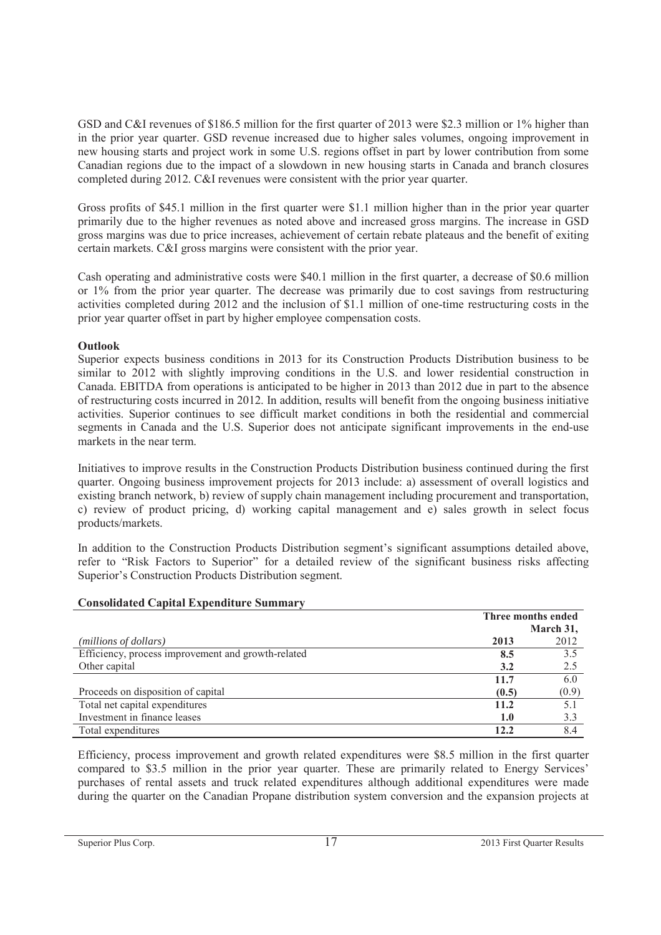GSD and C&I revenues of \$186.5 million for the first quarter of 2013 were \$2.3 million or 1% higher than in the prior year quarter. GSD revenue increased due to higher sales volumes, ongoing improvement in new housing starts and project work in some U.S. regions offset in part by lower contribution from some Canadian regions due to the impact of a slowdown in new housing starts in Canada and branch closures completed during 2012. C&I revenues were consistent with the prior year quarter.

Gross profits of \$45.1 million in the first quarter were \$1.1 million higher than in the prior year quarter primarily due to the higher revenues as noted above and increased gross margins. The increase in GSD gross margins was due to price increases, achievement of certain rebate plateaus and the benefit of exiting certain markets. C&I gross margins were consistent with the prior year.

Cash operating and administrative costs were \$40.1 million in the first quarter, a decrease of \$0.6 million or 1% from the prior year quarter. The decrease was primarily due to cost savings from restructuring activities completed during 2012 and the inclusion of \$1.1 million of one-time restructuring costs in the prior year quarter offset in part by higher employee compensation costs.

## **Outlook**

Superior expects business conditions in 2013 for its Construction Products Distribution business to be similar to 2012 with slightly improving conditions in the U.S. and lower residential construction in Canada. EBITDA from operations is anticipated to be higher in 2013 than 2012 due in part to the absence of restructuring costs incurred in 2012. In addition, results will benefit from the ongoing business initiative activities. Superior continues to see difficult market conditions in both the residential and commercial segments in Canada and the U.S. Superior does not anticipate significant improvements in the end-use markets in the near term.

Initiatives to improve results in the Construction Products Distribution business continued during the first quarter. Ongoing business improvement projects for 2013 include: a) assessment of overall logistics and existing branch network, b) review of supply chain management including procurement and transportation, c) review of product pricing, d) working capital management and e) sales growth in select focus products/markets.

In addition to the Construction Products Distribution segment's significant assumptions detailed above, refer to "Risk Factors to Superior" for a detailed review of the significant business risks affecting Superior's Construction Products Distribution segment.

|                                                    |       | Three months ended |
|----------------------------------------------------|-------|--------------------|
|                                                    |       | March 31,          |
| (millions of dollars)                              | 2013  | 2012               |
| Efficiency, process improvement and growth-related | 8.5   | 3.5                |
| Other capital                                      | 3.2   | 2.5                |
|                                                    | 11.7  | 6.0                |
| Proceeds on disposition of capital                 | (0.5) | (0.9)              |
| Total net capital expenditures                     | 11.2  | 5.1                |
| Investment in finance leases                       | 1.0   | 3.3                |
| Total expenditures                                 | 12.2  | 8.4                |

## **Consolidated Capital Expenditure Summary**

Efficiency, process improvement and growth related expenditures were \$8.5 million in the first quarter compared to \$3.5 million in the prior year quarter. These are primarily related to Energy Services' purchases of rental assets and truck related expenditures although additional expenditures were made during the quarter on the Canadian Propane distribution system conversion and the expansion projects at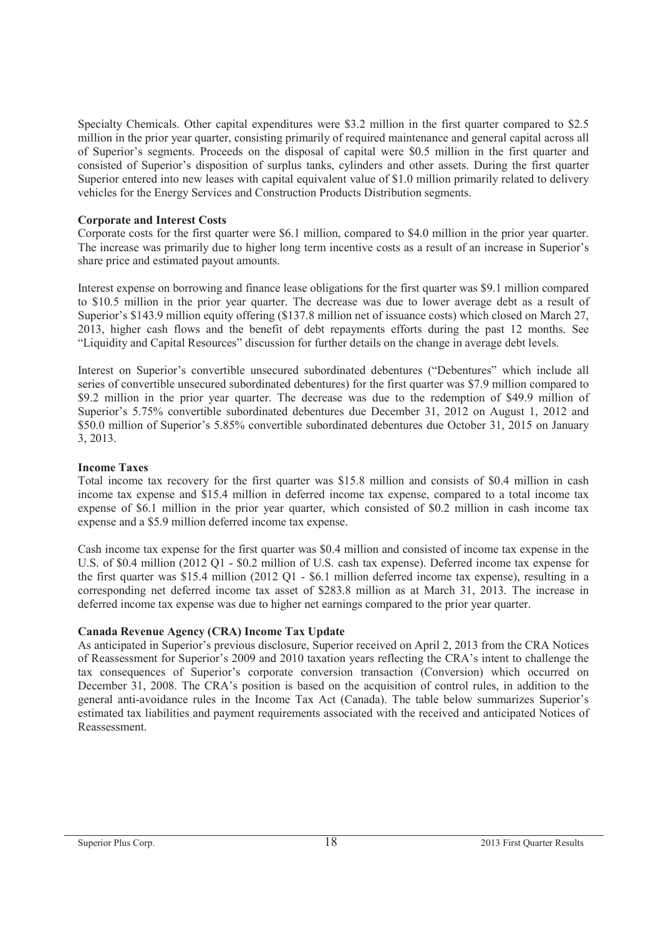Specialty Chemicals. Other capital expenditures were \$3.2 million in the first quarter compared to \$2.5 million in the prior year quarter, consisting primarily of required maintenance and general capital across all of Superior's segments. Proceeds on the disposal of capital were \$0.5 million in the first quarter and consisted of Superior's disposition of surplus tanks, cylinders and other assets. During the first quarter Superior entered into new leases with capital equivalent value of \$1.0 million primarily related to delivery vehicles for the Energy Services and Construction Products Distribution segments.

### **Corporate and Interest Costs**

Corporate costs for the first quarter were \$6.1 million, compared to \$4.0 million in the prior year quarter. The increase was primarily due to higher long term incentive costs as a result of an increase in Superior's share price and estimated payout amounts.

Interest expense on borrowing and finance lease obligations for the first quarter was \$9.1 million compared to \$10.5 million in the prior year quarter. The decrease was due to lower average debt as a result of Superior's \$143.9 million equity offering (\$137.8 million net of issuance costs) which closed on March 27, 2013, higher cash flows and the benefit of debt repayments efforts during the past 12 months. See "Liquidity and Capital Resources" discussion for further details on the change in average debt levels.

Interest on Superior's convertible unsecured subordinated debentures ("Debentures" which include all series of convertible unsecured subordinated debentures) for the first quarter was \$7.9 million compared to \$9.2 million in the prior year quarter. The decrease was due to the redemption of \$49.9 million of Superior's 5.75% convertible subordinated debentures due December 31, 2012 on August 1, 2012 and \$50.0 million of Superior's 5.85% convertible subordinated debentures due October 31, 2015 on January 3, 2013.

### **Income Taxes**

Total income tax recovery for the first quarter was \$15.8 million and consists of \$0.4 million in cash income tax expense and \$15.4 million in deferred income tax expense, compared to a total income tax expense of \$6.1 million in the prior year quarter, which consisted of \$0.2 million in cash income tax expense and a \$5.9 million deferred income tax expense.

Cash income tax expense for the first quarter was \$0.4 million and consisted of income tax expense in the U.S. of \$0.4 million (2012 Q1 - \$0.2 million of U.S. cash tax expense). Deferred income tax expense for the first quarter was \$15.4 million (2012 Q1 - \$6.1 million deferred income tax expense), resulting in a corresponding net deferred income tax asset of \$283.8 million as at March 31, 2013. The increase in deferred income tax expense was due to higher net earnings compared to the prior year quarter.

## **Canada Revenue Agency (CRA) Income Tax Update**

As anticipated in Superior's previous disclosure, Superior received on April 2, 2013 from the CRA Notices of Reassessment for Superior's 2009 and 2010 taxation years reflecting the CRA's intent to challenge the tax consequences of Superior's corporate conversion transaction (Conversion) which occurred on December 31, 2008. The CRA's position is based on the acquisition of control rules, in addition to the general anti-avoidance rules in the Income Tax Act (Canada). The table below summarizes Superior's estimated tax liabilities and payment requirements associated with the received and anticipated Notices of Reassessment.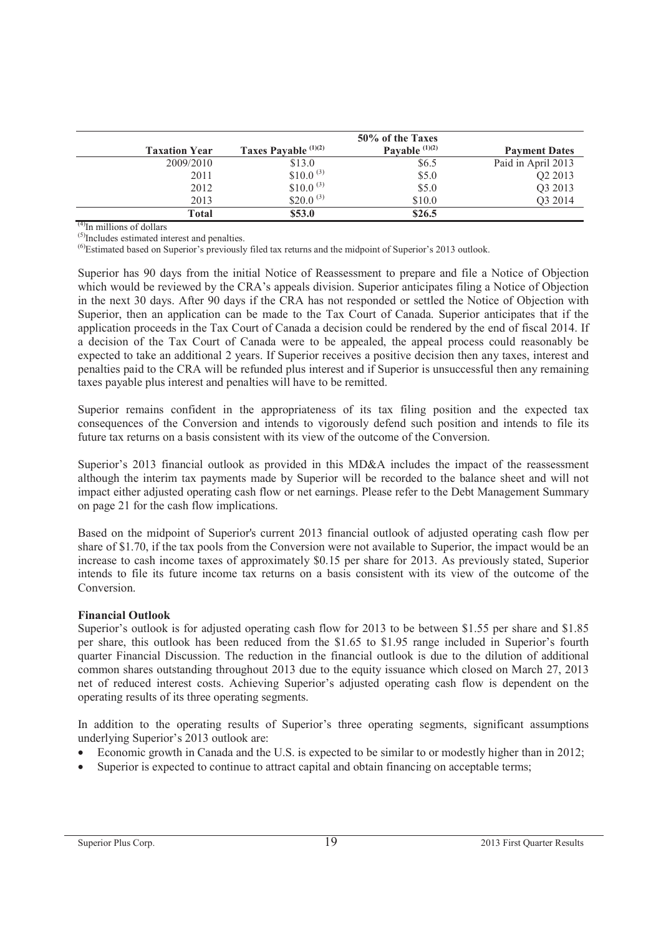|                      |                        | 50% of the Taxes    |                      |
|----------------------|------------------------|---------------------|----------------------|
| <b>Taxation Year</b> | Taxes Payable $(1)(2)$ | Payable $^{(1)(2)}$ | <b>Payment Dates</b> |
| 2009/2010            | \$13.0                 | \$6.5               | Paid in April 2013   |
| 2011                 | $$10.0^{(3)}$          | \$5.0               | Q2 2013              |
| 2012                 | $$10.0^{(3)}$          | \$5.0               | O <sub>3</sub> 2013  |
| 2013                 | \$20.0 $^{(3)}$        | \$10.0              | O <sub>3</sub> 2014  |
| Total                | \$53.0                 | \$26.5              |                      |

 $^{(4)}$ In millions of dollars

 $^{(5)}$ Includes estimated interest and penalties.

(6)Estimated based on Superior's previously filed tax returns and the midpoint of Superior's 2013 outlook.

Superior has 90 days from the initial Notice of Reassessment to prepare and file a Notice of Objection which would be reviewed by the CRA's appeals division. Superior anticipates filing a Notice of Objection in the next 30 days. After 90 days if the CRA has not responded or settled the Notice of Objection with Superior, then an application can be made to the Tax Court of Canada. Superior anticipates that if the application proceeds in the Tax Court of Canada a decision could be rendered by the end of fiscal 2014. If a decision of the Tax Court of Canada were to be appealed, the appeal process could reasonably be expected to take an additional 2 years. If Superior receives a positive decision then any taxes, interest and penalties paid to the CRA will be refunded plus interest and if Superior is unsuccessful then any remaining taxes payable plus interest and penalties will have to be remitted.

Superior remains confident in the appropriateness of its tax filing position and the expected tax consequences of the Conversion and intends to vigorously defend such position and intends to file its future tax returns on a basis consistent with its view of the outcome of the Conversion.

Superior's 2013 financial outlook as provided in this MD&A includes the impact of the reassessment although the interim tax payments made by Superior will be recorded to the balance sheet and will not impact either adjusted operating cash flow or net earnings. Please refer to the Debt Management Summary on page 21 for the cash flow implications.

Based on the midpoint of Superior's current 2013 financial outlook of adjusted operating cash flow per share of \$1.70, if the tax pools from the Conversion were not available to Superior, the impact would be an increase to cash income taxes of approximately \$0.15 per share for 2013. As previously stated, Superior intends to file its future income tax returns on a basis consistent with its view of the outcome of the Conversion.

### **Financial Outlook**

Superior's outlook is for adjusted operating cash flow for 2013 to be between \$1.55 per share and \$1.85 per share, this outlook has been reduced from the \$1.65 to \$1.95 range included in Superior's fourth quarter Financial Discussion. The reduction in the financial outlook is due to the dilution of additional common shares outstanding throughout 2013 due to the equity issuance which closed on March 27, 2013 net of reduced interest costs. Achieving Superior's adjusted operating cash flow is dependent on the operating results of its three operating segments.

In addition to the operating results of Superior's three operating segments, significant assumptions underlying Superior's 2013 outlook are:

- Economic growth in Canada and the U.S. is expected to be similar to or modestly higher than in 2012;
- Superior is expected to continue to attract capital and obtain financing on acceptable terms;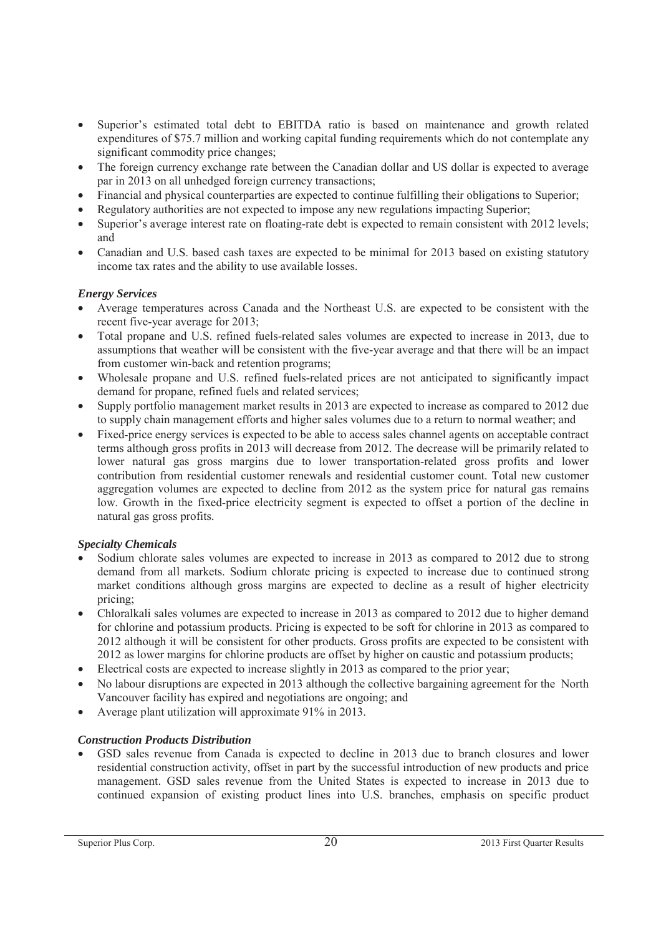- Superior's estimated total debt to EBITDA ratio is based on maintenance and growth related expenditures of \$75.7 million and working capital funding requirements which do not contemplate any significant commodity price changes;
- The foreign currency exchange rate between the Canadian dollar and US dollar is expected to average par in 2013 on all unhedged foreign currency transactions;
- Financial and physical counterparties are expected to continue fulfilling their obligations to Superior;
- Regulatory authorities are not expected to impose any new regulations impacting Superior;
- Superior's average interest rate on floating-rate debt is expected to remain consistent with 2012 levels; and
- Canadian and U.S. based cash taxes are expected to be minimal for 2013 based on existing statutory income tax rates and the ability to use available losses.

## *Energy Services*

- Average temperatures across Canada and the Northeast U.S. are expected to be consistent with the recent five-year average for 2013;
- Total propane and U.S. refined fuels-related sales volumes are expected to increase in 2013, due to assumptions that weather will be consistent with the five-year average and that there will be an impact from customer win-back and retention programs;
- Wholesale propane and U.S. refined fuels-related prices are not anticipated to significantly impact demand for propane, refined fuels and related services;
- Supply portfolio management market results in 2013 are expected to increase as compared to 2012 due to supply chain management efforts and higher sales volumes due to a return to normal weather; and
- Fixed-price energy services is expected to be able to access sales channel agents on acceptable contract terms although gross profits in 2013 will decrease from 2012. The decrease will be primarily related to lower natural gas gross margins due to lower transportation-related gross profits and lower contribution from residential customer renewals and residential customer count. Total new customer aggregation volumes are expected to decline from 2012 as the system price for natural gas remains low. Growth in the fixed-price electricity segment is expected to offset a portion of the decline in natural gas gross profits.

## *Specialty Chemicals*

- Sodium chlorate sales volumes are expected to increase in 2013 as compared to 2012 due to strong demand from all markets. Sodium chlorate pricing is expected to increase due to continued strong market conditions although gross margins are expected to decline as a result of higher electricity pricing;
- Chloralkali sales volumes are expected to increase in 2013 as compared to 2012 due to higher demand for chlorine and potassium products. Pricing is expected to be soft for chlorine in 2013 as compared to 2012 although it will be consistent for other products. Gross profits are expected to be consistent with 2012 as lower margins for chlorine products are offset by higher on caustic and potassium products;
- Electrical costs are expected to increase slightly in 2013 as compared to the prior year;
- No labour disruptions are expected in 2013 although the collective bargaining agreement for the North Vancouver facility has expired and negotiations are ongoing; and
- Average plant utilization will approximate 91% in 2013.

## *Construction Products Distribution*

• GSD sales revenue from Canada is expected to decline in 2013 due to branch closures and lower residential construction activity, offset in part by the successful introduction of new products and price management. GSD sales revenue from the United States is expected to increase in 2013 due to continued expansion of existing product lines into U.S. branches, emphasis on specific product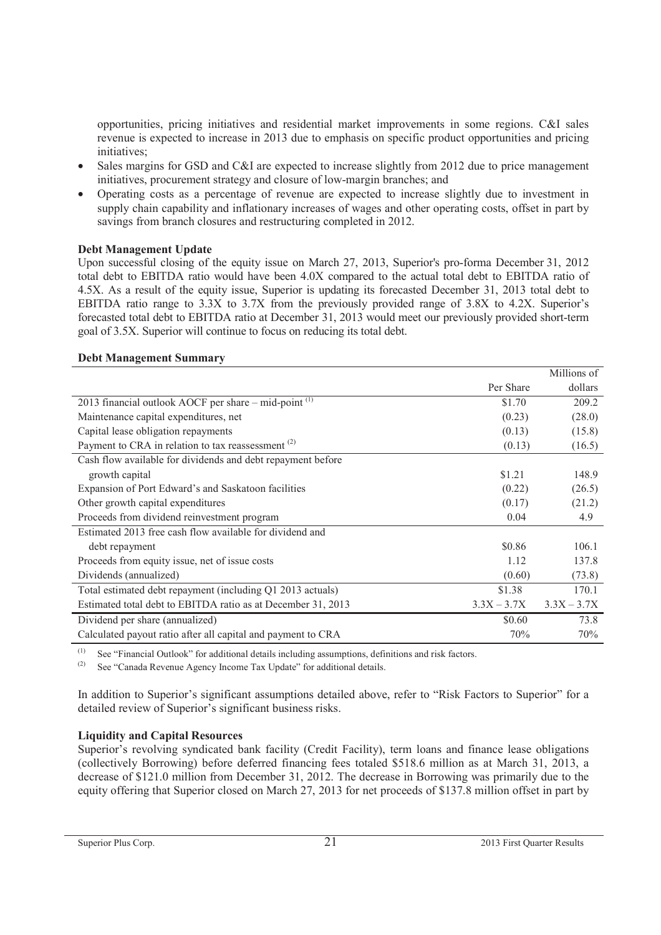opportunities, pricing initiatives and residential market improvements in some regions. C&I sales revenue is expected to increase in 2013 due to emphasis on specific product opportunities and pricing initiatives;

- Sales margins for GSD and C&I are expected to increase slightly from 2012 due to price management initiatives, procurement strategy and closure of low-margin branches; and
- Operating costs as a percentage of revenue are expected to increase slightly due to investment in supply chain capability and inflationary increases of wages and other operating costs, offset in part by savings from branch closures and restructuring completed in 2012.

## **Debt Management Update**

Upon successful closing of the equity issue on March 27, 2013, Superior's pro-forma December 31, 2012 total debt to EBITDA ratio would have been 4.0X compared to the actual total debt to EBITDA ratio of 4.5X. As a result of the equity issue, Superior is updating its forecasted December 31, 2013 total debt to EBITDA ratio range to 3.3X to 3.7X from the previously provided range of 3.8X to 4.2X. Superior's forecasted total debt to EBITDA ratio at December 31, 2013 would meet our previously provided short-term goal of 3.5X. Superior will continue to focus on reducing its total debt.

### **Debt Management Summary**

|                                                              |               | Millions of   |
|--------------------------------------------------------------|---------------|---------------|
|                                                              | Per Share     | dollars       |
| 2013 financial outlook AOCF per share – mid-point $(1)$      | \$1.70        | 209.2         |
| Maintenance capital expenditures, net                        | (0.23)        | (28.0)        |
| Capital lease obligation repayments                          | (0.13)        | (15.8)        |
| Payment to CRA in relation to tax reassessment $(2)$         | (0.13)        | (16.5)        |
| Cash flow available for dividends and debt repayment before  |               |               |
| growth capital                                               | \$1.21        | 148.9         |
| Expansion of Port Edward's and Saskatoon facilities          | (0.22)        | (26.5)        |
| Other growth capital expenditures                            | (0.17)        | (21.2)        |
| Proceeds from dividend reinvestment program                  | 0.04          | 4.9           |
| Estimated 2013 free cash flow available for dividend and     |               |               |
| debt repayment                                               | \$0.86        | 106.1         |
| Proceeds from equity issue, net of issue costs               | 1.12          | 137.8         |
| Dividends (annualized)                                       | (0.60)        | (73.8)        |
| Total estimated debt repayment (including Q1 2013 actuals)   | \$1.38        | 170.1         |
| Estimated total debt to EBITDA ratio as at December 31, 2013 | $3.3X - 3.7X$ | $3.3X - 3.7X$ |
| Dividend per share (annualized)                              | \$0.60        | 73.8          |
| Calculated payout ratio after all capital and payment to CRA | 70%           | 70%           |

(1) See "Financial Outlook" for additional details including assumptions, definitions and risk factors.

(2) See "Canada Revenue Agency Income Tax Update" for additional details.

In addition to Superior's significant assumptions detailed above, refer to "Risk Factors to Superior" for a detailed review of Superior's significant business risks.

### **Liquidity and Capital Resources**

Superior's revolving syndicated bank facility (Credit Facility), term loans and finance lease obligations (collectively Borrowing) before deferred financing fees totaled \$518.6 million as at March 31, 2013, a decrease of \$121.0 million from December 31, 2012. The decrease in Borrowing was primarily due to the equity offering that Superior closed on March 27, 2013 for net proceeds of \$137.8 million offset in part by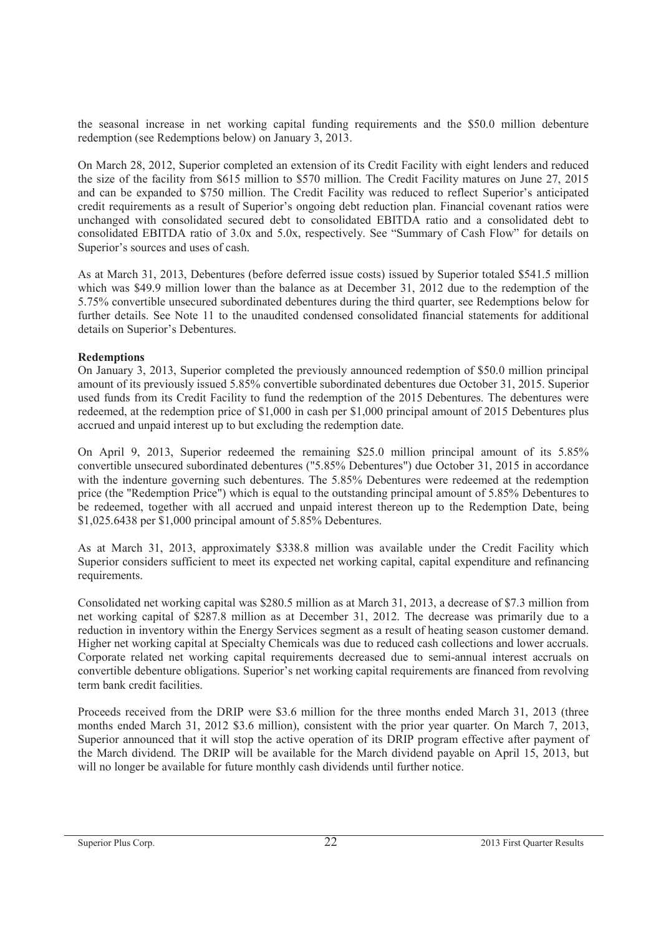the seasonal increase in net working capital funding requirements and the \$50.0 million debenture redemption (see Redemptions below) on January 3, 2013.

On March 28, 2012, Superior completed an extension of its Credit Facility with eight lenders and reduced the size of the facility from \$615 million to \$570 million. The Credit Facility matures on June 27, 2015 and can be expanded to \$750 million. The Credit Facility was reduced to reflect Superior's anticipated credit requirements as a result of Superior's ongoing debt reduction plan. Financial covenant ratios were unchanged with consolidated secured debt to consolidated EBITDA ratio and a consolidated debt to consolidated EBITDA ratio of 3.0x and 5.0x, respectively. See "Summary of Cash Flow" for details on Superior's sources and uses of cash.

As at March 31, 2013, Debentures (before deferred issue costs) issued by Superior totaled \$541.5 million which was \$49.9 million lower than the balance as at December 31, 2012 due to the redemption of the 5.75% convertible unsecured subordinated debentures during the third quarter, see Redemptions below for further details. See Note 11 to the unaudited condensed consolidated financial statements for additional details on Superior's Debentures.

## **Redemptions**

On January 3, 2013, Superior completed the previously announced redemption of \$50.0 million principal amount of its previously issued 5.85% convertible subordinated debentures due October 31, 2015. Superior used funds from its Credit Facility to fund the redemption of the 2015 Debentures. The debentures were redeemed, at the redemption price of \$1,000 in cash per \$1,000 principal amount of 2015 Debentures plus accrued and unpaid interest up to but excluding the redemption date.

On April 9, 2013, Superior redeemed the remaining \$25.0 million principal amount of its 5.85% convertible unsecured subordinated debentures ("5.85% Debentures") due October 31, 2015 in accordance with the indenture governing such debentures. The 5.85% Debentures were redeemed at the redemption price (the "Redemption Price") which is equal to the outstanding principal amount of 5.85% Debentures to be redeemed, together with all accrued and unpaid interest thereon up to the Redemption Date, being \$1,025.6438 per \$1,000 principal amount of 5.85% Debentures.

As at March 31, 2013, approximately \$338.8 million was available under the Credit Facility which Superior considers sufficient to meet its expected net working capital, capital expenditure and refinancing requirements.

Consolidated net working capital was \$280.5 million as at March 31, 2013, a decrease of \$7.3 million from net working capital of \$287.8 million as at December 31, 2012. The decrease was primarily due to a reduction in inventory within the Energy Services segment as a result of heating season customer demand. Higher net working capital at Specialty Chemicals was due to reduced cash collections and lower accruals. Corporate related net working capital requirements decreased due to semi-annual interest accruals on convertible debenture obligations. Superior's net working capital requirements are financed from revolving term bank credit facilities.

Proceeds received from the DRIP were \$3.6 million for the three months ended March 31, 2013 (three months ended March 31, 2012 \$3.6 million), consistent with the prior year quarter. On March 7, 2013, Superior announced that it will stop the active operation of its DRIP program effective after payment of the March dividend. The DRIP will be available for the March dividend payable on April 15, 2013, but will no longer be available for future monthly cash dividends until further notice.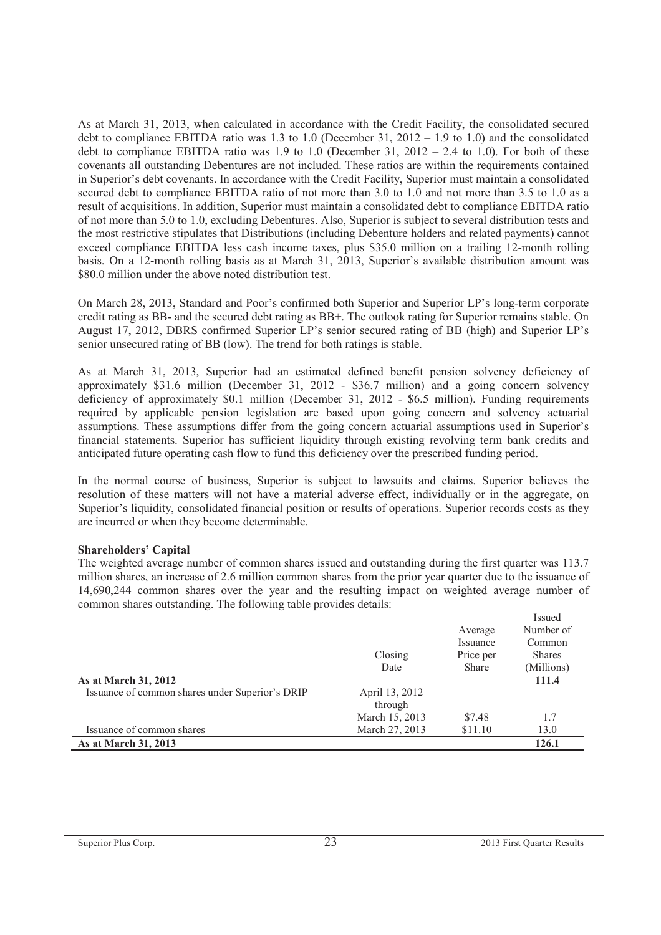As at March 31, 2013, when calculated in accordance with the Credit Facility, the consolidated secured debt to compliance EBITDA ratio was 1.3 to 1.0 (December 31, 2012 – 1.9 to 1.0) and the consolidated debt to compliance EBITDA ratio was 1.9 to 1.0 (December 31,  $2012 - 2.4$  to 1.0). For both of these covenants all outstanding Debentures are not included. These ratios are within the requirements contained in Superior's debt covenants. In accordance with the Credit Facility, Superior must maintain a consolidated secured debt to compliance EBITDA ratio of not more than 3.0 to 1.0 and not more than 3.5 to 1.0 as a result of acquisitions. In addition, Superior must maintain a consolidated debt to compliance EBITDA ratio of not more than 5.0 to 1.0, excluding Debentures. Also, Superior is subject to several distribution tests and the most restrictive stipulates that Distributions (including Debenture holders and related payments) cannot exceed compliance EBITDA less cash income taxes, plus \$35.0 million on a trailing 12-month rolling basis. On a 12-month rolling basis as at March 31, 2013, Superior's available distribution amount was \$80.0 million under the above noted distribution test.

On March 28, 2013, Standard and Poor's confirmed both Superior and Superior LP's long-term corporate credit rating as BB- and the secured debt rating as BB+. The outlook rating for Superior remains stable. On August 17, 2012, DBRS confirmed Superior LP's senior secured rating of BB (high) and Superior LP's senior unsecured rating of BB (low). The trend for both ratings is stable.

As at March 31, 2013, Superior had an estimated defined benefit pension solvency deficiency of approximately \$31.6 million (December 31, 2012 - \$36.7 million) and a going concern solvency deficiency of approximately \$0.1 million (December 31, 2012 - \$6.5 million). Funding requirements required by applicable pension legislation are based upon going concern and solvency actuarial assumptions. These assumptions differ from the going concern actuarial assumptions used in Superior's financial statements. Superior has sufficient liquidity through existing revolving term bank credits and anticipated future operating cash flow to fund this deficiency over the prescribed funding period.

In the normal course of business, Superior is subject to lawsuits and claims. Superior believes the resolution of these matters will not have a material adverse effect, individually or in the aggregate, on Superior's liquidity, consolidated financial position or results of operations. Superior records costs as they are incurred or when they become determinable.

### **Shareholders' Capital**

The weighted average number of common shares issued and outstanding during the first quarter was 113.7 million shares, an increase of 2.6 million common shares from the prior year quarter due to the issuance of 14,690,244 common shares over the year and the resulting impact on weighted average number of common shares outstanding. The following table provides details:

|                                                 |                |              | Issued        |
|-------------------------------------------------|----------------|--------------|---------------|
|                                                 |                | Average      | Number of     |
|                                                 |                | Issuance     | Common        |
|                                                 | Closing        | Price per    | <b>Shares</b> |
|                                                 | Date           | <b>Share</b> | (Millions)    |
| As at March 31, 2012                            |                |              | 111.4         |
| Issuance of common shares under Superior's DRIP | April 13, 2012 |              |               |
|                                                 | through        |              |               |
|                                                 | March 15, 2013 | \$7.48       | 1.7           |
| Issuance of common shares                       | March 27, 2013 | \$11.10      | 13.0          |
| As at March 31, 2013                            |                |              | 126.1         |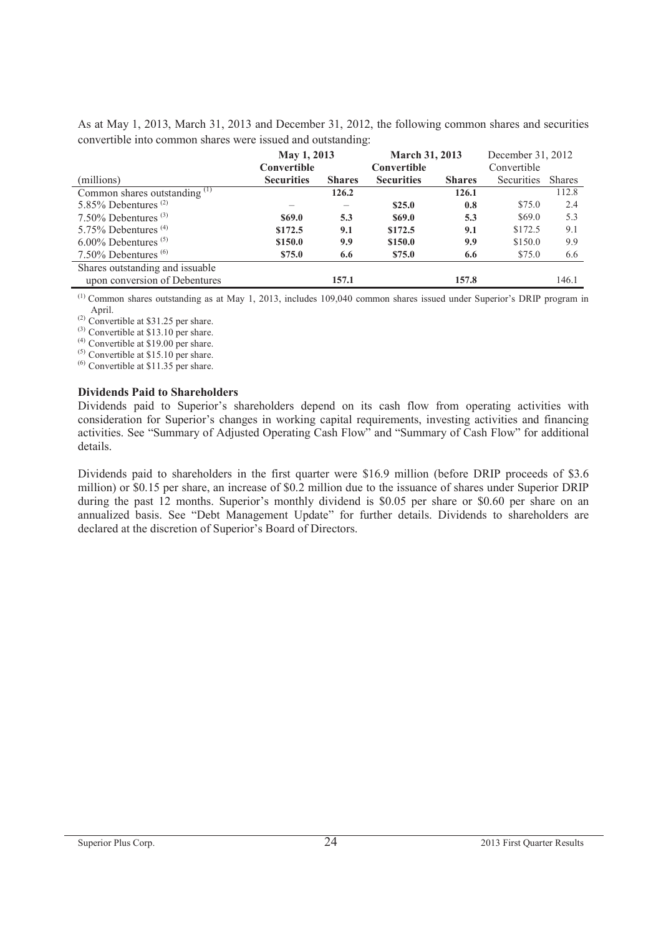As at May 1, 2013, March 31, 2013 and December 31, 2012, the following common shares and securities convertible into common shares were issued and outstanding:

|                                          | May 1, 2013       |               | <b>March 31, 2013</b> |               | December 31, 2012 |       |
|------------------------------------------|-------------------|---------------|-----------------------|---------------|-------------------|-------|
|                                          | Convertible       |               | Convertible           |               | Convertible       |       |
| (millions)                               | <b>Securities</b> | <b>Shares</b> | <b>Securities</b>     | <b>Shares</b> | Securities Shares |       |
| Common shares outstanding <sup>(1)</sup> |                   | 126.2         |                       | 126.1         |                   | 112.8 |
| 5.85% Debentures $(2)$                   |                   |               | \$25.0                | 0.8           | \$75.0            | 2.4   |
| $7.50\%$ Debentures <sup>(3)</sup>       | <b>\$69.0</b>     | 5.3           | <b>S69.0</b>          | 5.3           | \$69.0\$          | 5.3   |
| 5.75% Debentures $(4)$                   | \$172.5           | 9.1           | \$172.5               | 9.1           | \$172.5           | 9.1   |
| $6.00\%$ Debentures <sup>(5)</sup>       | \$150.0           | 9.9           | \$150.0               | 9.9           | \$150.0           | 9.9   |
| 7.50% Debentures $^{(6)}$                | \$75.0            | 6.6           | \$75.0                | 6.6           | \$75.0            | 6.6   |
| Shares outstanding and issuable          |                   |               |                       |               |                   |       |
| upon conversion of Debentures            |                   | 157.1         |                       | 157.8         |                   | 146.1 |

(1) Common shares outstanding as at May 1, 2013, includes 109,040 common shares issued under Superior's DRIP program in April.

 $(2)$  Convertible at \$31.25 per share.

(3) Convertible at \$13.10 per share.

 $<sup>(4)</sup>$  Convertible at \$19.00 per share.</sup>

 $<sup>(5)</sup>$  Convertible at \$15.10 per share.</sup>

 $^{(6)}$  Convertible at \$11.35 per share.

### **Dividends Paid to Shareholders**

Dividends paid to Superior's shareholders depend on its cash flow from operating activities with consideration for Superior's changes in working capital requirements, investing activities and financing activities. See "Summary of Adjusted Operating Cash Flow" and "Summary of Cash Flow" for additional details.

Dividends paid to shareholders in the first quarter were \$16.9 million (before DRIP proceeds of \$3.6 million) or \$0.15 per share, an increase of \$0.2 million due to the issuance of shares under Superior DRIP during the past 12 months. Superior's monthly dividend is \$0.05 per share or \$0.60 per share on an annualized basis. See "Debt Management Update" for further details. Dividends to shareholders are declared at the discretion of Superior's Board of Directors.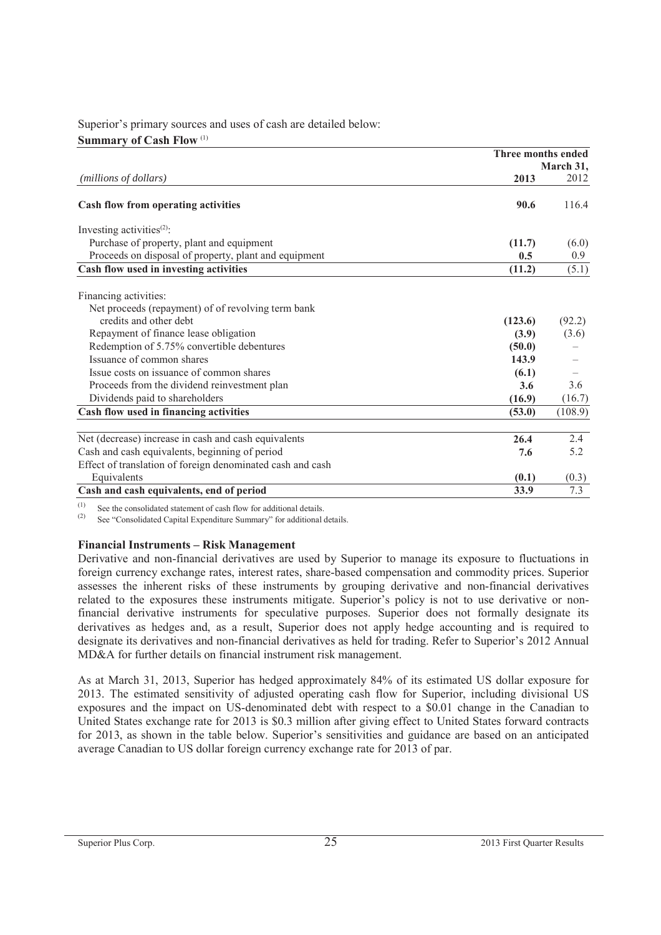| ∍ишшагу от Самп гтом                                       | Three months ended |                          |
|------------------------------------------------------------|--------------------|--------------------------|
|                                                            |                    | March 31,                |
| (millions of dollars)                                      | 2013               | 2012                     |
| Cash flow from operating activities                        | 90.6               | 116.4                    |
| Investing activities <sup>(2)</sup> :                      |                    |                          |
| Purchase of property, plant and equipment                  | (11.7)             | (6.0)                    |
| Proceeds on disposal of property, plant and equipment      | 0.5                | 0.9                      |
| Cash flow used in investing activities                     | (11.2)             | (5.1)                    |
| Financing activities:                                      |                    |                          |
| Net proceeds (repayment) of of revolving term bank         |                    |                          |
| credits and other debt                                     | (123.6)            | (92.2)                   |
| Repayment of finance lease obligation                      | (3.9)              | (3.6)                    |
| Redemption of 5.75% convertible debentures                 | (50.0)             |                          |
| Issuance of common shares                                  | 143.9              |                          |
| Issue costs on issuance of common shares                   | (6.1)              | $\overline{\phantom{0}}$ |
| Proceeds from the dividend reinvestment plan               | 3.6                | 3.6                      |
| Dividends paid to shareholders                             | (16.9)             | (16.7)                   |
| Cash flow used in financing activities                     | (53.0)             | (108.9)                  |
| Net (decrease) increase in cash and cash equivalents       | 26.4               | 2.4                      |
| Cash and cash equivalents, beginning of period             | 7.6                | 5.2                      |
| Effect of translation of foreign denominated cash and cash |                    |                          |
| Equivalents                                                | (0.1)              | (0.3)                    |
| Cash and cash equivalents, end of period                   | 33.9               | 7.3                      |

Superior's primary sources and uses of cash are detailed below: **Summary of Cash Flow** (1)

(1) See the consolidated statement of cash flow for additional details.

See "Consolidated Capital Expenditure Summary" for additional details.

### **Financial Instruments – Risk Management**

Derivative and non-financial derivatives are used by Superior to manage its exposure to fluctuations in foreign currency exchange rates, interest rates, share-based compensation and commodity prices. Superior assesses the inherent risks of these instruments by grouping derivative and non-financial derivatives related to the exposures these instruments mitigate. Superior's policy is not to use derivative or nonfinancial derivative instruments for speculative purposes. Superior does not formally designate its derivatives as hedges and, as a result, Superior does not apply hedge accounting and is required to designate its derivatives and non-financial derivatives as held for trading. Refer to Superior's 2012 Annual MD&A for further details on financial instrument risk management.

As at March 31, 2013, Superior has hedged approximately 84% of its estimated US dollar exposure for 2013. The estimated sensitivity of adjusted operating cash flow for Superior, including divisional US exposures and the impact on US-denominated debt with respect to a \$0.01 change in the Canadian to United States exchange rate for 2013 is \$0.3 million after giving effect to United States forward contracts for 2013, as shown in the table below. Superior's sensitivities and guidance are based on an anticipated average Canadian to US dollar foreign currency exchange rate for 2013 of par.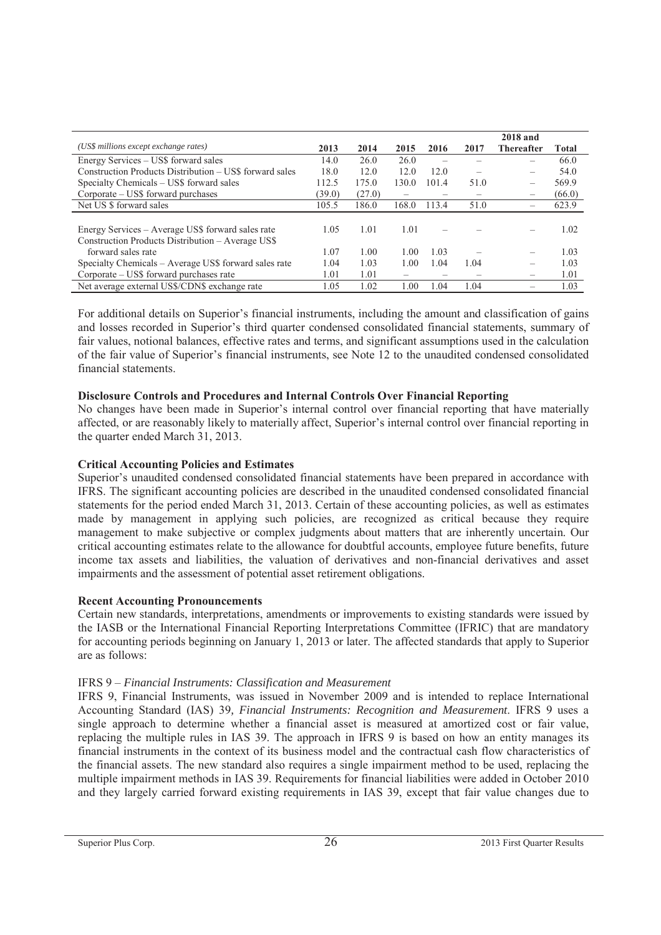|                                                         |        |        |          |       |      | 2018 and                 |        |
|---------------------------------------------------------|--------|--------|----------|-------|------|--------------------------|--------|
| (US\$ millions except exchange rates)                   | 2013   | 2014   | 2015     | 2016  | 2017 | <b>Thereafter</b>        | Total  |
| Energy Services – US\$ forward sales                    | 14.0   | 26.0   | 26.0     |       |      |                          | 66.0   |
| Construction Products Distribution – US\$ forward sales | 18.0   | 12.0   | 12.0     | 12.0  |      |                          | 54.0   |
| Specialty Chemicals – US\$ forward sales                | 112.5  | 175.0  | 130.0    | 101.4 | 51.0 | $\overline{\phantom{0}}$ | 569.9  |
| Corporate – US\$ forward purchases                      | (39.0) | (27.0) | $\equiv$ |       |      |                          | (66.0) |
| Net US \$ forward sales                                 | 105.5  | 186.0  | 168.0    | 113.4 | 51.0 |                          | 623.9  |
|                                                         |        |        |          |       |      |                          |        |
| Energy Services - Average US\$ forward sales rate       | 1.05   | 1.01   | 1.01     |       |      |                          | 1.02   |
| Construction Products Distribution – Average US\$       |        |        |          |       |      |                          |        |
| forward sales rate                                      | 1.07   | 1.00   | 1.00     | 1.03  |      |                          | 1.03   |
| Specialty Chemicals – Average US\$ forward sales rate   | 1.04   | 1.03   | 1.00     | 1.04  | 1.04 |                          | 1.03   |
| Corporate – US\$ forward purchases rate                 | 1.01   | 1.01   | —        |       |      |                          | 1.01   |
| Net average external US\$/CDN\$ exchange rate           | 1.05   | 1.02   | 1.00     | 1.04  | 1.04 |                          | 1.03   |

For additional details on Superior's financial instruments, including the amount and classification of gains and losses recorded in Superior's third quarter condensed consolidated financial statements, summary of fair values, notional balances, effective rates and terms, and significant assumptions used in the calculation of the fair value of Superior's financial instruments, see Note 12 to the unaudited condensed consolidated financial statements.

## **Disclosure Controls and Procedures and Internal Controls Over Financial Reporting**

No changes have been made in Superior's internal control over financial reporting that have materially affected, or are reasonably likely to materially affect, Superior's internal control over financial reporting in the quarter ended March 31, 2013.

## **Critical Accounting Policies and Estimates**

Superior's unaudited condensed consolidated financial statements have been prepared in accordance with IFRS. The significant accounting policies are described in the unaudited condensed consolidated financial statements for the period ended March 31, 2013. Certain of these accounting policies, as well as estimates made by management in applying such policies, are recognized as critical because they require management to make subjective or complex judgments about matters that are inherently uncertain. Our critical accounting estimates relate to the allowance for doubtful accounts, employee future benefits, future income tax assets and liabilities, the valuation of derivatives and non-financial derivatives and asset impairments and the assessment of potential asset retirement obligations.

### **Recent Accounting Pronouncements**

Certain new standards, interpretations, amendments or improvements to existing standards were issued by the IASB or the International Financial Reporting Interpretations Committee (IFRIC) that are mandatory for accounting periods beginning on January 1, 2013 or later. The affected standards that apply to Superior are as follows:

### IFRS 9 – *Financial Instruments: Classification and Measurement*

IFRS 9, Financial Instruments, was issued in November 2009 and is intended to replace International Accounting Standard (IAS) 39*, Financial Instruments: Recognition and Measurement*. IFRS 9 uses a single approach to determine whether a financial asset is measured at amortized cost or fair value, replacing the multiple rules in IAS 39. The approach in IFRS 9 is based on how an entity manages its financial instruments in the context of its business model and the contractual cash flow characteristics of the financial assets. The new standard also requires a single impairment method to be used, replacing the multiple impairment methods in IAS 39. Requirements for financial liabilities were added in October 2010 and they largely carried forward existing requirements in IAS 39, except that fair value changes due to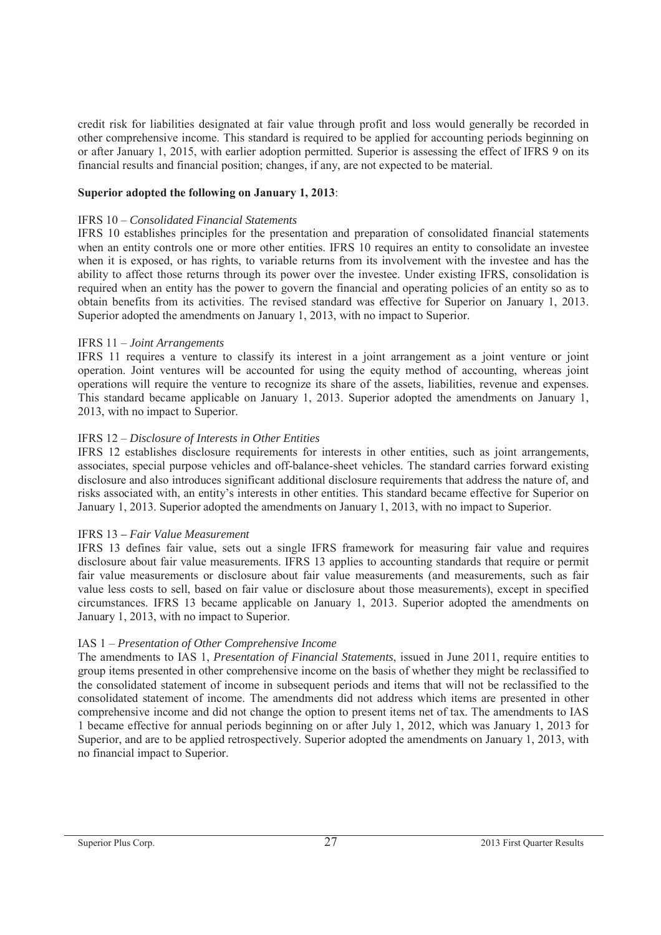credit risk for liabilities designated at fair value through profit and loss would generally be recorded in other comprehensive income. This standard is required to be applied for accounting periods beginning on or after January 1, 2015, with earlier adoption permitted. Superior is assessing the effect of IFRS 9 on its financial results and financial position; changes, if any, are not expected to be material.

## **Superior adopted the following on January 1, 2013**:

### IFRS 10 – *Consolidated Financial Statements*

IFRS 10 establishes principles for the presentation and preparation of consolidated financial statements when an entity controls one or more other entities. IFRS 10 requires an entity to consolidate an investee when it is exposed, or has rights, to variable returns from its involvement with the investee and has the ability to affect those returns through its power over the investee. Under existing IFRS, consolidation is required when an entity has the power to govern the financial and operating policies of an entity so as to obtain benefits from its activities. The revised standard was effective for Superior on January 1, 2013. Superior adopted the amendments on January 1, 2013, with no impact to Superior.

### IFRS 11 – *Joint Arrangements*

IFRS 11 requires a venture to classify its interest in a joint arrangement as a joint venture or joint operation. Joint ventures will be accounted for using the equity method of accounting, whereas joint operations will require the venture to recognize its share of the assets, liabilities, revenue and expenses. This standard became applicable on January 1, 2013. Superior adopted the amendments on January 1, 2013, with no impact to Superior.

## IFRS 12 – *Disclosure of Interests in Other Entities*

IFRS 12 establishes disclosure requirements for interests in other entities, such as joint arrangements, associates, special purpose vehicles and off-balance-sheet vehicles. The standard carries forward existing disclosure and also introduces significant additional disclosure requirements that address the nature of, and risks associated with, an entity's interests in other entities. This standard became effective for Superior on January 1, 2013. Superior adopted the amendments on January 1, 2013, with no impact to Superior.

### IFRS 13 *– Fair Value Measurement*

IFRS 13 defines fair value, sets out a single IFRS framework for measuring fair value and requires disclosure about fair value measurements. IFRS 13 applies to accounting standards that require or permit fair value measurements or disclosure about fair value measurements (and measurements, such as fair value less costs to sell, based on fair value or disclosure about those measurements), except in specified circumstances. IFRS 13 became applicable on January 1, 2013. Superior adopted the amendments on January 1, 2013, with no impact to Superior.

## IAS 1 – *Presentation of Other Comprehensive Income*

The amendments to IAS 1, *Presentation of Financial Statements*, issued in June 2011, require entities to group items presented in other comprehensive income on the basis of whether they might be reclassified to the consolidated statement of income in subsequent periods and items that will not be reclassified to the consolidated statement of income. The amendments did not address which items are presented in other comprehensive income and did not change the option to present items net of tax. The amendments to IAS 1 became effective for annual periods beginning on or after July 1, 2012, which was January 1, 2013 for Superior, and are to be applied retrospectively. Superior adopted the amendments on January 1, 2013, with no financial impact to Superior.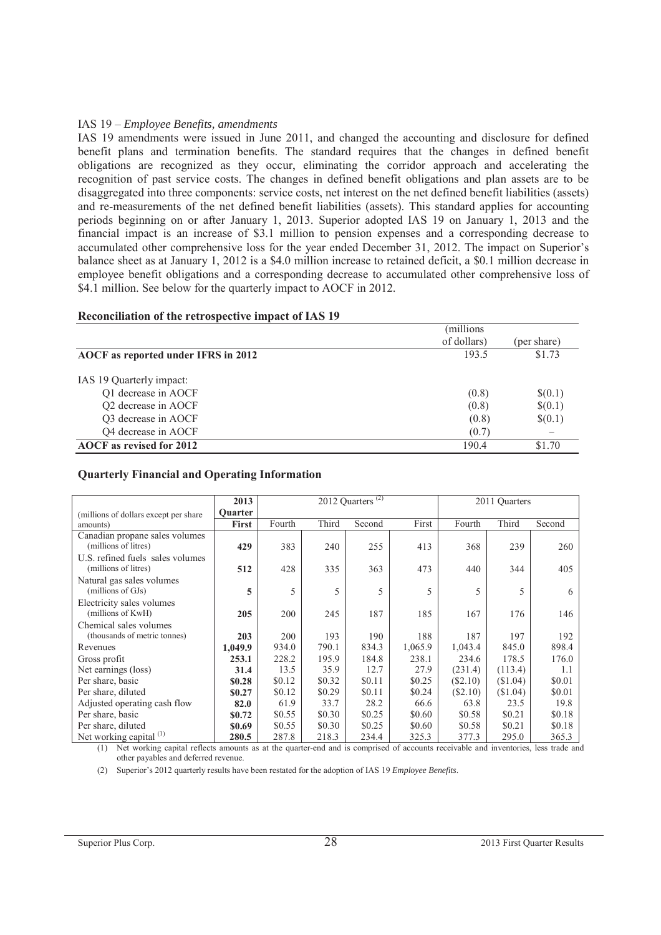### IAS 19 – *Employee Benefits, amendments*

IAS 19 amendments were issued in June 2011, and changed the accounting and disclosure for defined benefit plans and termination benefits. The standard requires that the changes in defined benefit obligations are recognized as they occur, eliminating the corridor approach and accelerating the recognition of past service costs. The changes in defined benefit obligations and plan assets are to be disaggregated into three components: service costs, net interest on the net defined benefit liabilities (assets) and re-measurements of the net defined benefit liabilities (assets). This standard applies for accounting periods beginning on or after January 1, 2013. Superior adopted IAS 19 on January 1, 2013 and the financial impact is an increase of \$3.1 million to pension expenses and a corresponding decrease to accumulated other comprehensive loss for the year ended December 31, 2012. The impact on Superior's balance sheet as at January 1, 2012 is a \$4.0 million increase to retained deficit, a \$0.1 million decrease in employee benefit obligations and a corresponding decrease to accumulated other comprehensive loss of \$4.1 million. See below for the quarterly impact to AOCF in 2012.

### **Reconciliation of the retrospective impact of IAS 19**

|                                     | (millions)  |             |
|-------------------------------------|-------------|-------------|
|                                     | of dollars) | (per share) |
| AOCF as reported under IFRS in 2012 | 193.5       | \$1.73      |
| IAS 19 Quarterly impact:            |             |             |
| Q1 decrease in AOCF                 | (0.8)       | \$(0.1)     |
| Q2 decrease in AOCF                 | (0.8)       | \$(0.1)     |
| Q3 decrease in AOCF                 | (0.8)       | \$(0.1)     |
| Q4 decrease in AOCF                 | (0.7)       |             |
| <b>AOCF</b> as revised for 2012     | 190.4       | \$1.70      |

#### **Quarterly Financial and Operating Information**

|                                       | 2013           | 2012 Quarters $(2)$ |        |        |         | 2011 Quarters |          |        |
|---------------------------------------|----------------|---------------------|--------|--------|---------|---------------|----------|--------|
| (millions of dollars except per share | <b>Ouarter</b> |                     |        |        |         |               |          |        |
| amounts)                              | First          | Fourth              | Third  | Second | First   | Fourth        | Third    | Second |
| Canadian propane sales volumes        |                |                     |        |        |         |               |          |        |
| (millions of litres)                  | 429            | 383                 | 240    | 255    | 413     | 368           | 239      | 260    |
| U.S. refined fuels sales volumes      |                |                     |        |        |         |               |          |        |
| (millions of litres)                  | 512            | 428                 | 335    | 363    | 473     | 440           | 344      | 405    |
| Natural gas sales volumes             |                |                     |        |        |         |               |          |        |
| (millions of GJs)                     | 5              | 5                   | 5      | 5      | 5       | 5             | 5        | 6      |
| Electricity sales volumes             |                |                     |        |        |         |               |          |        |
| (millions of KwH)                     | 205            | 200                 | 245    | 187    | 185     | 167           | 176      | 146    |
| Chemical sales volumes                |                |                     |        |        |         |               |          |        |
| (thousands of metric tonnes)          | 203            | 200                 | 193    | 190    | 188     | 187           | 197      | 192    |
| Revenues                              | 1,049.9        | 934.0               | 790.1  | 834.3  | 1,065.9 | 1,043.4       | 845.0    | 898.4  |
| Gross profit                          | 253.1          | 228.2               | 195.9  | 184.8  | 238.1   | 234.6         | 178.5    | 176.0  |
| Net earnings (loss)                   | 31.4           | 13.5                | 35.9   | 12.7   | 27.9    | (231.4)       | (113.4)  | 1.1    |
| Per share, basic                      | \$0.28         | \$0.12              | \$0.32 | \$0.11 | \$0.25  | $(\$2.10)$    | (\$1.04) | \$0.01 |
| Per share, diluted                    | \$0.27         | \$0.12              | \$0.29 | \$0.11 | \$0.24  | (\$2.10)      | (\$1.04) | \$0.01 |
| Adjusted operating cash flow          | 82.0           | 61.9                | 33.7   | 28.2   | 66.6    | 63.8          | 23.5     | 19.8   |
| Per share, basic                      | \$0.72         | \$0.55              | \$0.30 | \$0.25 | \$0.60  | \$0.58        | \$0.21   | \$0.18 |
| Per share, diluted                    | \$0.69         | \$0.55              | \$0.30 | \$0.25 | \$0.60  | \$0.58        | \$0.21   | \$0.18 |
| Net working capital <sup>(1)</sup>    | 280.5          | 287.8               | 218.3  | 234.4  | 325.3   | 377.3         | 295.0    | 365.3  |

(1) Net working capital reflects amounts as at the quarter-end and is comprised of accounts receivable and inventories, less trade and other payables and deferred revenue.

(2) Superior's 2012 quarterly results have been restated for the adoption of IAS 19 *Employee Benefits*.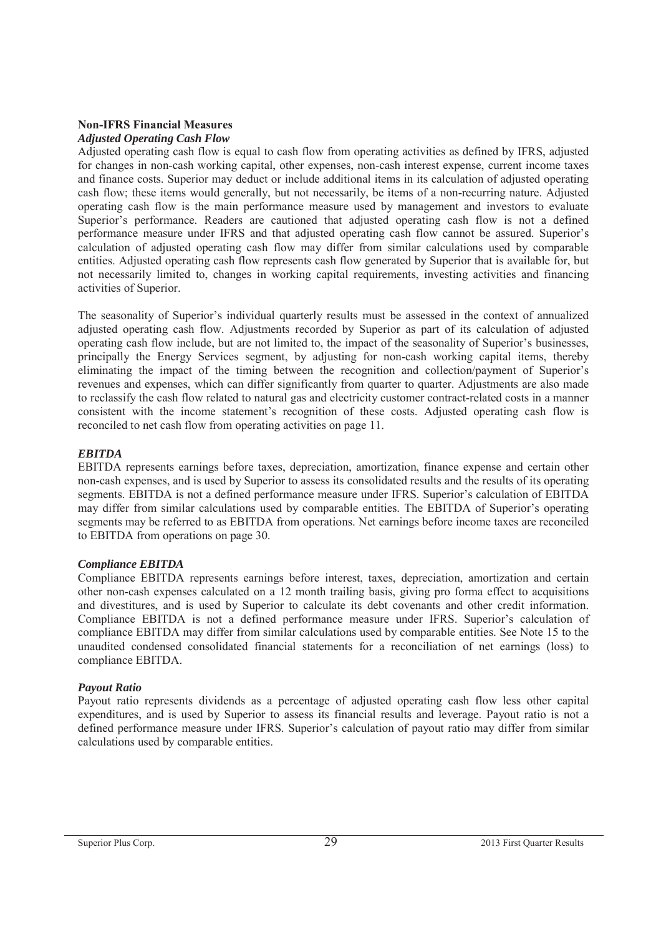### **Non-IFRS Financial Measures**  *Adjusted Operating Cash Flow*

Adjusted operating cash flow is equal to cash flow from operating activities as defined by IFRS, adjusted for changes in non-cash working capital, other expenses, non-cash interest expense, current income taxes and finance costs. Superior may deduct or include additional items in its calculation of adjusted operating cash flow; these items would generally, but not necessarily, be items of a non-recurring nature. Adjusted operating cash flow is the main performance measure used by management and investors to evaluate Superior's performance. Readers are cautioned that adjusted operating cash flow is not a defined performance measure under IFRS and that adjusted operating cash flow cannot be assured. Superior's calculation of adjusted operating cash flow may differ from similar calculations used by comparable entities. Adjusted operating cash flow represents cash flow generated by Superior that is available for, but not necessarily limited to, changes in working capital requirements, investing activities and financing activities of Superior.

The seasonality of Superior's individual quarterly results must be assessed in the context of annualized adjusted operating cash flow. Adjustments recorded by Superior as part of its calculation of adjusted operating cash flow include, but are not limited to, the impact of the seasonality of Superior's businesses, principally the Energy Services segment, by adjusting for non-cash working capital items, thereby eliminating the impact of the timing between the recognition and collection/payment of Superior's revenues and expenses, which can differ significantly from quarter to quarter. Adjustments are also made to reclassify the cash flow related to natural gas and electricity customer contract-related costs in a manner consistent with the income statement's recognition of these costs. Adjusted operating cash flow is reconciled to net cash flow from operating activities on page 11.

## *EBITDA*

EBITDA represents earnings before taxes, depreciation, amortization, finance expense and certain other non-cash expenses, and is used by Superior to assess its consolidated results and the results of its operating segments. EBITDA is not a defined performance measure under IFRS. Superior's calculation of EBITDA may differ from similar calculations used by comparable entities. The EBITDA of Superior's operating segments may be referred to as EBITDA from operations. Net earnings before income taxes are reconciled to EBITDA from operations on page 30.

### *Compliance EBITDA*

Compliance EBITDA represents earnings before interest, taxes, depreciation, amortization and certain other non-cash expenses calculated on a 12 month trailing basis, giving pro forma effect to acquisitions and divestitures, and is used by Superior to calculate its debt covenants and other credit information. Compliance EBITDA is not a defined performance measure under IFRS. Superior's calculation of compliance EBITDA may differ from similar calculations used by comparable entities. See Note 15 to the unaudited condensed consolidated financial statements for a reconciliation of net earnings (loss) to compliance EBITDA.

## *Payout Ratio*

Payout ratio represents dividends as a percentage of adjusted operating cash flow less other capital expenditures, and is used by Superior to assess its financial results and leverage. Payout ratio is not a defined performance measure under IFRS. Superior's calculation of payout ratio may differ from similar calculations used by comparable entities.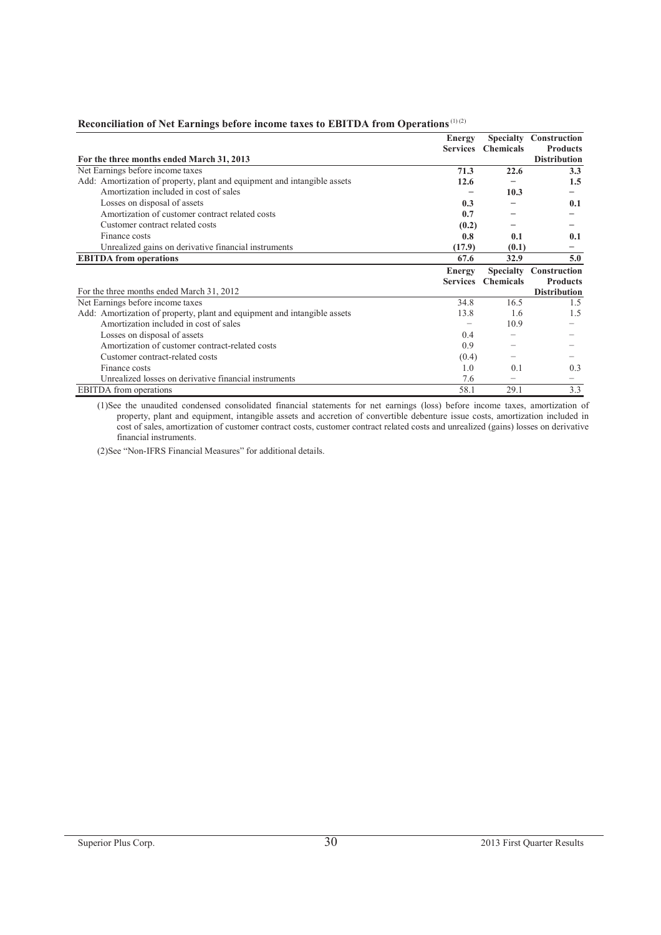|                                                                          | Energy          |                          | <b>Specialty Construction</b> |
|--------------------------------------------------------------------------|-----------------|--------------------------|-------------------------------|
|                                                                          | <b>Services</b> | <b>Chemicals</b>         | <b>Products</b>               |
| For the three months ended March 31, 2013                                |                 |                          | <b>Distribution</b>           |
| Net Earnings before income taxes                                         | 71.3            | 22.6                     | 3.3                           |
| Add: Amortization of property, plant and equipment and intangible assets | 12.6            |                          | 1.5                           |
| Amortization included in cost of sales                                   |                 | 10.3                     |                               |
| Losses on disposal of assets                                             | 0.3             |                          | 0.1                           |
| Amortization of customer contract related costs                          | 0.7             |                          |                               |
| Customer contract related costs                                          | (0.2)           |                          |                               |
| Finance costs                                                            | 0.8             | 0.1                      | 0.1                           |
| Unrealized gains on derivative financial instruments                     | (17.9)          | (0.1)                    |                               |
| <b>EBITDA</b> from operations                                            | 67.6            | 32.9                     | 5.0                           |
|                                                                          |                 |                          |                               |
|                                                                          | Energy          |                          | <b>Specialty Construction</b> |
|                                                                          | <b>Services</b> | <b>Chemicals</b>         | <b>Products</b>               |
| For the three months ended March 31, 2012                                |                 |                          | <b>Distribution</b>           |
| Net Earnings before income taxes                                         | 34.8            | 16.5                     | 1.5                           |
| Add: Amortization of property, plant and equipment and intangible assets | 13.8            | 1.6                      | 1.5                           |
| Amortization included in cost of sales                                   |                 | 10.9                     |                               |
| Losses on disposal of assets                                             | 0.4             |                          |                               |
| Amortization of customer contract-related costs                          | 0.9             |                          |                               |
| Customer contract-related costs                                          | (0.4)           |                          |                               |
| Finance costs                                                            | 1.0             | 0.1                      | 0.3                           |
| Unrealized losses on derivative financial instruments                    | 7.6             | $\overline{\phantom{0}}$ |                               |

## **Reconciliation of Net Earnings before income taxes to EBITDA from Operations** (1) (2)

(1)See the unaudited condensed consolidated financial statements for net earnings (loss) before income taxes, amortization of property, plant and equipment, intangible assets and accretion of convertible debenture issue costs, amortization included in cost of sales, amortization of customer contract costs, customer contract related costs and unrealized (gains) losses on derivative financial instruments.

(2)See "Non-IFRS Financial Measures" for additional details.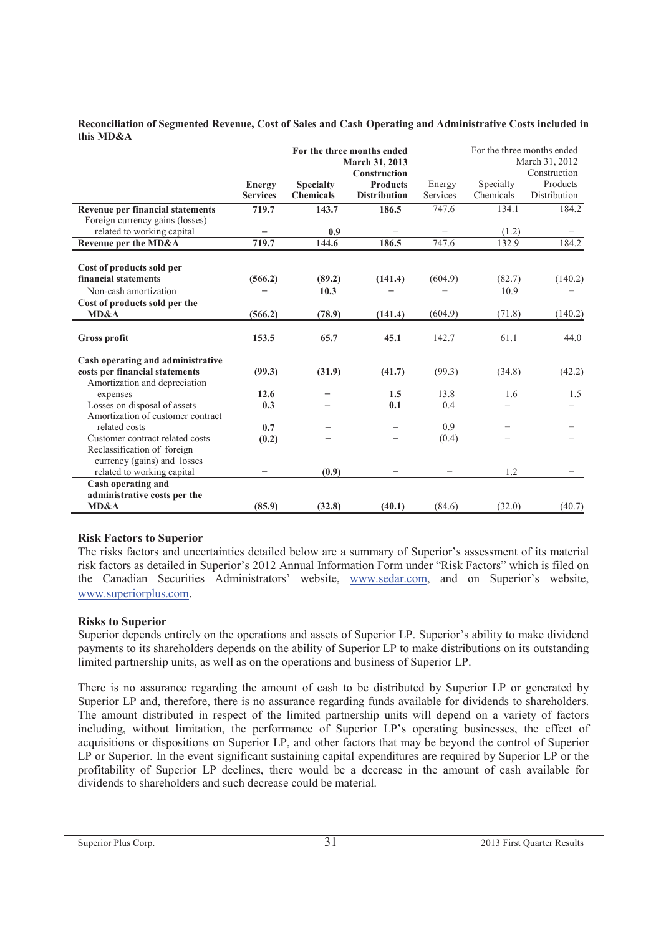|                                   |                 |                  | For the three months ended<br>March 31, 2013 |          | For the three months ended | March 31, 2012 |
|-----------------------------------|-----------------|------------------|----------------------------------------------|----------|----------------------------|----------------|
|                                   |                 |                  | <b>Construction</b>                          |          |                            | Construction   |
|                                   | <b>Energy</b>   | <b>Specialty</b> | <b>Products</b>                              | Energy   | Specialty                  | Products       |
|                                   | <b>Services</b> | <b>Chemicals</b> | <b>Distribution</b>                          | Services | Chemicals                  | Distribution   |
| Revenue per financial statements  | 719.7           | 143.7            | 186.5                                        | 747.6    | 134.1                      | 184.2          |
| Foreign currency gains (losses)   |                 |                  |                                              |          |                            |                |
| related to working capital        |                 | 0.9              |                                              |          | (1.2)                      |                |
| Revenue per the MD&A              | 719.7           | 144.6            | 186.5                                        | 747.6    | 132.9                      | 184.2          |
|                                   |                 |                  |                                              |          |                            |                |
| Cost of products sold per         |                 |                  |                                              |          |                            |                |
| financial statements              | (566.2)         | (89.2)           | (141.4)                                      | (604.9)  | (82.7)                     | (140.2)        |
| Non-cash amortization             |                 | 10.3             |                                              |          | 10.9                       |                |
| Cost of products sold per the     |                 |                  |                                              |          |                            |                |
| MD&A                              | (566.2)         | (78.9)           | (141.4)                                      | (604.9)  | (71.8)                     | (140.2)        |
| Gross profit                      | 153.5           | 65.7             | 45.1                                         | 142.7    | 61.1                       | 44.0           |
|                                   |                 |                  |                                              |          |                            |                |
| Cash operating and administrative |                 |                  |                                              |          |                            |                |
| costs per financial statements    | (99.3)          | (31.9)           | (41.7)                                       | (99.3)   | (34.8)                     | (42.2)         |
| Amortization and depreciation     |                 |                  |                                              |          |                            |                |
| expenses                          | 12.6            |                  | 1.5                                          | 13.8     | 1.6                        | 1.5            |
| Losses on disposal of assets      | 0.3             |                  | 0.1                                          | 0.4      |                            |                |
| Amortization of customer contract |                 |                  |                                              |          |                            |                |
| related costs                     | 0.7             |                  |                                              | 0.9      |                            |                |
| Customer contract related costs   | (0.2)           |                  |                                              | (0.4)    |                            |                |
| Reclassification of foreign       |                 |                  |                                              |          |                            |                |
| currency (gains) and losses       |                 |                  |                                              |          |                            |                |
| related to working capital        |                 | (0.9)            |                                              |          | 1.2                        |                |
| Cash operating and                |                 |                  |                                              |          |                            |                |
| administrative costs per the      |                 |                  |                                              |          |                            |                |
| MD&A                              | (85.9)          | (32.8)           | (40.1)                                       | (84.6)   | (32.0)                     | (40.7)         |

**Reconciliation of Segmented Revenue, Cost of Sales and Cash Operating and Administrative Costs included in this MD&A** 

## **Risk Factors to Superior**

The risks factors and uncertainties detailed below are a summary of Superior's assessment of its material risk factors as detailed in Superior's 2012 Annual Information Form under "Risk Factors" which is filed on the Canadian Securities Administrators' website, www.sedar.com, and on Superior's website, www.superiorplus.com.

### **Risks to Superior**

Superior depends entirely on the operations and assets of Superior LP. Superior's ability to make dividend payments to its shareholders depends on the ability of Superior LP to make distributions on its outstanding limited partnership units, as well as on the operations and business of Superior LP.

There is no assurance regarding the amount of cash to be distributed by Superior LP or generated by Superior LP and, therefore, there is no assurance regarding funds available for dividends to shareholders. The amount distributed in respect of the limited partnership units will depend on a variety of factors including, without limitation, the performance of Superior LP's operating businesses, the effect of acquisitions or dispositions on Superior LP, and other factors that may be beyond the control of Superior LP or Superior. In the event significant sustaining capital expenditures are required by Superior LP or the profitability of Superior LP declines, there would be a decrease in the amount of cash available for dividends to shareholders and such decrease could be material.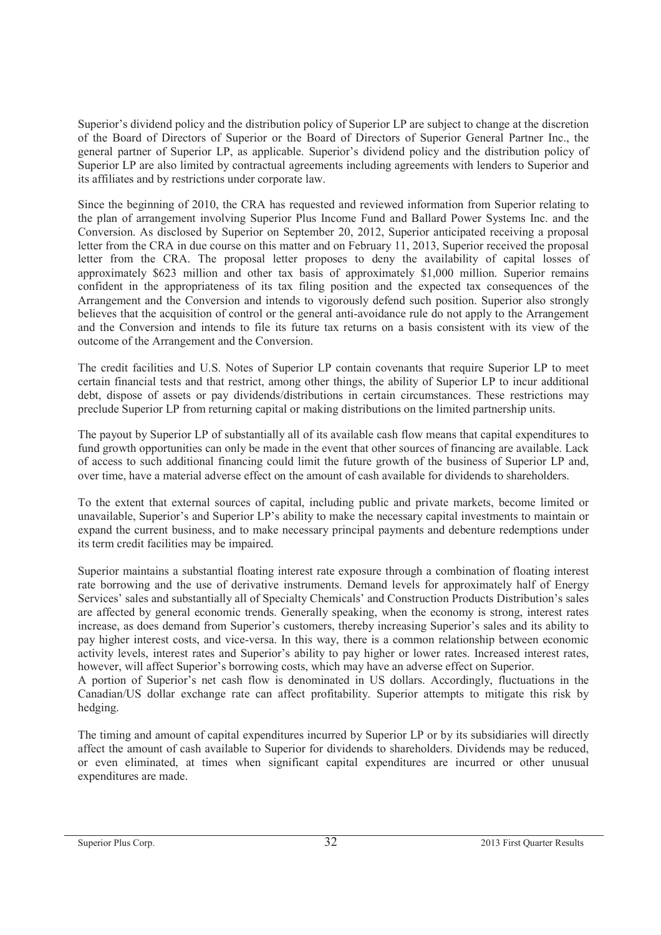Superior's dividend policy and the distribution policy of Superior LP are subject to change at the discretion of the Board of Directors of Superior or the Board of Directors of Superior General Partner Inc., the general partner of Superior LP, as applicable. Superior's dividend policy and the distribution policy of Superior LP are also limited by contractual agreements including agreements with lenders to Superior and its affiliates and by restrictions under corporate law.

Since the beginning of 2010, the CRA has requested and reviewed information from Superior relating to the plan of arrangement involving Superior Plus Income Fund and Ballard Power Systems Inc. and the Conversion. As disclosed by Superior on September 20, 2012, Superior anticipated receiving a proposal letter from the CRA in due course on this matter and on February 11, 2013, Superior received the proposal letter from the CRA. The proposal letter proposes to deny the availability of capital losses of approximately \$623 million and other tax basis of approximately \$1,000 million. Superior remains confident in the appropriateness of its tax filing position and the expected tax consequences of the Arrangement and the Conversion and intends to vigorously defend such position. Superior also strongly believes that the acquisition of control or the general anti-avoidance rule do not apply to the Arrangement and the Conversion and intends to file its future tax returns on a basis consistent with its view of the outcome of the Arrangement and the Conversion.

The credit facilities and U.S. Notes of Superior LP contain covenants that require Superior LP to meet certain financial tests and that restrict, among other things, the ability of Superior LP to incur additional debt, dispose of assets or pay dividends/distributions in certain circumstances. These restrictions may preclude Superior LP from returning capital or making distributions on the limited partnership units.

The payout by Superior LP of substantially all of its available cash flow means that capital expenditures to fund growth opportunities can only be made in the event that other sources of financing are available. Lack of access to such additional financing could limit the future growth of the business of Superior LP and, over time, have a material adverse effect on the amount of cash available for dividends to shareholders.

To the extent that external sources of capital, including public and private markets, become limited or unavailable, Superior's and Superior LP's ability to make the necessary capital investments to maintain or expand the current business, and to make necessary principal payments and debenture redemptions under its term credit facilities may be impaired.

Superior maintains a substantial floating interest rate exposure through a combination of floating interest rate borrowing and the use of derivative instruments. Demand levels for approximately half of Energy Services' sales and substantially all of Specialty Chemicals' and Construction Products Distribution's sales are affected by general economic trends. Generally speaking, when the economy is strong, interest rates increase, as does demand from Superior's customers, thereby increasing Superior's sales and its ability to pay higher interest costs, and vice-versa. In this way, there is a common relationship between economic activity levels, interest rates and Superior's ability to pay higher or lower rates. Increased interest rates, however, will affect Superior's borrowing costs, which may have an adverse effect on Superior.

A portion of Superior's net cash flow is denominated in US dollars. Accordingly, fluctuations in the Canadian/US dollar exchange rate can affect profitability. Superior attempts to mitigate this risk by hedging.

The timing and amount of capital expenditures incurred by Superior LP or by its subsidiaries will directly affect the amount of cash available to Superior for dividends to shareholders. Dividends may be reduced, or even eliminated, at times when significant capital expenditures are incurred or other unusual expenditures are made.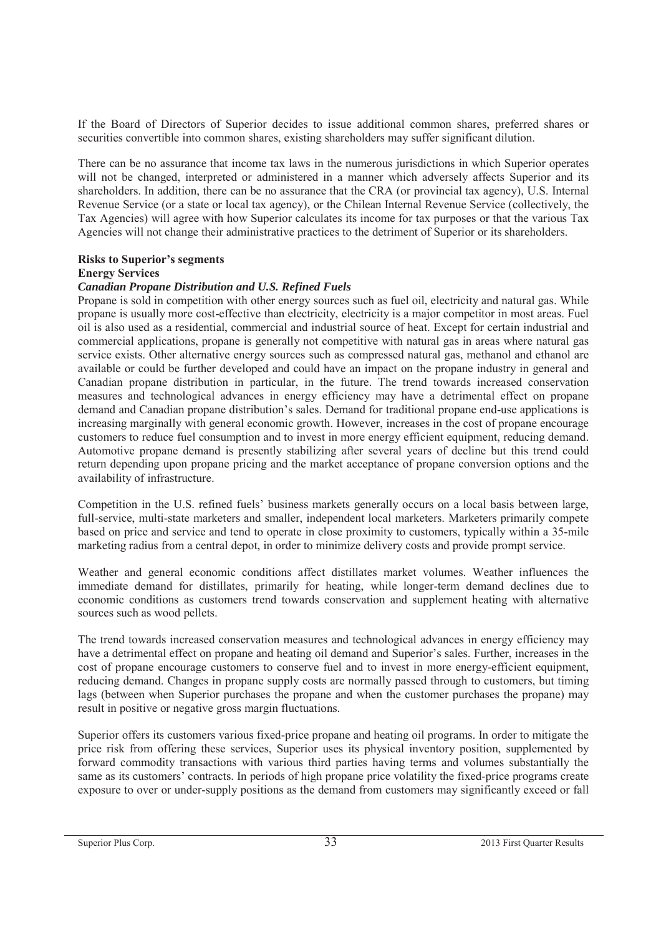If the Board of Directors of Superior decides to issue additional common shares, preferred shares or securities convertible into common shares, existing shareholders may suffer significant dilution.

There can be no assurance that income tax laws in the numerous jurisdictions in which Superior operates will not be changed, interpreted or administered in a manner which adversely affects Superior and its shareholders. In addition, there can be no assurance that the CRA (or provincial tax agency), U.S. Internal Revenue Service (or a state or local tax agency), or the Chilean Internal Revenue Service (collectively, the Tax Agencies) will agree with how Superior calculates its income for tax purposes or that the various Tax Agencies will not change their administrative practices to the detriment of Superior or its shareholders.

### **Risks to Superior's segments**

### **Energy Services**

### *Canadian Propane Distribution and U.S. Refined Fuels*

Propane is sold in competition with other energy sources such as fuel oil, electricity and natural gas. While propane is usually more cost-effective than electricity, electricity is a major competitor in most areas. Fuel oil is also used as a residential, commercial and industrial source of heat. Except for certain industrial and commercial applications, propane is generally not competitive with natural gas in areas where natural gas service exists. Other alternative energy sources such as compressed natural gas, methanol and ethanol are available or could be further developed and could have an impact on the propane industry in general and Canadian propane distribution in particular, in the future. The trend towards increased conservation measures and technological advances in energy efficiency may have a detrimental effect on propane demand and Canadian propane distribution's sales. Demand for traditional propane end-use applications is increasing marginally with general economic growth. However, increases in the cost of propane encourage customers to reduce fuel consumption and to invest in more energy efficient equipment, reducing demand. Automotive propane demand is presently stabilizing after several years of decline but this trend could return depending upon propane pricing and the market acceptance of propane conversion options and the availability of infrastructure.

Competition in the U.S. refined fuels' business markets generally occurs on a local basis between large, full-service, multi-state marketers and smaller, independent local marketers. Marketers primarily compete based on price and service and tend to operate in close proximity to customers, typically within a 35-mile marketing radius from a central depot, in order to minimize delivery costs and provide prompt service.

Weather and general economic conditions affect distillates market volumes. Weather influences the immediate demand for distillates, primarily for heating, while longer-term demand declines due to economic conditions as customers trend towards conservation and supplement heating with alternative sources such as wood pellets.

The trend towards increased conservation measures and technological advances in energy efficiency may have a detrimental effect on propane and heating oil demand and Superior's sales. Further, increases in the cost of propane encourage customers to conserve fuel and to invest in more energy-efficient equipment, reducing demand. Changes in propane supply costs are normally passed through to customers, but timing lags (between when Superior purchases the propane and when the customer purchases the propane) may result in positive or negative gross margin fluctuations.

Superior offers its customers various fixed-price propane and heating oil programs. In order to mitigate the price risk from offering these services, Superior uses its physical inventory position, supplemented by forward commodity transactions with various third parties having terms and volumes substantially the same as its customers' contracts. In periods of high propane price volatility the fixed-price programs create exposure to over or under-supply positions as the demand from customers may significantly exceed or fall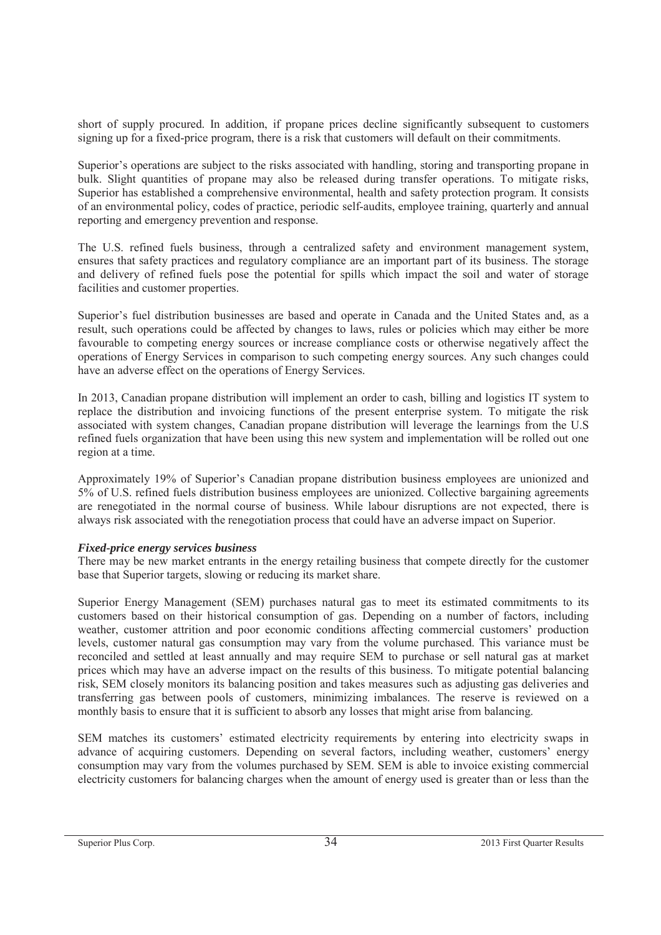short of supply procured. In addition, if propane prices decline significantly subsequent to customers signing up for a fixed-price program, there is a risk that customers will default on their commitments.

Superior's operations are subject to the risks associated with handling, storing and transporting propane in bulk. Slight quantities of propane may also be released during transfer operations. To mitigate risks, Superior has established a comprehensive environmental, health and safety protection program. It consists of an environmental policy, codes of practice, periodic self-audits, employee training, quarterly and annual reporting and emergency prevention and response.

The U.S. refined fuels business, through a centralized safety and environment management system, ensures that safety practices and regulatory compliance are an important part of its business. The storage and delivery of refined fuels pose the potential for spills which impact the soil and water of storage facilities and customer properties.

Superior's fuel distribution businesses are based and operate in Canada and the United States and, as a result, such operations could be affected by changes to laws, rules or policies which may either be more favourable to competing energy sources or increase compliance costs or otherwise negatively affect the operations of Energy Services in comparison to such competing energy sources. Any such changes could have an adverse effect on the operations of Energy Services.

In 2013, Canadian propane distribution will implement an order to cash, billing and logistics IT system to replace the distribution and invoicing functions of the present enterprise system. To mitigate the risk associated with system changes, Canadian propane distribution will leverage the learnings from the U.S refined fuels organization that have been using this new system and implementation will be rolled out one region at a time.

Approximately 19% of Superior's Canadian propane distribution business employees are unionized and 5% of U.S. refined fuels distribution business employees are unionized. Collective bargaining agreements are renegotiated in the normal course of business. While labour disruptions are not expected, there is always risk associated with the renegotiation process that could have an adverse impact on Superior.

### *Fixed-price energy services business*

There may be new market entrants in the energy retailing business that compete directly for the customer base that Superior targets, slowing or reducing its market share.

Superior Energy Management (SEM) purchases natural gas to meet its estimated commitments to its customers based on their historical consumption of gas. Depending on a number of factors, including weather, customer attrition and poor economic conditions affecting commercial customers' production levels, customer natural gas consumption may vary from the volume purchased. This variance must be reconciled and settled at least annually and may require SEM to purchase or sell natural gas at market prices which may have an adverse impact on the results of this business. To mitigate potential balancing risk, SEM closely monitors its balancing position and takes measures such as adjusting gas deliveries and transferring gas between pools of customers, minimizing imbalances. The reserve is reviewed on a monthly basis to ensure that it is sufficient to absorb any losses that might arise from balancing.

SEM matches its customers' estimated electricity requirements by entering into electricity swaps in advance of acquiring customers. Depending on several factors, including weather, customers' energy consumption may vary from the volumes purchased by SEM. SEM is able to invoice existing commercial electricity customers for balancing charges when the amount of energy used is greater than or less than the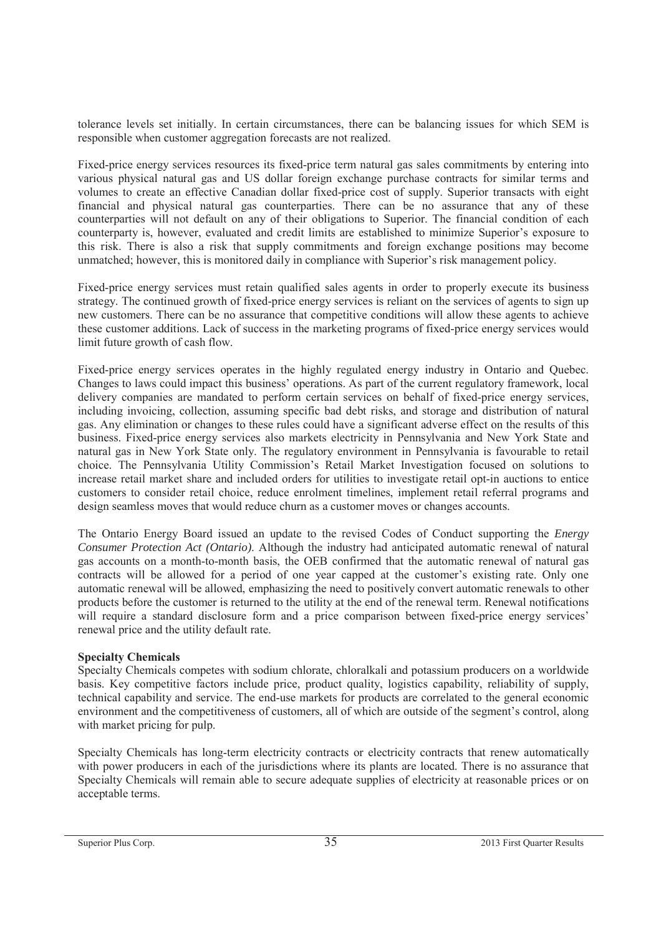tolerance levels set initially. In certain circumstances, there can be balancing issues for which SEM is responsible when customer aggregation forecasts are not realized.

Fixed-price energy services resources its fixed-price term natural gas sales commitments by entering into various physical natural gas and US dollar foreign exchange purchase contracts for similar terms and volumes to create an effective Canadian dollar fixed-price cost of supply. Superior transacts with eight financial and physical natural gas counterparties. There can be no assurance that any of these counterparties will not default on any of their obligations to Superior. The financial condition of each counterparty is, however, evaluated and credit limits are established to minimize Superior's exposure to this risk. There is also a risk that supply commitments and foreign exchange positions may become unmatched; however, this is monitored daily in compliance with Superior's risk management policy.

Fixed-price energy services must retain qualified sales agents in order to properly execute its business strategy. The continued growth of fixed-price energy services is reliant on the services of agents to sign up new customers. There can be no assurance that competitive conditions will allow these agents to achieve these customer additions. Lack of success in the marketing programs of fixed-price energy services would limit future growth of cash flow.

Fixed-price energy services operates in the highly regulated energy industry in Ontario and Quebec. Changes to laws could impact this business' operations. As part of the current regulatory framework, local delivery companies are mandated to perform certain services on behalf of fixed-price energy services, including invoicing, collection, assuming specific bad debt risks, and storage and distribution of natural gas. Any elimination or changes to these rules could have a significant adverse effect on the results of this business. Fixed-price energy services also markets electricity in Pennsylvania and New York State and natural gas in New York State only. The regulatory environment in Pennsylvania is favourable to retail choice. The Pennsylvania Utility Commission's Retail Market Investigation focused on solutions to increase retail market share and included orders for utilities to investigate retail opt-in auctions to entice customers to consider retail choice, reduce enrolment timelines, implement retail referral programs and design seamless moves that would reduce churn as a customer moves or changes accounts.

The Ontario Energy Board issued an update to the revised Codes of Conduct supporting the *Energy Consumer Protection Act (Ontario)*. Although the industry had anticipated automatic renewal of natural gas accounts on a month-to-month basis, the OEB confirmed that the automatic renewal of natural gas contracts will be allowed for a period of one year capped at the customer's existing rate. Only one automatic renewal will be allowed, emphasizing the need to positively convert automatic renewals to other products before the customer is returned to the utility at the end of the renewal term. Renewal notifications will require a standard disclosure form and a price comparison between fixed-price energy services' renewal price and the utility default rate.

### **Specialty Chemicals**

Specialty Chemicals competes with sodium chlorate, chloralkali and potassium producers on a worldwide basis. Key competitive factors include price, product quality, logistics capability, reliability of supply, technical capability and service. The end-use markets for products are correlated to the general economic environment and the competitiveness of customers, all of which are outside of the segment's control, along with market pricing for pulp.

Specialty Chemicals has long-term electricity contracts or electricity contracts that renew automatically with power producers in each of the jurisdictions where its plants are located. There is no assurance that Specialty Chemicals will remain able to secure adequate supplies of electricity at reasonable prices or on acceptable terms.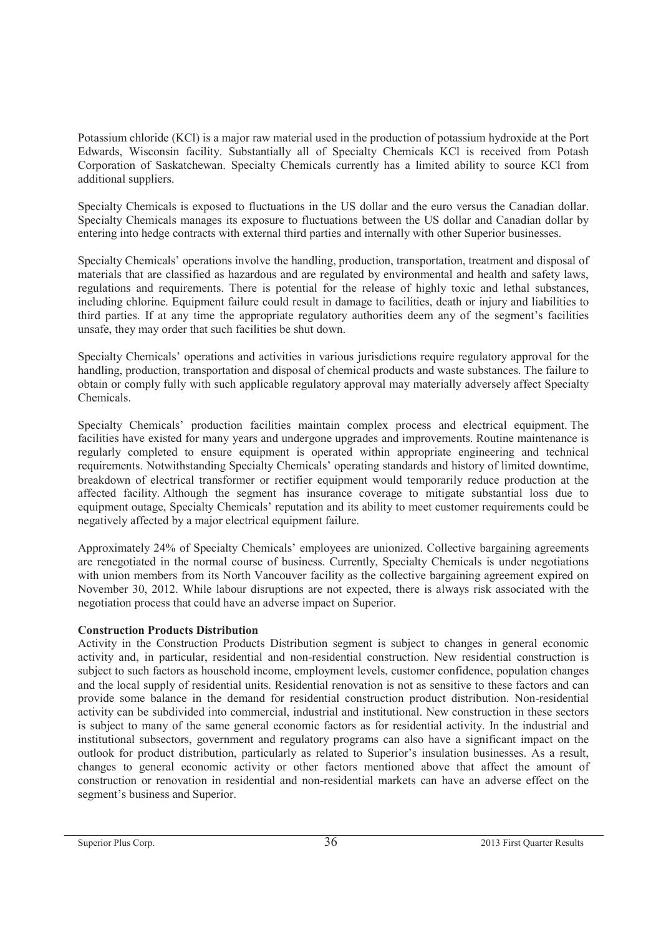Potassium chloride (KCl) is a major raw material used in the production of potassium hydroxide at the Port Edwards, Wisconsin facility. Substantially all of Specialty Chemicals KCl is received from Potash Corporation of Saskatchewan. Specialty Chemicals currently has a limited ability to source KCl from additional suppliers.

Specialty Chemicals is exposed to fluctuations in the US dollar and the euro versus the Canadian dollar. Specialty Chemicals manages its exposure to fluctuations between the US dollar and Canadian dollar by entering into hedge contracts with external third parties and internally with other Superior businesses.

Specialty Chemicals' operations involve the handling, production, transportation, treatment and disposal of materials that are classified as hazardous and are regulated by environmental and health and safety laws, regulations and requirements. There is potential for the release of highly toxic and lethal substances, including chlorine. Equipment failure could result in damage to facilities, death or injury and liabilities to third parties. If at any time the appropriate regulatory authorities deem any of the segment's facilities unsafe, they may order that such facilities be shut down.

Specialty Chemicals' operations and activities in various jurisdictions require regulatory approval for the handling, production, transportation and disposal of chemical products and waste substances. The failure to obtain or comply fully with such applicable regulatory approval may materially adversely affect Specialty Chemicals.

Specialty Chemicals' production facilities maintain complex process and electrical equipment. The facilities have existed for many years and undergone upgrades and improvements. Routine maintenance is regularly completed to ensure equipment is operated within appropriate engineering and technical requirements. Notwithstanding Specialty Chemicals' operating standards and history of limited downtime, breakdown of electrical transformer or rectifier equipment would temporarily reduce production at the affected facility. Although the segment has insurance coverage to mitigate substantial loss due to equipment outage, Specialty Chemicals' reputation and its ability to meet customer requirements could be negatively affected by a major electrical equipment failure.

Approximately 24% of Specialty Chemicals' employees are unionized. Collective bargaining agreements are renegotiated in the normal course of business. Currently, Specialty Chemicals is under negotiations with union members from its North Vancouver facility as the collective bargaining agreement expired on November 30, 2012. While labour disruptions are not expected, there is always risk associated with the negotiation process that could have an adverse impact on Superior.

## **Construction Products Distribution**

Activity in the Construction Products Distribution segment is subject to changes in general economic activity and, in particular, residential and non-residential construction. New residential construction is subject to such factors as household income, employment levels, customer confidence, population changes and the local supply of residential units. Residential renovation is not as sensitive to these factors and can provide some balance in the demand for residential construction product distribution. Non-residential activity can be subdivided into commercial, industrial and institutional. New construction in these sectors is subject to many of the same general economic factors as for residential activity. In the industrial and institutional subsectors, government and regulatory programs can also have a significant impact on the outlook for product distribution, particularly as related to Superior's insulation businesses. As a result, changes to general economic activity or other factors mentioned above that affect the amount of construction or renovation in residential and non-residential markets can have an adverse effect on the segment's business and Superior.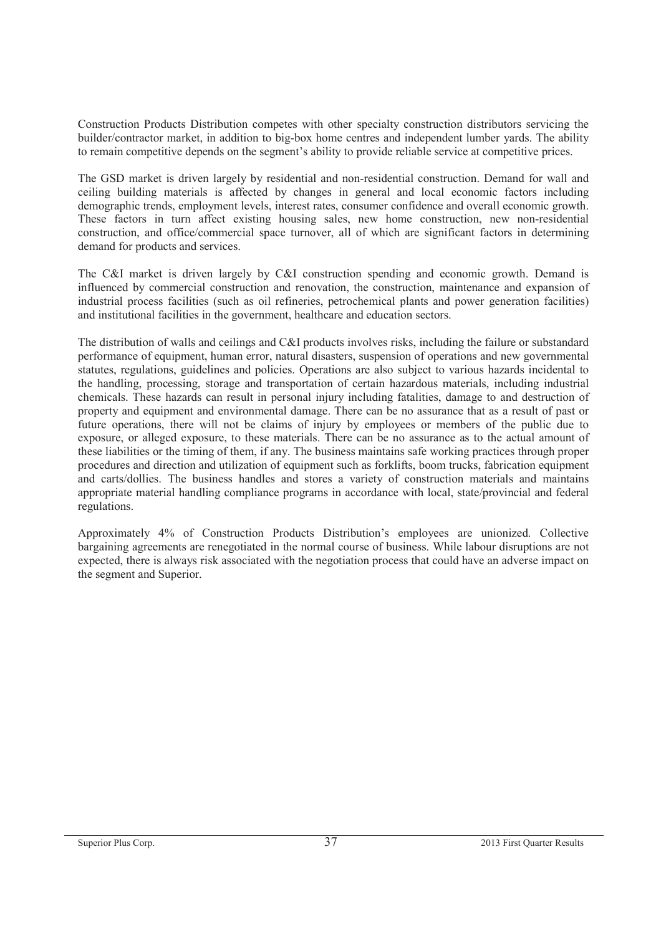Construction Products Distribution competes with other specialty construction distributors servicing the builder/contractor market, in addition to big-box home centres and independent lumber yards. The ability to remain competitive depends on the segment's ability to provide reliable service at competitive prices.

The GSD market is driven largely by residential and non-residential construction. Demand for wall and ceiling building materials is affected by changes in general and local economic factors including demographic trends, employment levels, interest rates, consumer confidence and overall economic growth. These factors in turn affect existing housing sales, new home construction, new non-residential construction, and office/commercial space turnover, all of which are significant factors in determining demand for products and services.

The C&I market is driven largely by C&I construction spending and economic growth. Demand is influenced by commercial construction and renovation, the construction, maintenance and expansion of industrial process facilities (such as oil refineries, petrochemical plants and power generation facilities) and institutional facilities in the government, healthcare and education sectors.

The distribution of walls and ceilings and C&I products involves risks, including the failure or substandard performance of equipment, human error, natural disasters, suspension of operations and new governmental statutes, regulations, guidelines and policies. Operations are also subject to various hazards incidental to the handling, processing, storage and transportation of certain hazardous materials, including industrial chemicals. These hazards can result in personal injury including fatalities, damage to and destruction of property and equipment and environmental damage. There can be no assurance that as a result of past or future operations, there will not be claims of injury by employees or members of the public due to exposure, or alleged exposure, to these materials. There can be no assurance as to the actual amount of these liabilities or the timing of them, if any. The business maintains safe working practices through proper procedures and direction and utilization of equipment such as forklifts, boom trucks, fabrication equipment and carts/dollies. The business handles and stores a variety of construction materials and maintains appropriate material handling compliance programs in accordance with local, state/provincial and federal regulations.

Approximately 4% of Construction Products Distribution's employees are unionized. Collective bargaining agreements are renegotiated in the normal course of business. While labour disruptions are not expected, there is always risk associated with the negotiation process that could have an adverse impact on the segment and Superior.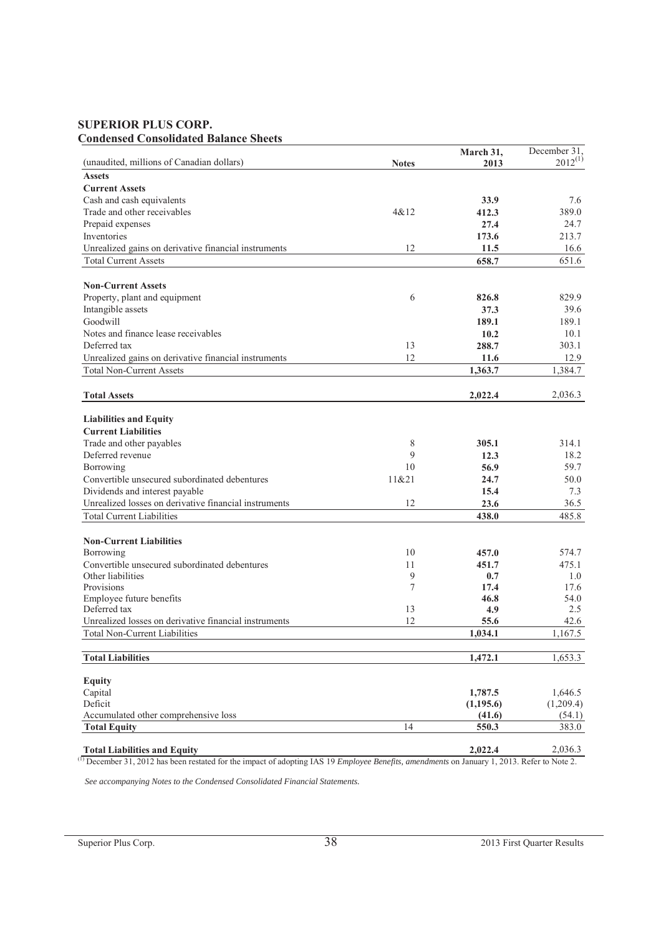## **SUPERIOR PLUS CORP.**

## **Condensed Consolidated Balance Sheets**

| (unaudited, millions of Canadian dollars)             | <b>Notes</b> | March 31,<br>2013 | December 31,<br>$2012^{(1)}$ |
|-------------------------------------------------------|--------------|-------------------|------------------------------|
| <b>Assets</b>                                         |              |                   |                              |
| <b>Current Assets</b>                                 |              |                   |                              |
| Cash and cash equivalents                             |              | 33.9              | 7.6                          |
| Trade and other receivables                           | 4&12         | 412.3             | 389.0                        |
| Prepaid expenses                                      |              | 27.4              | 24.7                         |
| Inventories                                           |              | 173.6             | 213.7                        |
| Unrealized gains on derivative financial instruments  | 12           | 11.5              | 16.6                         |
| <b>Total Current Assets</b>                           |              | 658.7             | 651.6                        |
|                                                       |              |                   |                              |
| <b>Non-Current Assets</b>                             |              |                   |                              |
| Property, plant and equipment                         | 6            | 826.8             | 829.9                        |
| Intangible assets                                     |              | 37.3              | 39.6                         |
| Goodwill                                              |              | 189.1             | 189.1                        |
| Notes and finance lease receivables                   |              | 10.2              | 10.1                         |
| Deferred tax                                          | 13           | 288.7             | 303.1                        |
| Unrealized gains on derivative financial instruments  | 12           | 11.6              | 12.9                         |
| <b>Total Non-Current Assets</b>                       |              |                   |                              |
|                                                       |              | 1,363.7           | 1,384.7                      |
| <b>Total Assets</b>                                   |              | 2,022.4           | 2,036.3                      |
| <b>Liabilities and Equity</b>                         |              |                   |                              |
| <b>Current Liabilities</b>                            |              |                   |                              |
| Trade and other payables                              | 8            | 305.1             | 314.1                        |
| Deferred revenue                                      | 9            | 12.3              | 18.2                         |
| Borrowing                                             | 10           | 56.9              | 59.7                         |
| Convertible unsecured subordinated debentures         | 11&21        | 24.7              | 50.0                         |
| Dividends and interest payable                        |              | 15.4              | 7.3                          |
| Unrealized losses on derivative financial instruments | 12           | 23.6              | 36.5                         |
| <b>Total Current Liabilities</b>                      |              | 438.0             | 485.8                        |
|                                                       |              |                   |                              |
| <b>Non-Current Liabilities</b>                        |              |                   |                              |
| Borrowing                                             | 10           | 457.0             | 574.7                        |
| Convertible unsecured subordinated debentures         | 11           | 451.7             | 475.1                        |
| Other liabilities                                     | 9            | 0.7               | 1.0                          |
| Provisions                                            | 7            | 17.4              | 17.6                         |
| Employee future benefits                              |              | 46.8              | 54.0                         |
| Deferred tax                                          | 13           | 4.9               | 2.5                          |
| Unrealized losses on derivative financial instruments | 12           | 55.6              | 42.6                         |
| <b>Total Non-Current Liabilities</b>                  |              | 1,034.1           | 1,167.5                      |
|                                                       |              |                   |                              |
| <b>Total Liabilities</b>                              |              | 1,472.1           | 1,653.3                      |
| <b>Equity</b>                                         |              |                   |                              |
| Capital                                               |              | 1,787.5           | 1,646.5                      |
| Deficit                                               |              | (1, 195.6)        | (1,209.4)                    |
| Accumulated other comprehensive loss                  |              | (41.6)            | (54.1)                       |
| <b>Total Equity</b>                                   | 14           | 550.3             | 383.0                        |
| <b>Total Liabilities and Equity</b>                   |              | 2,022.4           | 2,036.3                      |

(1) December 31, 2012 has been restated for the impact of adopting IAS 19 *Employee Benefits, amendments* on January 1, 2013. Refer to Note 2.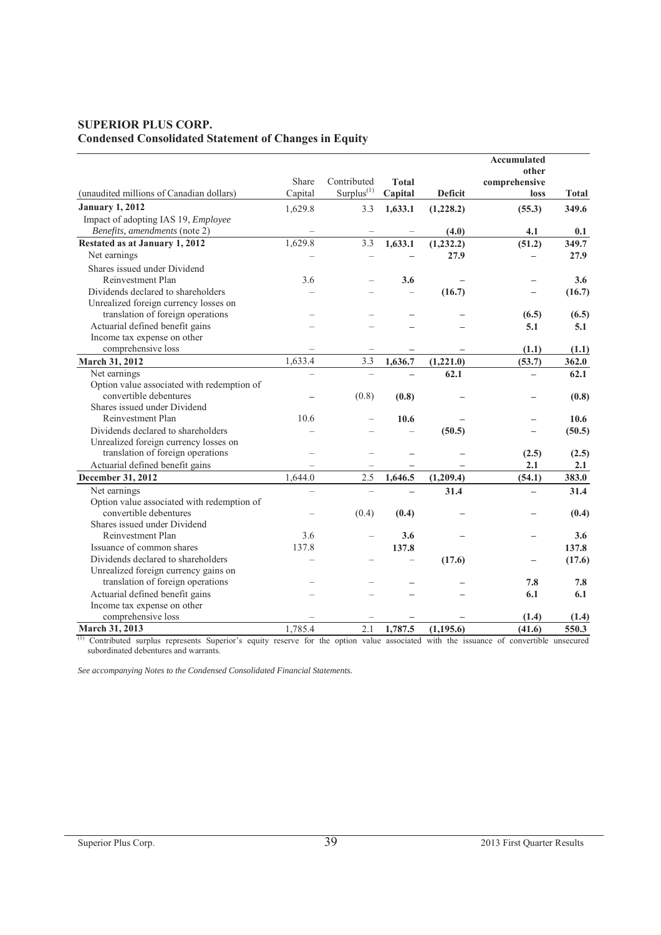## **SUPERIOR PLUS CORP. Condensed Consolidated Statement of Changes in Equity**

| $Surplus$ <sup>(1)</sup><br>Capital<br><b>Deficit</b><br>(unaudited millions of Canadian dollars)<br>Capital<br><b>Total</b><br>loss<br><b>January 1, 2012</b><br>1,629.8<br>3.3<br>349.6<br>1,633.1<br>(1,228.2)<br>(55.3)<br>Impact of adopting IAS 19, Employee<br>Benefits, amendments (note 2)<br>4.1<br>(4.0)<br>0.1<br>Restated as at January 1, 2012<br>1,629.8<br>1,633.1<br>3.3<br>(1, 232.2)<br>(51.2)<br>349.7<br>Net earnings<br>27.9<br>27.9<br>Shares issued under Dividend<br>Reinvestment Plan<br>3.6<br>3.6<br>3.6<br>(16.7)<br>Dividends declared to shareholders<br>(16.7)<br>Unrealized foreign currency losses on<br>translation of foreign operations<br>(6.5)<br>(6.5)<br>Actuarial defined benefit gains<br>5.1<br>5.1<br>Income tax expense on other<br>comprehensive loss<br>(1.1)<br>(1.1)<br>1,633.4<br>3.3<br>1,636.7<br>March 31, 2012<br>(1,221.0)<br>(53.7)<br>362.0<br>Net earnings<br>62.1<br>62.1<br>$\overline{\phantom{0}}$<br>Option value associated with redemption of<br>convertible debentures<br>(0.8)<br>(0.8)<br>(0.8)<br>Shares issued under Dividend<br>Reinvestment Plan<br>10.6<br>10.6<br>10.6<br>Dividends declared to shareholders<br>(50.5)<br>(50.5)<br>Unrealized foreign currency losses on<br>translation of foreign operations<br>(2.5)<br>(2.5)<br>Actuarial defined benefit gains<br>2.1<br>2.1<br>1,644.0<br>December 31, 2012<br>2.5<br>1,646.5<br>(1,209.4)<br>(54.1)<br>383.0<br>Net earnings<br>31.4<br>31.4<br>$\overline{\phantom{0}}$<br>Option value associated with redemption of<br>convertible debentures<br>(0.4)<br>(0.4)<br>(0.4)<br>Shares issued under Dividend<br>Reinvestment Plan<br>3.6<br>3.6<br>3.6<br>137.8<br>Issuance of common shares<br>137.8<br>137.8<br>Dividends declared to shareholders<br>(17.6)<br>(17.6)<br>Unrealized foreign currency gains on<br>translation of foreign operations<br>7.8<br>7.8<br>Actuarial defined benefit gains<br>6.1<br>6.1<br>Income tax expense on other<br>comprehensive loss<br>(1.4)<br>(1.4)<br>March 31, 2013<br>1,785.4<br>1,787.5<br>2.1<br>(1, 195.6)<br>550.3<br>(41.6) |       |             |       | Accumulated<br>other |  |
|--------------------------------------------------------------------------------------------------------------------------------------------------------------------------------------------------------------------------------------------------------------------------------------------------------------------------------------------------------------------------------------------------------------------------------------------------------------------------------------------------------------------------------------------------------------------------------------------------------------------------------------------------------------------------------------------------------------------------------------------------------------------------------------------------------------------------------------------------------------------------------------------------------------------------------------------------------------------------------------------------------------------------------------------------------------------------------------------------------------------------------------------------------------------------------------------------------------------------------------------------------------------------------------------------------------------------------------------------------------------------------------------------------------------------------------------------------------------------------------------------------------------------------------------------------------------------------------------------------------------------------------------------------------------------------------------------------------------------------------------------------------------------------------------------------------------------------------------------------------------------------------------------------------------------------------------------------------------------------------------------------------------------------------------------------------------------------------------------------------|-------|-------------|-------|----------------------|--|
|                                                                                                                                                                                                                                                                                                                                                                                                                                                                                                                                                                                                                                                                                                                                                                                                                                                                                                                                                                                                                                                                                                                                                                                                                                                                                                                                                                                                                                                                                                                                                                                                                                                                                                                                                                                                                                                                                                                                                                                                                                                                                                              | Share | Contributed | Total | comprehensive        |  |
|                                                                                                                                                                                                                                                                                                                                                                                                                                                                                                                                                                                                                                                                                                                                                                                                                                                                                                                                                                                                                                                                                                                                                                                                                                                                                                                                                                                                                                                                                                                                                                                                                                                                                                                                                                                                                                                                                                                                                                                                                                                                                                              |       |             |       |                      |  |
|                                                                                                                                                                                                                                                                                                                                                                                                                                                                                                                                                                                                                                                                                                                                                                                                                                                                                                                                                                                                                                                                                                                                                                                                                                                                                                                                                                                                                                                                                                                                                                                                                                                                                                                                                                                                                                                                                                                                                                                                                                                                                                              |       |             |       |                      |  |
|                                                                                                                                                                                                                                                                                                                                                                                                                                                                                                                                                                                                                                                                                                                                                                                                                                                                                                                                                                                                                                                                                                                                                                                                                                                                                                                                                                                                                                                                                                                                                                                                                                                                                                                                                                                                                                                                                                                                                                                                                                                                                                              |       |             |       |                      |  |
|                                                                                                                                                                                                                                                                                                                                                                                                                                                                                                                                                                                                                                                                                                                                                                                                                                                                                                                                                                                                                                                                                                                                                                                                                                                                                                                                                                                                                                                                                                                                                                                                                                                                                                                                                                                                                                                                                                                                                                                                                                                                                                              |       |             |       |                      |  |
|                                                                                                                                                                                                                                                                                                                                                                                                                                                                                                                                                                                                                                                                                                                                                                                                                                                                                                                                                                                                                                                                                                                                                                                                                                                                                                                                                                                                                                                                                                                                                                                                                                                                                                                                                                                                                                                                                                                                                                                                                                                                                                              |       |             |       |                      |  |
|                                                                                                                                                                                                                                                                                                                                                                                                                                                                                                                                                                                                                                                                                                                                                                                                                                                                                                                                                                                                                                                                                                                                                                                                                                                                                                                                                                                                                                                                                                                                                                                                                                                                                                                                                                                                                                                                                                                                                                                                                                                                                                              |       |             |       |                      |  |
|                                                                                                                                                                                                                                                                                                                                                                                                                                                                                                                                                                                                                                                                                                                                                                                                                                                                                                                                                                                                                                                                                                                                                                                                                                                                                                                                                                                                                                                                                                                                                                                                                                                                                                                                                                                                                                                                                                                                                                                                                                                                                                              |       |             |       |                      |  |
|                                                                                                                                                                                                                                                                                                                                                                                                                                                                                                                                                                                                                                                                                                                                                                                                                                                                                                                                                                                                                                                                                                                                                                                                                                                                                                                                                                                                                                                                                                                                                                                                                                                                                                                                                                                                                                                                                                                                                                                                                                                                                                              |       |             |       |                      |  |
|                                                                                                                                                                                                                                                                                                                                                                                                                                                                                                                                                                                                                                                                                                                                                                                                                                                                                                                                                                                                                                                                                                                                                                                                                                                                                                                                                                                                                                                                                                                                                                                                                                                                                                                                                                                                                                                                                                                                                                                                                                                                                                              |       |             |       |                      |  |
|                                                                                                                                                                                                                                                                                                                                                                                                                                                                                                                                                                                                                                                                                                                                                                                                                                                                                                                                                                                                                                                                                                                                                                                                                                                                                                                                                                                                                                                                                                                                                                                                                                                                                                                                                                                                                                                                                                                                                                                                                                                                                                              |       |             |       |                      |  |
|                                                                                                                                                                                                                                                                                                                                                                                                                                                                                                                                                                                                                                                                                                                                                                                                                                                                                                                                                                                                                                                                                                                                                                                                                                                                                                                                                                                                                                                                                                                                                                                                                                                                                                                                                                                                                                                                                                                                                                                                                                                                                                              |       |             |       |                      |  |
|                                                                                                                                                                                                                                                                                                                                                                                                                                                                                                                                                                                                                                                                                                                                                                                                                                                                                                                                                                                                                                                                                                                                                                                                                                                                                                                                                                                                                                                                                                                                                                                                                                                                                                                                                                                                                                                                                                                                                                                                                                                                                                              |       |             |       |                      |  |
|                                                                                                                                                                                                                                                                                                                                                                                                                                                                                                                                                                                                                                                                                                                                                                                                                                                                                                                                                                                                                                                                                                                                                                                                                                                                                                                                                                                                                                                                                                                                                                                                                                                                                                                                                                                                                                                                                                                                                                                                                                                                                                              |       |             |       |                      |  |
|                                                                                                                                                                                                                                                                                                                                                                                                                                                                                                                                                                                                                                                                                                                                                                                                                                                                                                                                                                                                                                                                                                                                                                                                                                                                                                                                                                                                                                                                                                                                                                                                                                                                                                                                                                                                                                                                                                                                                                                                                                                                                                              |       |             |       |                      |  |
|                                                                                                                                                                                                                                                                                                                                                                                                                                                                                                                                                                                                                                                                                                                                                                                                                                                                                                                                                                                                                                                                                                                                                                                                                                                                                                                                                                                                                                                                                                                                                                                                                                                                                                                                                                                                                                                                                                                                                                                                                                                                                                              |       |             |       |                      |  |
|                                                                                                                                                                                                                                                                                                                                                                                                                                                                                                                                                                                                                                                                                                                                                                                                                                                                                                                                                                                                                                                                                                                                                                                                                                                                                                                                                                                                                                                                                                                                                                                                                                                                                                                                                                                                                                                                                                                                                                                                                                                                                                              |       |             |       |                      |  |
|                                                                                                                                                                                                                                                                                                                                                                                                                                                                                                                                                                                                                                                                                                                                                                                                                                                                                                                                                                                                                                                                                                                                                                                                                                                                                                                                                                                                                                                                                                                                                                                                                                                                                                                                                                                                                                                                                                                                                                                                                                                                                                              |       |             |       |                      |  |
|                                                                                                                                                                                                                                                                                                                                                                                                                                                                                                                                                                                                                                                                                                                                                                                                                                                                                                                                                                                                                                                                                                                                                                                                                                                                                                                                                                                                                                                                                                                                                                                                                                                                                                                                                                                                                                                                                                                                                                                                                                                                                                              |       |             |       |                      |  |
|                                                                                                                                                                                                                                                                                                                                                                                                                                                                                                                                                                                                                                                                                                                                                                                                                                                                                                                                                                                                                                                                                                                                                                                                                                                                                                                                                                                                                                                                                                                                                                                                                                                                                                                                                                                                                                                                                                                                                                                                                                                                                                              |       |             |       |                      |  |
|                                                                                                                                                                                                                                                                                                                                                                                                                                                                                                                                                                                                                                                                                                                                                                                                                                                                                                                                                                                                                                                                                                                                                                                                                                                                                                                                                                                                                                                                                                                                                                                                                                                                                                                                                                                                                                                                                                                                                                                                                                                                                                              |       |             |       |                      |  |
|                                                                                                                                                                                                                                                                                                                                                                                                                                                                                                                                                                                                                                                                                                                                                                                                                                                                                                                                                                                                                                                                                                                                                                                                                                                                                                                                                                                                                                                                                                                                                                                                                                                                                                                                                                                                                                                                                                                                                                                                                                                                                                              |       |             |       |                      |  |
|                                                                                                                                                                                                                                                                                                                                                                                                                                                                                                                                                                                                                                                                                                                                                                                                                                                                                                                                                                                                                                                                                                                                                                                                                                                                                                                                                                                                                                                                                                                                                                                                                                                                                                                                                                                                                                                                                                                                                                                                                                                                                                              |       |             |       |                      |  |
|                                                                                                                                                                                                                                                                                                                                                                                                                                                                                                                                                                                                                                                                                                                                                                                                                                                                                                                                                                                                                                                                                                                                                                                                                                                                                                                                                                                                                                                                                                                                                                                                                                                                                                                                                                                                                                                                                                                                                                                                                                                                                                              |       |             |       |                      |  |
|                                                                                                                                                                                                                                                                                                                                                                                                                                                                                                                                                                                                                                                                                                                                                                                                                                                                                                                                                                                                                                                                                                                                                                                                                                                                                                                                                                                                                                                                                                                                                                                                                                                                                                                                                                                                                                                                                                                                                                                                                                                                                                              |       |             |       |                      |  |
|                                                                                                                                                                                                                                                                                                                                                                                                                                                                                                                                                                                                                                                                                                                                                                                                                                                                                                                                                                                                                                                                                                                                                                                                                                                                                                                                                                                                                                                                                                                                                                                                                                                                                                                                                                                                                                                                                                                                                                                                                                                                                                              |       |             |       |                      |  |
|                                                                                                                                                                                                                                                                                                                                                                                                                                                                                                                                                                                                                                                                                                                                                                                                                                                                                                                                                                                                                                                                                                                                                                                                                                                                                                                                                                                                                                                                                                                                                                                                                                                                                                                                                                                                                                                                                                                                                                                                                                                                                                              |       |             |       |                      |  |
|                                                                                                                                                                                                                                                                                                                                                                                                                                                                                                                                                                                                                                                                                                                                                                                                                                                                                                                                                                                                                                                                                                                                                                                                                                                                                                                                                                                                                                                                                                                                                                                                                                                                                                                                                                                                                                                                                                                                                                                                                                                                                                              |       |             |       |                      |  |
|                                                                                                                                                                                                                                                                                                                                                                                                                                                                                                                                                                                                                                                                                                                                                                                                                                                                                                                                                                                                                                                                                                                                                                                                                                                                                                                                                                                                                                                                                                                                                                                                                                                                                                                                                                                                                                                                                                                                                                                                                                                                                                              |       |             |       |                      |  |
|                                                                                                                                                                                                                                                                                                                                                                                                                                                                                                                                                                                                                                                                                                                                                                                                                                                                                                                                                                                                                                                                                                                                                                                                                                                                                                                                                                                                                                                                                                                                                                                                                                                                                                                                                                                                                                                                                                                                                                                                                                                                                                              |       |             |       |                      |  |
|                                                                                                                                                                                                                                                                                                                                                                                                                                                                                                                                                                                                                                                                                                                                                                                                                                                                                                                                                                                                                                                                                                                                                                                                                                                                                                                                                                                                                                                                                                                                                                                                                                                                                                                                                                                                                                                                                                                                                                                                                                                                                                              |       |             |       |                      |  |
|                                                                                                                                                                                                                                                                                                                                                                                                                                                                                                                                                                                                                                                                                                                                                                                                                                                                                                                                                                                                                                                                                                                                                                                                                                                                                                                                                                                                                                                                                                                                                                                                                                                                                                                                                                                                                                                                                                                                                                                                                                                                                                              |       |             |       |                      |  |
|                                                                                                                                                                                                                                                                                                                                                                                                                                                                                                                                                                                                                                                                                                                                                                                                                                                                                                                                                                                                                                                                                                                                                                                                                                                                                                                                                                                                                                                                                                                                                                                                                                                                                                                                                                                                                                                                                                                                                                                                                                                                                                              |       |             |       |                      |  |
|                                                                                                                                                                                                                                                                                                                                                                                                                                                                                                                                                                                                                                                                                                                                                                                                                                                                                                                                                                                                                                                                                                                                                                                                                                                                                                                                                                                                                                                                                                                                                                                                                                                                                                                                                                                                                                                                                                                                                                                                                                                                                                              |       |             |       |                      |  |
|                                                                                                                                                                                                                                                                                                                                                                                                                                                                                                                                                                                                                                                                                                                                                                                                                                                                                                                                                                                                                                                                                                                                                                                                                                                                                                                                                                                                                                                                                                                                                                                                                                                                                                                                                                                                                                                                                                                                                                                                                                                                                                              |       |             |       |                      |  |
|                                                                                                                                                                                                                                                                                                                                                                                                                                                                                                                                                                                                                                                                                                                                                                                                                                                                                                                                                                                                                                                                                                                                                                                                                                                                                                                                                                                                                                                                                                                                                                                                                                                                                                                                                                                                                                                                                                                                                                                                                                                                                                              |       |             |       |                      |  |
|                                                                                                                                                                                                                                                                                                                                                                                                                                                                                                                                                                                                                                                                                                                                                                                                                                                                                                                                                                                                                                                                                                                                                                                                                                                                                                                                                                                                                                                                                                                                                                                                                                                                                                                                                                                                                                                                                                                                                                                                                                                                                                              |       |             |       |                      |  |
|                                                                                                                                                                                                                                                                                                                                                                                                                                                                                                                                                                                                                                                                                                                                                                                                                                                                                                                                                                                                                                                                                                                                                                                                                                                                                                                                                                                                                                                                                                                                                                                                                                                                                                                                                                                                                                                                                                                                                                                                                                                                                                              |       |             |       |                      |  |
|                                                                                                                                                                                                                                                                                                                                                                                                                                                                                                                                                                                                                                                                                                                                                                                                                                                                                                                                                                                                                                                                                                                                                                                                                                                                                                                                                                                                                                                                                                                                                                                                                                                                                                                                                                                                                                                                                                                                                                                                                                                                                                              |       |             |       |                      |  |

<sup>(1)</sup> Contributed surplus represents Superior's equity reserve for the option value associated with the issuance of convertible unsecured subordinated debentures and warrants.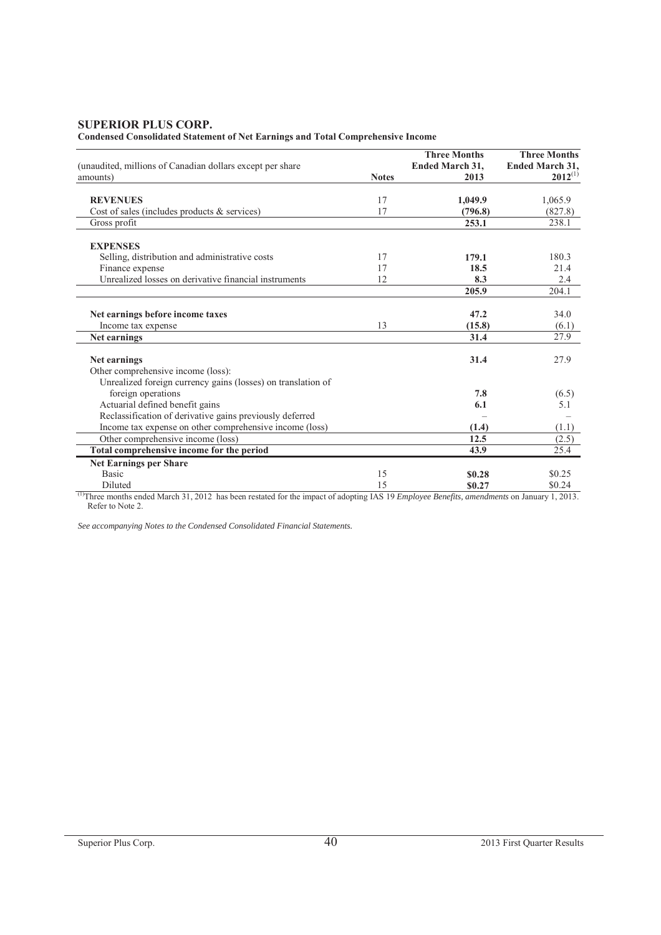### **SUPERIOR PLUS CORP.**

**Condensed Consolidated Statement of Net Earnings and Total Comprehensive Income** 

| (unaudited, millions of Canadian dollars except per share<br>amounts)        | <b>Notes</b>          | <b>Three Months</b><br><b>Ended March 31,</b><br>2013 | <b>Three Months</b><br><b>Ended March 31,</b><br>$2012^{(1)}$ |
|------------------------------------------------------------------------------|-----------------------|-------------------------------------------------------|---------------------------------------------------------------|
| <b>REVENUES</b>                                                              | 17                    | 1,049.9                                               | 1,065.9                                                       |
| Cost of sales (includes products $&$ services)                               | 17                    | (796.8)                                               | (827.8)                                                       |
| Gross profit                                                                 |                       | 253.1                                                 | 238.1                                                         |
| <b>EXPENSES</b>                                                              |                       |                                                       |                                                               |
| Selling, distribution and administrative costs                               | 17                    | 179.1                                                 | 180.3                                                         |
| Finance expense                                                              | 17                    | 18.5                                                  | 21.4                                                          |
| Unrealized losses on derivative financial instruments                        | 12                    | 8.3                                                   | 2.4                                                           |
|                                                                              |                       | 205.9                                                 | 204.1                                                         |
| Net earnings before income taxes                                             |                       | 47.2                                                  | 34.0                                                          |
| Income tax expense                                                           | 13                    | (15.8)                                                | (6.1)                                                         |
| Net earnings                                                                 |                       | 31.4                                                  | 27.9                                                          |
| Net earnings                                                                 |                       | 31.4                                                  | 27.9                                                          |
| Other comprehensive income (loss):                                           |                       |                                                       |                                                               |
| Unrealized foreign currency gains (losses) on translation of                 |                       |                                                       |                                                               |
| foreign operations                                                           |                       | 7.8                                                   | (6.5)                                                         |
| Actuarial defined benefit gains                                              |                       | 6.1                                                   | 5.1                                                           |
| Reclassification of derivative gains previously deferred                     |                       |                                                       |                                                               |
| Income tax expense on other comprehensive income (loss)                      |                       | (1.4)                                                 | (1.1)                                                         |
| Other comprehensive income (loss)                                            |                       | 12.5                                                  | (2.5)                                                         |
| Total comprehensive income for the period                                    |                       | 43.9                                                  | 25.4                                                          |
| <b>Net Earnings per Share</b>                                                |                       |                                                       |                                                               |
| <b>Basic</b>                                                                 | 15                    | \$0.28                                                | \$0.25                                                        |
| Diluted<br>$(1)$ <sub>m<sup>1</sup></sub><br>1.21.2012.1<br>$\sim$<br>1.13.5 | 15<br>$T + T$ $T$ $T$ | \$0.27                                                | \$0.24                                                        |

(1)Three months ended March 31, 2012 has been restated for the impact of adopting IAS 19 *Employee Benefits, amendments* on January 1, 2013. Refer to Note 2.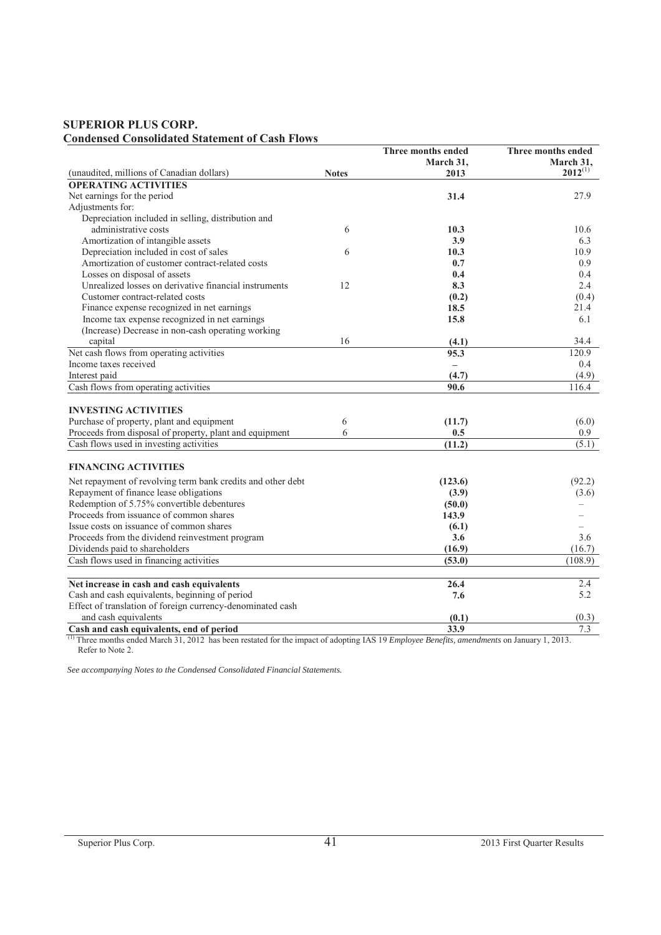## **SUPERIOR PLUS CORP.**

## **Condensed Consolidated Statement of Cash Flows**

|                                                                                                                                                           |              | Three months ended       | Three months ended        |
|-----------------------------------------------------------------------------------------------------------------------------------------------------------|--------------|--------------------------|---------------------------|
|                                                                                                                                                           |              | March 31.                | March 31.<br>$2012^{(1)}$ |
| (unaudited, millions of Canadian dollars)                                                                                                                 | <b>Notes</b> | 2013                     |                           |
| <b>OPERATING ACTIVITIES</b>                                                                                                                               |              |                          |                           |
| Net earnings for the period                                                                                                                               |              | 31.4                     | 27.9                      |
| Adjustments for:                                                                                                                                          |              |                          |                           |
| Depreciation included in selling, distribution and                                                                                                        |              |                          |                           |
| administrative costs                                                                                                                                      | 6            | 10.3                     | 10.6                      |
| Amortization of intangible assets                                                                                                                         |              | 3.9                      | 6.3                       |
| Depreciation included in cost of sales                                                                                                                    | 6            | 10.3                     | 10.9                      |
| Amortization of customer contract-related costs                                                                                                           |              | 0.7                      | 0.9                       |
| Losses on disposal of assets                                                                                                                              |              | 0.4                      | 0.4                       |
| Unrealized losses on derivative financial instruments                                                                                                     | 12           | 8.3                      | 2.4                       |
| Customer contract-related costs                                                                                                                           |              | (0.2)                    | (0.4)                     |
| Finance expense recognized in net earnings                                                                                                                |              | 18.5                     | 21.4                      |
| Income tax expense recognized in net earnings                                                                                                             |              | 15.8                     | 6.1                       |
| (Increase) Decrease in non-cash operating working                                                                                                         |              |                          |                           |
| capital                                                                                                                                                   | 16           | (4.1)                    | 34.4                      |
| Net cash flows from operating activities                                                                                                                  |              | 95.3                     | 120.9                     |
| Income taxes received                                                                                                                                     |              | $\overline{\phantom{0}}$ | 0.4                       |
| Interest paid                                                                                                                                             |              | (4.7)                    | (4.9)                     |
| Cash flows from operating activities                                                                                                                      |              | 90.6                     | 116.4                     |
|                                                                                                                                                           |              |                          |                           |
| <b>INVESTING ACTIVITIES</b>                                                                                                                               |              |                          |                           |
| Purchase of property, plant and equipment                                                                                                                 | 6            | (11.7)                   | (6.0)                     |
| Proceeds from disposal of property, plant and equipment                                                                                                   | 6            | 0.5                      | 0.9                       |
| Cash flows used in investing activities                                                                                                                   |              | (11.2)                   | (5.1)                     |
| <b>FINANCING ACTIVITIES</b>                                                                                                                               |              |                          |                           |
| Net repayment of revolving term bank credits and other debt                                                                                               |              | (123.6)                  | (92.2)                    |
| Repayment of finance lease obligations                                                                                                                    |              | (3.9)                    | (3.6)                     |
| Redemption of 5.75% convertible debentures                                                                                                                |              | (50.0)                   |                           |
| Proceeds from issuance of common shares                                                                                                                   |              | 143.9                    |                           |
| Issue costs on issuance of common shares                                                                                                                  |              | (6.1)                    |                           |
| Proceeds from the dividend reinvestment program                                                                                                           |              | 3.6                      | 3.6                       |
| Dividends paid to shareholders                                                                                                                            |              | (16.9)                   | (16.7)                    |
| Cash flows used in financing activities                                                                                                                   |              | (53.0)                   | (108.9)                   |
|                                                                                                                                                           |              |                          |                           |
| Net increase in cash and cash equivalents                                                                                                                 |              | 26.4                     | 2.4                       |
| Cash and cash equivalents, beginning of period                                                                                                            |              | 7.6                      | 5.2                       |
| Effect of translation of foreign currency-denominated cash                                                                                                |              |                          |                           |
| and cash equivalents                                                                                                                                      |              | (0.1)                    | (0.3)                     |
| Cash and cash equivalents, end of period                                                                                                                  |              | 33.9                     | 7.3                       |
| <sup>(1)</sup> Three months ended March 31 2012 has been restated for the impact of adopting IAS 19 <i>Employee Benefits amendments</i> on January 1 2013 |              |                          |                           |

**Cash and cash equivalents, end of period 33.9** 7.3 (1) Three months ended March 31, 2012 has been restated for the impact of adopting IAS 19 *Employee Benefits, amendments* on January 1, 2013. Three months end<br>Refer to Note 2.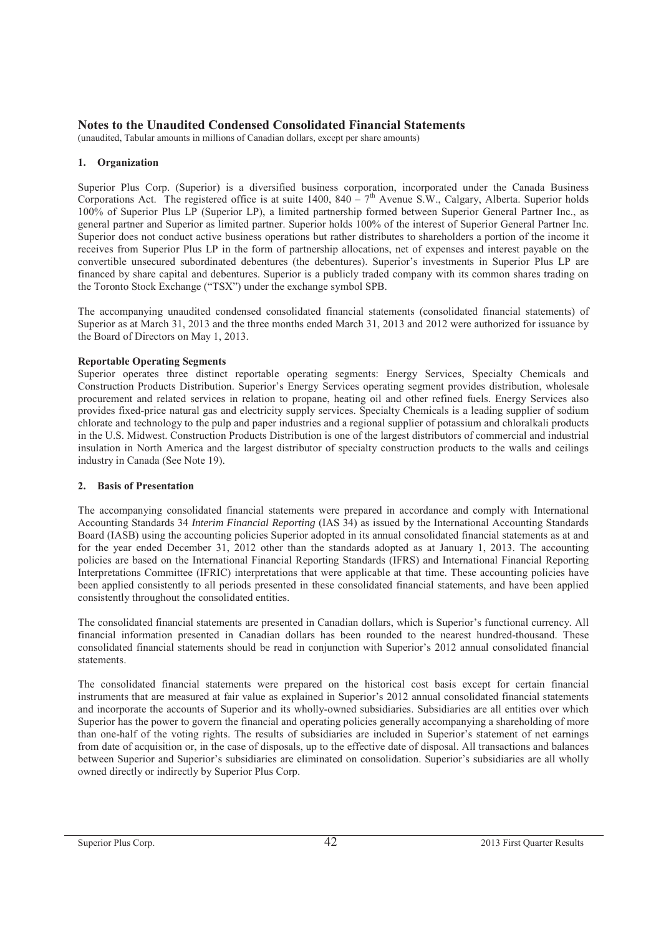## **Notes to the Unaudited Condensed Consolidated Financial Statements**

(unaudited, Tabular amounts in millions of Canadian dollars, except per share amounts)

### **1. Organization**

Superior Plus Corp. (Superior) is a diversified business corporation, incorporated under the Canada Business Corporations Act. The registered office is at suite 1400,  $840 - 7<sup>th</sup>$  Avenue S.W., Calgary, Alberta. Superior holds 100% of Superior Plus LP (Superior LP), a limited partnership formed between Superior General Partner Inc., as general partner and Superior as limited partner. Superior holds 100% of the interest of Superior General Partner Inc. Superior does not conduct active business operations but rather distributes to shareholders a portion of the income it receives from Superior Plus LP in the form of partnership allocations, net of expenses and interest payable on the convertible unsecured subordinated debentures (the debentures). Superior's investments in Superior Plus LP are financed by share capital and debentures. Superior is a publicly traded company with its common shares trading on the Toronto Stock Exchange ("TSX") under the exchange symbol SPB.

The accompanying unaudited condensed consolidated financial statements (consolidated financial statements) of Superior as at March 31, 2013 and the three months ended March 31, 2013 and 2012 were authorized for issuance by the Board of Directors on May 1, 2013.

### **Reportable Operating Segments**

Superior operates three distinct reportable operating segments: Energy Services, Specialty Chemicals and Construction Products Distribution. Superior's Energy Services operating segment provides distribution, wholesale procurement and related services in relation to propane, heating oil and other refined fuels. Energy Services also provides fixed-price natural gas and electricity supply services. Specialty Chemicals is a leading supplier of sodium chlorate and technology to the pulp and paper industries and a regional supplier of potassium and chloralkali products in the U.S. Midwest. Construction Products Distribution is one of the largest distributors of commercial and industrial insulation in North America and the largest distributor of specialty construction products to the walls and ceilings industry in Canada (See Note 19).

#### **2. Basis of Presentation**

The accompanying consolidated financial statements were prepared in accordance and comply with International Accounting Standards 34 *Interim Financial Reporting* (IAS 34) as issued by the International Accounting Standards Board (IASB) using the accounting policies Superior adopted in its annual consolidated financial statements as at and for the year ended December 31, 2012 other than the standards adopted as at January 1, 2013. The accounting policies are based on the International Financial Reporting Standards (IFRS) and International Financial Reporting Interpretations Committee (IFRIC) interpretations that were applicable at that time. These accounting policies have been applied consistently to all periods presented in these consolidated financial statements, and have been applied consistently throughout the consolidated entities.

The consolidated financial statements are presented in Canadian dollars, which is Superior's functional currency. All financial information presented in Canadian dollars has been rounded to the nearest hundred-thousand. These consolidated financial statements should be read in conjunction with Superior's 2012 annual consolidated financial statements.

The consolidated financial statements were prepared on the historical cost basis except for certain financial instruments that are measured at fair value as explained in Superior's 2012 annual consolidated financial statements and incorporate the accounts of Superior and its wholly-owned subsidiaries. Subsidiaries are all entities over which Superior has the power to govern the financial and operating policies generally accompanying a shareholding of more than one-half of the voting rights. The results of subsidiaries are included in Superior's statement of net earnings from date of acquisition or, in the case of disposals, up to the effective date of disposal. All transactions and balances between Superior and Superior's subsidiaries are eliminated on consolidation. Superior's subsidiaries are all wholly owned directly or indirectly by Superior Plus Corp.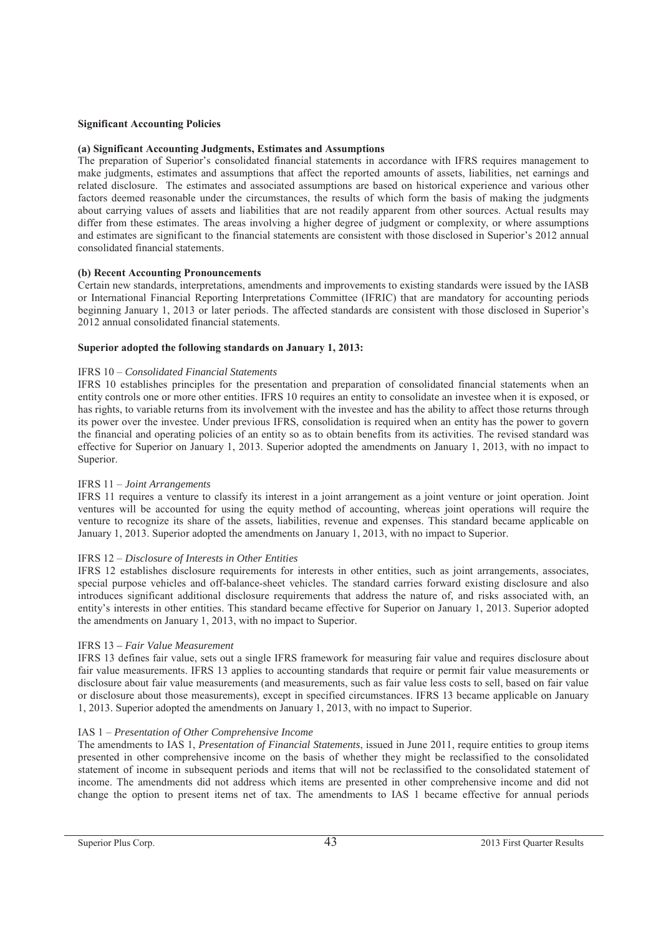#### **Significant Accounting Policies**

#### **(a) Significant Accounting Judgments, Estimates and Assumptions**

The preparation of Superior's consolidated financial statements in accordance with IFRS requires management to make judgments, estimates and assumptions that affect the reported amounts of assets, liabilities, net earnings and related disclosure. The estimates and associated assumptions are based on historical experience and various other factors deemed reasonable under the circumstances, the results of which form the basis of making the judgments about carrying values of assets and liabilities that are not readily apparent from other sources. Actual results may differ from these estimates. The areas involving a higher degree of judgment or complexity, or where assumptions and estimates are significant to the financial statements are consistent with those disclosed in Superior's 2012 annual consolidated financial statements.

#### **(b) Recent Accounting Pronouncements**

Certain new standards, interpretations, amendments and improvements to existing standards were issued by the IASB or International Financial Reporting Interpretations Committee (IFRIC) that are mandatory for accounting periods beginning January 1, 2013 or later periods. The affected standards are consistent with those disclosed in Superior's 2012 annual consolidated financial statements.

#### **Superior adopted the following standards on January 1, 2013:**

#### IFRS 10 – *Consolidated Financial Statements*

IFRS 10 establishes principles for the presentation and preparation of consolidated financial statements when an entity controls one or more other entities. IFRS 10 requires an entity to consolidate an investee when it is exposed, or has rights, to variable returns from its involvement with the investee and has the ability to affect those returns through its power over the investee. Under previous IFRS, consolidation is required when an entity has the power to govern the financial and operating policies of an entity so as to obtain benefits from its activities. The revised standard was effective for Superior on January 1, 2013. Superior adopted the amendments on January 1, 2013, with no impact to Superior.

#### IFRS 11 – *Joint Arrangements*

IFRS 11 requires a venture to classify its interest in a joint arrangement as a joint venture or joint operation. Joint ventures will be accounted for using the equity method of accounting, whereas joint operations will require the venture to recognize its share of the assets, liabilities, revenue and expenses. This standard became applicable on January 1, 2013. Superior adopted the amendments on January 1, 2013, with no impact to Superior.

#### IFRS 12 – *Disclosure of Interests in Other Entities*

IFRS 12 establishes disclosure requirements for interests in other entities, such as joint arrangements, associates, special purpose vehicles and off-balance-sheet vehicles. The standard carries forward existing disclosure and also introduces significant additional disclosure requirements that address the nature of, and risks associated with, an entity's interests in other entities. This standard became effective for Superior on January 1, 2013. Superior adopted the amendments on January 1, 2013, with no impact to Superior.

#### IFRS 13 *– Fair Value Measurement*

IFRS 13 defines fair value, sets out a single IFRS framework for measuring fair value and requires disclosure about fair value measurements. IFRS 13 applies to accounting standards that require or permit fair value measurements or disclosure about fair value measurements (and measurements, such as fair value less costs to sell, based on fair value or disclosure about those measurements), except in specified circumstances. IFRS 13 became applicable on January 1, 2013. Superior adopted the amendments on January 1, 2013, with no impact to Superior.

#### IAS 1 – *Presentation of Other Comprehensive Income*

The amendments to IAS 1, *Presentation of Financial Statements*, issued in June 2011, require entities to group items presented in other comprehensive income on the basis of whether they might be reclassified to the consolidated statement of income in subsequent periods and items that will not be reclassified to the consolidated statement of income. The amendments did not address which items are presented in other comprehensive income and did not change the option to present items net of tax. The amendments to IAS 1 became effective for annual periods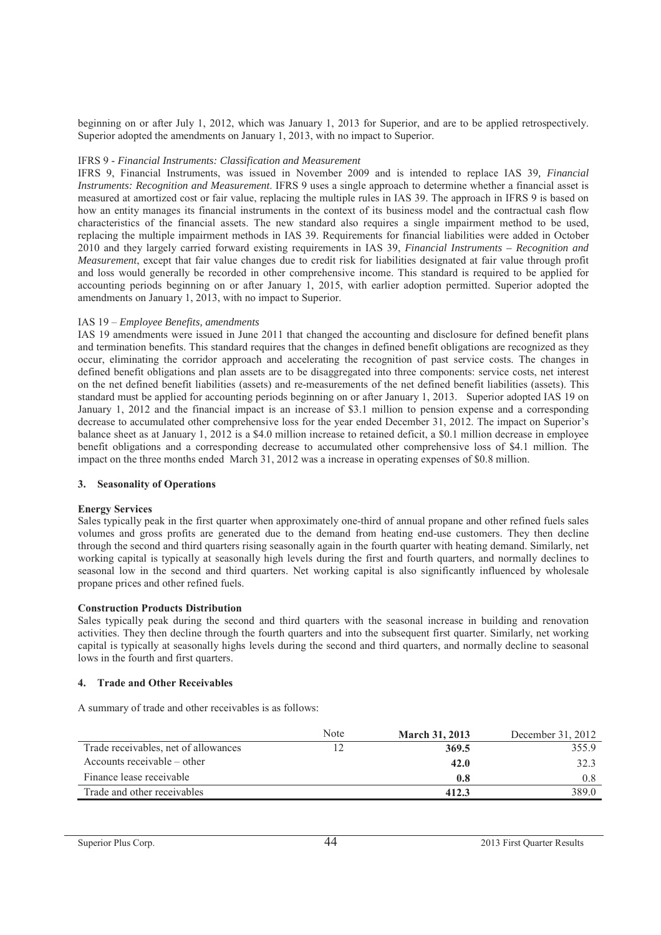beginning on or after July 1, 2012, which was January 1, 2013 for Superior, and are to be applied retrospectively. Superior adopted the amendments on January 1, 2013, with no impact to Superior.

#### IFRS 9 - *Financial Instruments: Classification and Measurement*

IFRS 9, Financial Instruments, was issued in November 2009 and is intended to replace IAS 39*, Financial Instruments: Recognition and Measurement*. IFRS 9 uses a single approach to determine whether a financial asset is measured at amortized cost or fair value, replacing the multiple rules in IAS 39. The approach in IFRS 9 is based on how an entity manages its financial instruments in the context of its business model and the contractual cash flow characteristics of the financial assets. The new standard also requires a single impairment method to be used, replacing the multiple impairment methods in IAS 39. Requirements for financial liabilities were added in October 2010 and they largely carried forward existing requirements in IAS 39, *Financial Instruments – Recognition and Measurement*, except that fair value changes due to credit risk for liabilities designated at fair value through profit and loss would generally be recorded in other comprehensive income. This standard is required to be applied for accounting periods beginning on or after January 1, 2015, with earlier adoption permitted. Superior adopted the amendments on January 1, 2013, with no impact to Superior.

#### IAS 19 – *Employee Benefits, amendments*

IAS 19 amendments were issued in June 2011 that changed the accounting and disclosure for defined benefit plans and termination benefits. This standard requires that the changes in defined benefit obligations are recognized as they occur, eliminating the corridor approach and accelerating the recognition of past service costs. The changes in defined benefit obligations and plan assets are to be disaggregated into three components: service costs, net interest on the net defined benefit liabilities (assets) and re-measurements of the net defined benefit liabilities (assets). This standard must be applied for accounting periods beginning on or after January 1, 2013. Superior adopted IAS 19 on January 1, 2012 and the financial impact is an increase of \$3.1 million to pension expense and a corresponding decrease to accumulated other comprehensive loss for the year ended December 31, 2012. The impact on Superior's balance sheet as at January 1, 2012 is a \$4.0 million increase to retained deficit, a \$0.1 million decrease in employee benefit obligations and a corresponding decrease to accumulated other comprehensive loss of \$4.1 million. The impact on the three months ended March 31, 2012 was a increase in operating expenses of \$0.8 million.

#### **3. Seasonality of Operations**

#### **Energy Services**

Sales typically peak in the first quarter when approximately one-third of annual propane and other refined fuels sales volumes and gross profits are generated due to the demand from heating end-use customers. They then decline through the second and third quarters rising seasonally again in the fourth quarter with heating demand. Similarly, net working capital is typically at seasonally high levels during the first and fourth quarters, and normally declines to seasonal low in the second and third quarters. Net working capital is also significantly influenced by wholesale propane prices and other refined fuels.

#### **Construction Products Distribution**

Sales typically peak during the second and third quarters with the seasonal increase in building and renovation activities. They then decline through the fourth quarters and into the subsequent first quarter. Similarly, net working capital is typically at seasonally highs levels during the second and third quarters, and normally decline to seasonal lows in the fourth and first quarters.

#### **4. Trade and Other Receivables**

A summary of trade and other receivables is as follows:

|                                      | Note | <b>March 31, 2013</b> | December $31, 2012$ |
|--------------------------------------|------|-----------------------|---------------------|
| Trade receivables, net of allowances |      | 369.5                 | 355.9               |
| Accounts receivable – other          |      | 42.0                  | 32.3                |
| Finance lease receivable             |      | 0.8                   | 0.8                 |
| Trade and other receivables          |      | 412.3                 | 389.0               |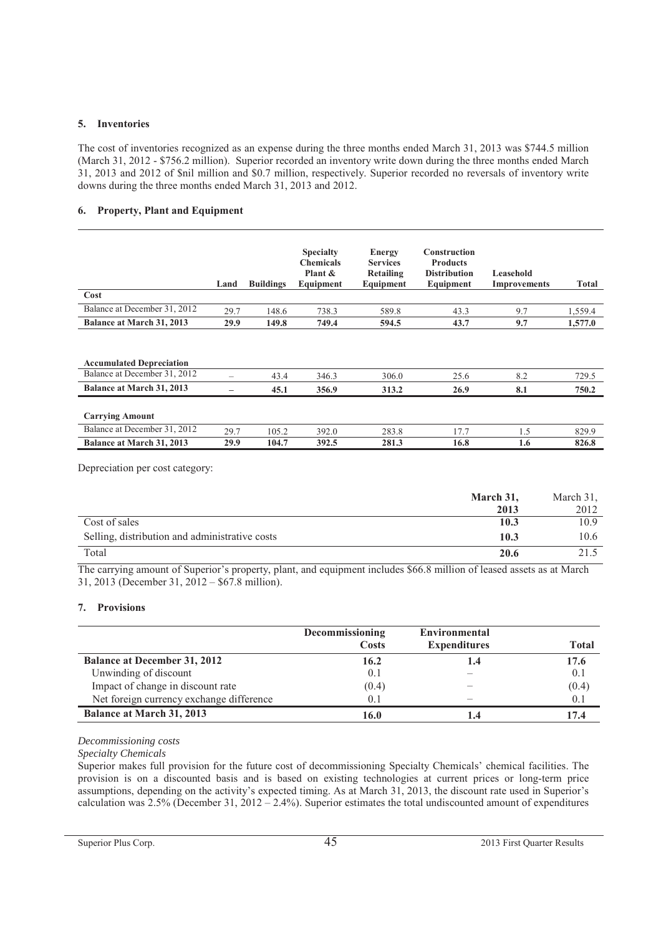#### **5. Inventories**

The cost of inventories recognized as an expense during the three months ended March 31, 2013 was \$744.5 million (March 31, 2012 - \$756.2 million). Superior recorded an inventory write down during the three months ended March 31, 2013 and 2012 of \$nil million and \$0.7 million, respectively. Superior recorded no reversals of inventory write downs during the three months ended March 31, 2013 and 2012.

### **6. Property, Plant and Equipment**

|                                                                 | Land | <b>Buildings</b> | <b>Specialty</b><br><b>Chemicals</b><br>Plant &<br>Equipment | Energy<br><b>Services</b><br>Retailing<br>Equipment | <b>Construction</b><br><b>Products</b><br><b>Distribution</b><br>Equipment | Leasehold<br>Improvements | <b>Total</b> |
|-----------------------------------------------------------------|------|------------------|--------------------------------------------------------------|-----------------------------------------------------|----------------------------------------------------------------------------|---------------------------|--------------|
| Cost                                                            |      |                  |                                                              |                                                     |                                                                            |                           |              |
| Balance at December 31, 2012                                    | 29.7 | 148.6            | 738.3                                                        | 589.8                                               | 43.3                                                                       | 9.7                       | 1,559.4      |
| Balance at March 31, 2013                                       | 29.9 | 149.8            | 749.4                                                        | 594.5                                               | 43.7                                                                       | 9.7                       | 1,577.0      |
| <b>Accumulated Depreciation</b><br>Balance at December 31, 2012 |      | 43.4             | 346.3                                                        | 306.0                                               | 25.6                                                                       | 8.2                       | 729.5        |
| Balance at March 31, 2013                                       |      | 45.1             | 356.9                                                        | 313.2                                               | 26.9                                                                       | 8.1                       | 750.2        |
| <b>Carrying Amount</b>                                          |      |                  |                                                              |                                                     |                                                                            |                           |              |
| Balance at December 31, 2012                                    | 29.7 | 105.2            | 392.0                                                        | 283.8                                               | 17.7                                                                       | 1.5                       | 829.9        |
| Balance at March 31, 2013                                       | 29.9 | 104.7            | 392.5                                                        | 281.3                                               | 16.8                                                                       | 1.6                       | 826.8        |

Depreciation per cost category:

|                                                | March 31, | March 31, |
|------------------------------------------------|-----------|-----------|
|                                                | 2013      | 2012      |
| Cost of sales                                  | 10.3      | 10.9      |
| Selling, distribution and administrative costs | 10.3      | 10.6      |
| Total                                          | 20.6      | 21.5      |

The carrying amount of Superior's property, plant, and equipment includes \$66.8 million of leased assets as at March 31, 2013 (December 31, 2012 – \$67.8 million).

### **7. Provisions**

|                                          | Decommissioning | Environmental            |       |
|------------------------------------------|-----------------|--------------------------|-------|
|                                          | Costs           | <b>Expenditures</b>      | Total |
| <b>Balance at December 31, 2012</b>      | 16.2            | 1.4                      | 17.6  |
| Unwinding of discount                    | 0.1             |                          | 0.1   |
| Impact of change in discount rate        | (0.4)           |                          | (0.4) |
| Net foreign currency exchange difference | 0.1             | $\overline{\phantom{a}}$ | 0.1   |
| <b>Balance at March 31, 2013</b>         | 16.0            |                          | 17.4  |

*Decommissioning costs* 

*Specialty Chemicals* 

Superior makes full provision for the future cost of decommissioning Specialty Chemicals' chemical facilities. The provision is on a discounted basis and is based on existing technologies at current prices or long-term price assumptions, depending on the activity's expected timing. As at March 31, 2013, the discount rate used in Superior's calculation was  $2.5\%$  (December 31,  $2012 - 2.4\%$ ). Superior estimates the total undiscounted amount of expenditures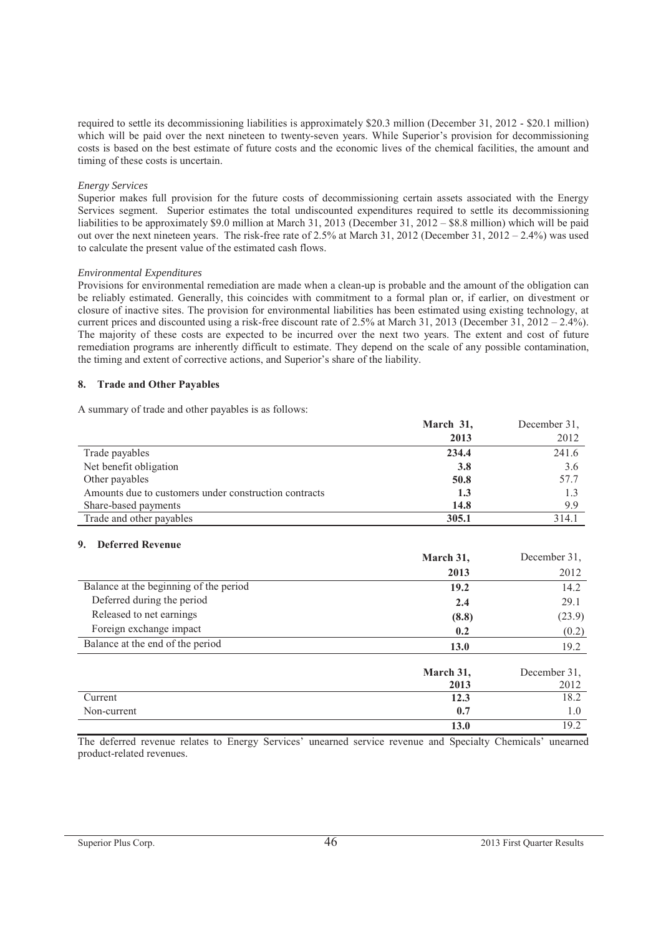required to settle its decommissioning liabilities is approximately \$20.3 million (December 31, 2012 - \$20.1 million) which will be paid over the next nineteen to twenty-seven years. While Superior's provision for decommissioning costs is based on the best estimate of future costs and the economic lives of the chemical facilities, the amount and timing of these costs is uncertain.

#### *Energy Services*

Superior makes full provision for the future costs of decommissioning certain assets associated with the Energy Services segment. Superior estimates the total undiscounted expenditures required to settle its decommissioning liabilities to be approximately \$9.0 million at March 31, 2013 (December 31, 2012 – \$8.8 million) which will be paid out over the next nineteen years. The risk-free rate of 2.5% at March 31, 2012 (December 31, 2012 – 2.4%) was used to calculate the present value of the estimated cash flows.

#### *Environmental Expenditures*

Provisions for environmental remediation are made when a clean-up is probable and the amount of the obligation can be reliably estimated. Generally, this coincides with commitment to a formal plan or, if earlier, on divestment or closure of inactive sites. The provision for environmental liabilities has been estimated using existing technology, at current prices and discounted using a risk-free discount rate of 2.5% at March 31, 2013 (December 31, 2012 – 2.4%). The majority of these costs are expected to be incurred over the next two years. The extent and cost of future remediation programs are inherently difficult to estimate. They depend on the scale of any possible contamination, the timing and extent of corrective actions, and Superior's share of the liability.

#### **8. Trade and Other Payables**

A summary of trade and other payables is as follows:

|                                                       | March 31, | December 31. |
|-------------------------------------------------------|-----------|--------------|
|                                                       | 2013      | 2012         |
| Trade payables                                        | 234.4     | 241.6        |
| Net benefit obligation                                | 3.8       | 3.6          |
| Other payables                                        | 50.8      | 57.7         |
| Amounts due to customers under construction contracts | 1.3       |              |
| Share-based payments                                  | 14.8      | 9.9          |
| Trade and other payables                              | 305.1     | 314.1        |

#### **9. Deferred Revenue**

|                                        | March 31,         | December 31,         |
|----------------------------------------|-------------------|----------------------|
|                                        | 2013              | 2012                 |
| Balance at the beginning of the period | 19.2              | 14.2                 |
| Deferred during the period             | 2.4               | 29.1                 |
| Released to net earnings               | (8.8)             | (23.9)               |
| Foreign exchange impact                | 0.2               | (0.2)                |
| Balance at the end of the period       | 13.0              | 19.2                 |
|                                        | March 31,<br>2013 | December 31,<br>2012 |
| Current                                | 12.3              | 18.2                 |
| Non-current                            | 0.7               | 1.0                  |

The deferred revenue relates to Energy Services' unearned service revenue and Specialty Chemicals' unearned product-related revenues.

**13.0** 19.2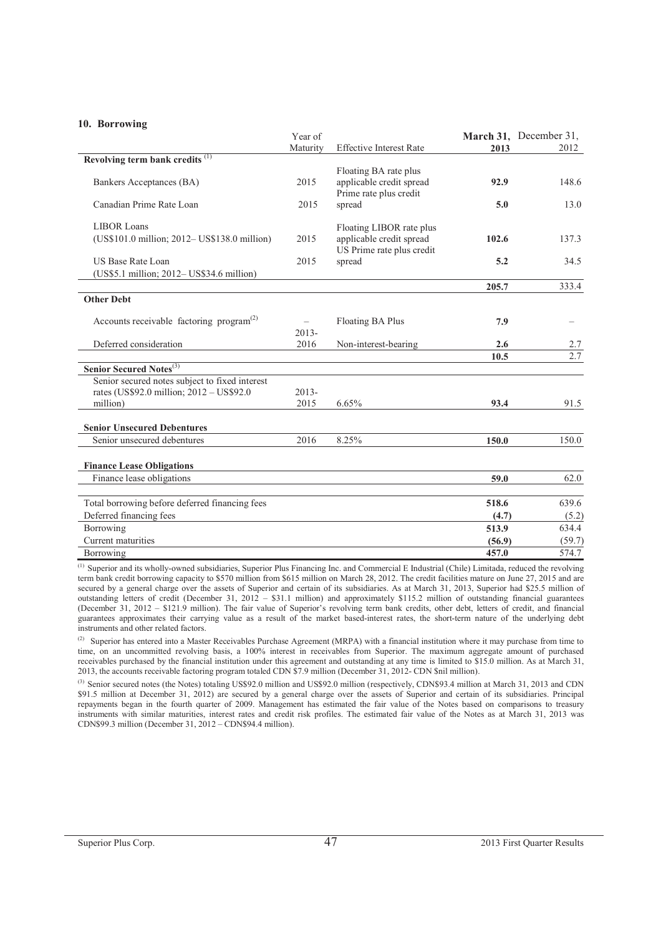#### **10. Borrowing**

|                                                                                            | Year of  |                                  |        | March 31, December 31, |
|--------------------------------------------------------------------------------------------|----------|----------------------------------|--------|------------------------|
|                                                                                            | Maturity | <b>Effective Interest Rate</b>   | 2013   | 2012                   |
| Revolving term bank credits <sup>(1)</sup>                                                 |          |                                  |        |                        |
|                                                                                            |          | Floating BA rate plus            |        |                        |
| Bankers Acceptances (BA)                                                                   | 2015     | applicable credit spread         | 92.9   | 148.6                  |
| Canadian Prime Rate Loan                                                                   | 2015     | Prime rate plus credit<br>spread | 5.0    | 13.0                   |
|                                                                                            |          |                                  |        |                        |
| <b>LIBOR</b> Loans                                                                         |          | Floating LIBOR rate plus         |        |                        |
| (US\$101.0 million; 2012-US\$138.0 million)                                                | 2015     | applicable credit spread         | 102.6  | 137.3                  |
|                                                                                            |          | US Prime rate plus credit        |        |                        |
| <b>US Base Rate Loan</b>                                                                   | 2015     | spread                           | 5.2    | 34.5                   |
| (US\$5.1 million; 2012-US\$34.6 million)                                                   |          |                                  |        |                        |
|                                                                                            |          |                                  | 205.7  | 333.4                  |
| <b>Other Debt</b>                                                                          |          |                                  |        |                        |
|                                                                                            |          |                                  |        |                        |
| Accounts receivable factoring program <sup>(2)</sup>                                       |          | Floating BA Plus                 | 7.9    |                        |
|                                                                                            | 2013-    |                                  |        |                        |
| Deferred consideration                                                                     | 2016     | Non-interest-bearing             | 2.6    | 2.7                    |
|                                                                                            |          |                                  | 10.5   | 2.7                    |
| Senior Secured Notes <sup>(3)</sup>                                                        |          |                                  |        |                        |
| Senior secured notes subject to fixed interest<br>rates (US\$92.0 million; 2012 - US\$92.0 | $2013 -$ |                                  |        |                        |
| million)                                                                                   | 2015     | 6.65%                            | 93.4   | 91.5                   |
|                                                                                            |          |                                  |        |                        |
| <b>Senior Unsecured Debentures</b>                                                         |          |                                  |        |                        |
| Senior unsecured debentures                                                                | 2016     | 8.25%                            | 150.0  | 150.0                  |
|                                                                                            |          |                                  |        |                        |
| <b>Finance Lease Obligations</b>                                                           |          |                                  |        |                        |
| Finance lease obligations                                                                  |          |                                  | 59.0   | 62.0                   |
|                                                                                            |          |                                  |        |                        |
| Total borrowing before deferred financing fees                                             |          |                                  | 518.6  | 639.6                  |
| Deferred financing fees                                                                    |          |                                  | (4.7)  | (5.2)                  |
| Borrowing                                                                                  |          |                                  | 513.9  | 634.4                  |
| Current maturities                                                                         |          |                                  | (56.9) | (59.7)                 |
| Borrowing                                                                                  |          |                                  | 457.0  | 574.7                  |

(1) Superior and its wholly-owned subsidiaries, Superior Plus Financing Inc. and Commercial E Industrial (Chile) Limitada, reduced the revolving term bank credit borrowing capacity to \$570 million from \$615 million on March 28, 2012. The credit facilities mature on June 27, 2015 and are secured by a general charge over the assets of Superior and certain of its subsidiaries. As at March 31, 2013, Superior had \$25.5 million of outstanding letters of credit (December 31, 2012 – \$31.1 million) and approximately \$115.2 million of outstanding financial guarantees (December 31, 2012 – \$121.9 million). The fair value of Superior's revolving term bank credits, other debt, letters of credit, and financial guarantees approximates their carrying value as a result of the market based-interest rates, the short-term nature of the underlying debt instruments and other related factors.

<sup>(2)</sup> Superior has entered into a Master Receivables Purchase Agreement (MRPA) with a financial institution where it may purchase from time to time, on an uncommitted revolving basis, a 100% interest in receivables from Superior. The maximum aggregate amount of purchased receivables purchased by the financial institution under this agreement and outstanding at any time is limited to \$15.0 million. As at March 31, 2013, the accounts receivable factoring program totaled CDN \$7.9 million (December 31, 2012- CDN \$nil million).

(3) Senior secured notes (the Notes) totaling US\$92.0 million and US\$92.0 million (respectively, CDN\$93.4 million at March 31, 2013 and CDN \$91.5 million at December 31, 2012) are secured by a general charge over the assets of Superior and certain of its subsidiaries. Principal repayments began in the fourth quarter of 2009. Management has estimated the fair value of the Notes based on comparisons to treasury instruments with similar maturities, interest rates and credit risk profiles. The estimated fair value of the Notes as at March 31, 2013 was CDN\$99.3 million (December 31, 2012 – CDN\$94.4 million).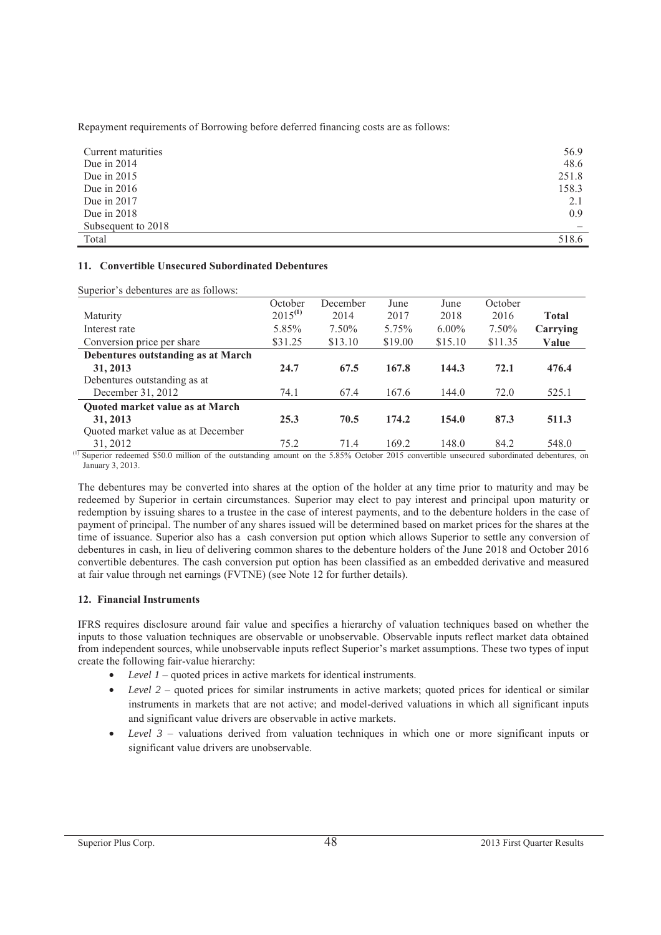Repayment requirements of Borrowing before deferred financing costs are as follows:

| Current maturities | 56.9                     |
|--------------------|--------------------------|
| Due in $2014$      | 48.6                     |
| Due in $2015$      | 251.8                    |
| Due in $2016$      | 158.3                    |
| Due in $2017$      | 2.1                      |
| Due in $2018$      | 0.9                      |
| Subsequent to 2018 | $\overline{\phantom{a}}$ |
| Total              | 518.6                    |
|                    |                          |

#### **11. Convertible Unsecured Subordinated Debentures**

Superior's debentures are as follows:

|                                    | October      | December | June    | June     | October |              |
|------------------------------------|--------------|----------|---------|----------|---------|--------------|
| Maturity                           | $2015^{(1)}$ | 2014     | 2017    | 2018     | 2016    | <b>Total</b> |
| Interest rate                      | 5.85%        | 7.50%    | 5.75%   | $6.00\%$ | 7.50%   | Carrying     |
| Conversion price per share         | \$31.25      | \$13.10  | \$19.00 | \$15.10  | \$11.35 | Value        |
| Debentures outstanding as at March |              |          |         |          |         |              |
| 31, 2013                           | 24.7         | 67.5     | 167.8   | 144.3    | 72.1    | 476.4        |
| Debentures outstanding as at       |              |          |         |          |         |              |
| December 31, 2012                  | 74.1         | 67.4     | 167.6   | 144.0    | 72.0    | 525.1        |
| Quoted market value as at March    |              |          |         |          |         |              |
| 31, 2013                           | 25.3         | 70.5     | 174.2   | 154.0    | 87.3    | 511.3        |
| Quoted market value as at December |              |          |         |          |         |              |
| 31, 2012                           | 75.2         | 71.4     | 169.2   | 148.0    | 84.2    | 548.0        |

<sup>(1)</sup> Superior redeemed \$50.0 million of the outstanding amount on the 5.85% October 2015 convertible unsecured subordinated debentures, on January 3, 2013.

The debentures may be converted into shares at the option of the holder at any time prior to maturity and may be redeemed by Superior in certain circumstances. Superior may elect to pay interest and principal upon maturity or redemption by issuing shares to a trustee in the case of interest payments, and to the debenture holders in the case of payment of principal. The number of any shares issued will be determined based on market prices for the shares at the time of issuance. Superior also has a cash conversion put option which allows Superior to settle any conversion of debentures in cash, in lieu of delivering common shares to the debenture holders of the June 2018 and October 2016 convertible debentures. The cash conversion put option has been classified as an embedded derivative and measured at fair value through net earnings (FVTNE) (see Note 12 for further details).

#### **12. Financial Instruments**

IFRS requires disclosure around fair value and specifies a hierarchy of valuation techniques based on whether the inputs to those valuation techniques are observable or unobservable. Observable inputs reflect market data obtained from independent sources, while unobservable inputs reflect Superior's market assumptions. These two types of input create the following fair-value hierarchy:

- *Level 1* quoted prices in active markets for identical instruments.
- *Level 2* quoted prices for similar instruments in active markets; quoted prices for identical or similar instruments in markets that are not active; and model-derived valuations in which all significant inputs and significant value drivers are observable in active markets.
- *Level 3* valuations derived from valuation techniques in which one or more significant inputs or significant value drivers are unobservable.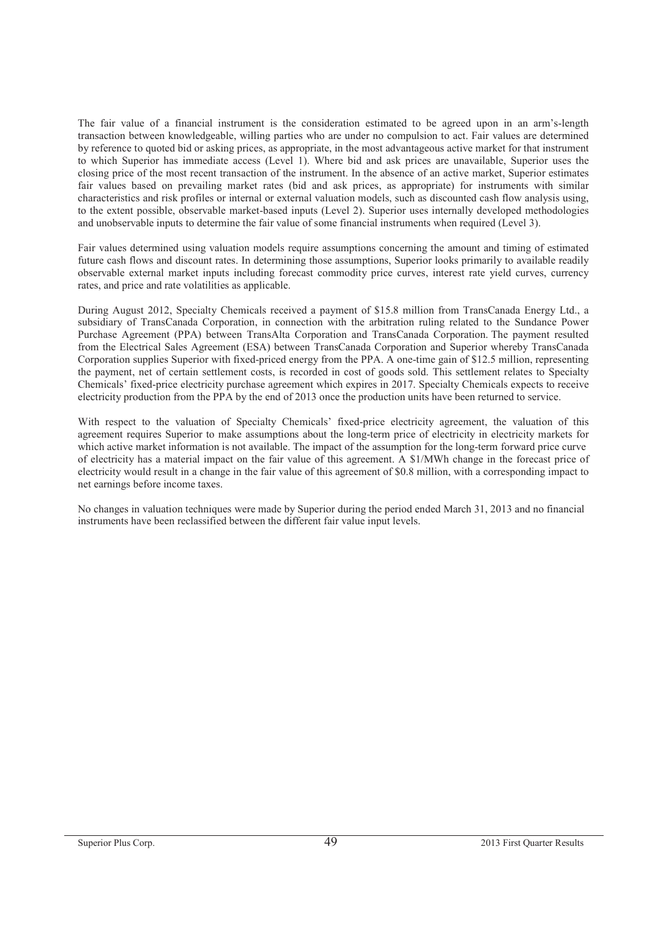The fair value of a financial instrument is the consideration estimated to be agreed upon in an arm's-length transaction between knowledgeable, willing parties who are under no compulsion to act. Fair values are determined by reference to quoted bid or asking prices, as appropriate, in the most advantageous active market for that instrument to which Superior has immediate access (Level 1). Where bid and ask prices are unavailable, Superior uses the closing price of the most recent transaction of the instrument. In the absence of an active market, Superior estimates fair values based on prevailing market rates (bid and ask prices, as appropriate) for instruments with similar characteristics and risk profiles or internal or external valuation models, such as discounted cash flow analysis using, to the extent possible, observable market-based inputs (Level 2). Superior uses internally developed methodologies and unobservable inputs to determine the fair value of some financial instruments when required (Level 3).

Fair values determined using valuation models require assumptions concerning the amount and timing of estimated future cash flows and discount rates. In determining those assumptions, Superior looks primarily to available readily observable external market inputs including forecast commodity price curves, interest rate yield curves, currency rates, and price and rate volatilities as applicable.

During August 2012, Specialty Chemicals received a payment of \$15.8 million from TransCanada Energy Ltd., a subsidiary of TransCanada Corporation, in connection with the arbitration ruling related to the Sundance Power Purchase Agreement (PPA) between TransAlta Corporation and TransCanada Corporation. The payment resulted from the Electrical Sales Agreement (ESA) between TransCanada Corporation and Superior whereby TransCanada Corporation supplies Superior with fixed-priced energy from the PPA. A one-time gain of \$12.5 million, representing the payment, net of certain settlement costs, is recorded in cost of goods sold. This settlement relates to Specialty Chemicals' fixed-price electricity purchase agreement which expires in 2017. Specialty Chemicals expects to receive electricity production from the PPA by the end of 2013 once the production units have been returned to service.

With respect to the valuation of Specialty Chemicals' fixed-price electricity agreement, the valuation of this agreement requires Superior to make assumptions about the long-term price of electricity in electricity markets for which active market information is not available. The impact of the assumption for the long-term forward price curve of electricity has a material impact on the fair value of this agreement. A \$1/MWh change in the forecast price of electricity would result in a change in the fair value of this agreement of \$0.8 million, with a corresponding impact to net earnings before income taxes.

No changes in valuation techniques were made by Superior during the period ended March 31, 2013 and no financial instruments have been reclassified between the different fair value input levels.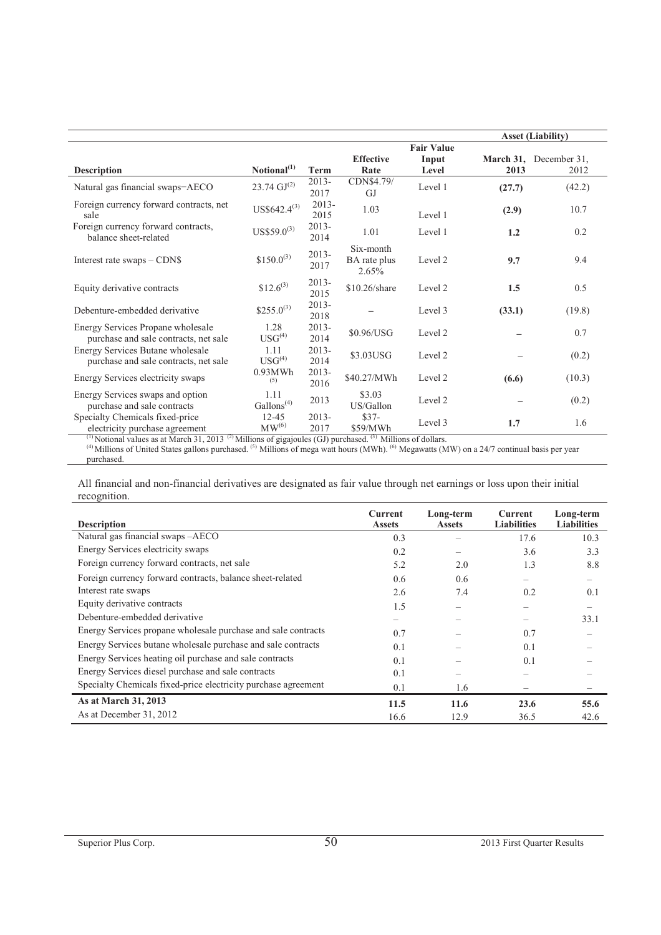|                                                                            |                                |                  |                                    |                   | <b>Asset (Liability)</b> |                        |  |
|----------------------------------------------------------------------------|--------------------------------|------------------|------------------------------------|-------------------|--------------------------|------------------------|--|
|                                                                            |                                |                  |                                    | <b>Fair Value</b> |                          |                        |  |
|                                                                            |                                |                  | <b>Effective</b>                   | Input             |                          | March 31, December 31, |  |
| <b>Description</b>                                                         | Notional <sup>(1)</sup>        | <b>Term</b>      | Rate                               | Level             | 2013                     | 2012                   |  |
| Natural gas financial swaps-AECO                                           | 23.74 $GI^{(2)}$               | $2013 -$<br>2017 | CDN\$4.79/<br>GJ                   | Level 1           | (27.7)                   | (42.2)                 |  |
| Foreign currency forward contracts, net<br>sale                            | US\$642.4(3)                   | $2013 -$<br>2015 | 1.03                               | Level 1           | (2.9)                    | 10.7                   |  |
| Foreign currency forward contracts,<br>balance sheet-related               | $US$59.0^{(3)}$                | $2013 -$<br>2014 | 1.01                               | Level 1           | 1.2                      | 0.2                    |  |
| Interest rate swaps $-$ CDN\$                                              | $$150.0^{(3)}$                 | $2013 -$<br>2017 | Six-month<br>BA rate plus<br>2.65% | Level 2           | 9.7                      | 9.4                    |  |
| Equity derivative contracts                                                | $$12.6^{(3)}$                  | $2013 -$<br>2015 | \$10.26/share                      | Level 2           | 1.5                      | 0.5                    |  |
| Debenture-embedded derivative                                              | $$255.0^{(3)}$                 | $2013 -$<br>2018 |                                    | Level 3           | (33.1)                   | (19.8)                 |  |
| Energy Services Propane wholesale<br>purchase and sale contracts, net sale | 1.28<br>$USG^{(4)}$            | $2013 -$<br>2014 | \$0.96/USG                         | Level 2           |                          | 0.7                    |  |
| Energy Services Butane wholesale<br>purchase and sale contracts, net sale  | 1.11<br>USG <sup>(4)</sup>     | $2013 -$<br>2014 | \$3.03USG                          | Level 2           |                          | (0.2)                  |  |
| Energy Services electricity swaps                                          | 0.93MWh<br>(5)                 | $2013 -$<br>2016 | \$40.27/MWh                        | Level 2           | (6.6)                    | (10.3)                 |  |
| Energy Services swaps and option<br>purchase and sale contracts            | 1.11<br>Gallons <sup>(4)</sup> | 2013             | \$3.03<br>US/Gallon                | Level 2           |                          | (0.2)                  |  |
| Specialty Chemicals fixed-price<br>electricity purchase agreement          | $12 - 45$<br>$\text{MW}^{(6)}$ | $2013 -$<br>2017 | $$37-$<br>\$59/MWh                 | Level 3           | 1.7                      | 1.6                    |  |

<sup>(1)</sup> Notional values as at March 31, 2013<sup>(2)</sup> Millions of gigajoules (GJ) purchased. <sup>(3)</sup> Millions of dollars.<br><sup>(4)</sup> Millions of United States gallons purchased. <sup>(5)</sup> Millions of mega watt hours (MWh). <sup>(6)</sup> Megawatts purchased.

All financial and non-financial derivatives are designated as fair value through net earnings or loss upon their initial recognition.

| <b>Description</b>                                             | Current<br><b>Assets</b> | Long-term<br><b>Assets</b> | Current<br><b>Liabilities</b> | Long-term<br><b>Liabilities</b> |
|----------------------------------------------------------------|--------------------------|----------------------------|-------------------------------|---------------------------------|
| Natural gas financial swaps-AECO                               | 0.3                      |                            | 17.6                          | 10.3                            |
| Energy Services electricity swaps                              | 0.2                      | $\overline{\phantom{m}}$   | 3.6                           | 3.3                             |
| Foreign currency forward contracts, net sale                   | 5.2                      | 2.0                        | 1.3                           | 8.8                             |
| Foreign currency forward contracts, balance sheet-related      | 0.6                      | 0.6                        | $\qquad \qquad -$             | -                               |
| Interest rate swaps                                            | 2.6                      | 7.4                        | 0.2                           | 0.1                             |
| Equity derivative contracts                                    | 1.5                      |                            |                               |                                 |
| Debenture-embedded derivative                                  |                          |                            |                               | 33.1                            |
| Energy Services propane wholesale purchase and sale contracts  | 0.7                      |                            | 0.7                           |                                 |
| Energy Services butane wholesale purchase and sale contracts   | 0.1                      |                            | 0.1                           |                                 |
| Energy Services heating oil purchase and sale contracts        | 0.1                      |                            | 0.1                           |                                 |
| Energy Services diesel purchase and sale contracts             | 0.1                      |                            |                               |                                 |
| Specialty Chemicals fixed-price electricity purchase agreement | 0.1                      | 1.6                        |                               |                                 |
| As at March 31, 2013                                           | 11.5                     | 11.6                       | 23.6                          | 55.6                            |
| As at December 31, 2012                                        | 16.6                     | 12.9                       | 36.5                          | 42.6                            |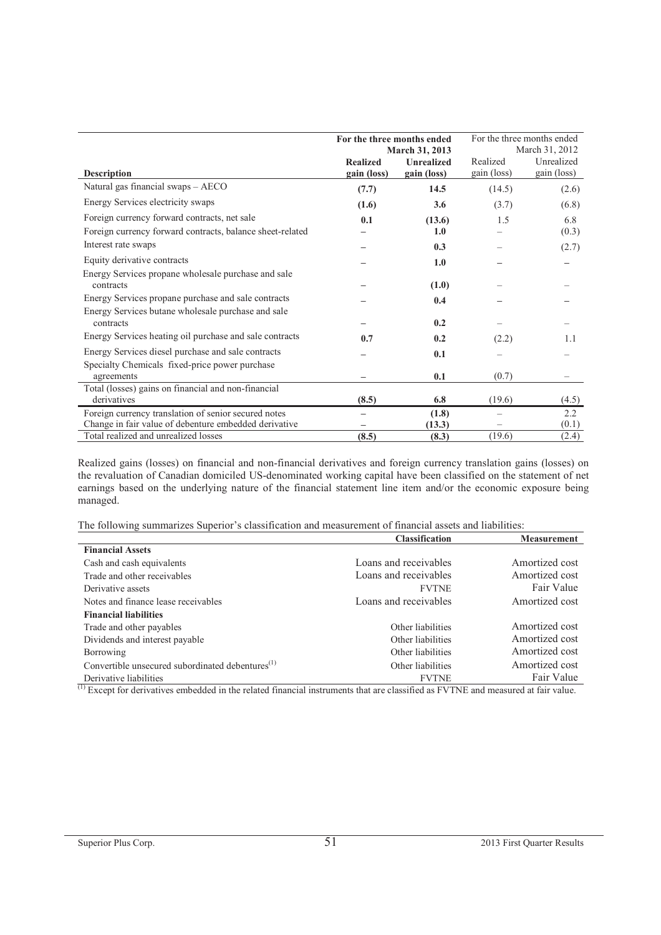|                                                                  | For the three months ended     |                                                    |                         | For the three months ended                  |
|------------------------------------------------------------------|--------------------------------|----------------------------------------------------|-------------------------|---------------------------------------------|
| <b>Description</b>                                               | <b>Realized</b><br>gain (loss) | March 31, 2013<br><b>Unrealized</b><br>gain (loss) | Realized<br>gain (loss) | March 31, 2012<br>Unrealized<br>gain (loss) |
| Natural gas financial swaps - AECO                               | (7.7)                          | 14.5                                               | (14.5)                  | (2.6)                                       |
| Energy Services electricity swaps                                | (1.6)                          | 3.6                                                | (3.7)                   | (6.8)                                       |
| Foreign currency forward contracts, net sale                     | 0.1                            | (13.6)                                             | 1.5                     | 6.8                                         |
| Foreign currency forward contracts, balance sheet-related        |                                | 1.0                                                |                         | (0.3)                                       |
| Interest rate swaps                                              |                                | 0.3                                                |                         | (2.7)                                       |
| Equity derivative contracts                                      |                                | 1.0                                                |                         |                                             |
| Energy Services propane wholesale purchase and sale<br>contracts |                                | (1.0)                                              |                         |                                             |
| Energy Services propane purchase and sale contracts              |                                | 0.4                                                |                         |                                             |
| Energy Services butane wholesale purchase and sale<br>contracts  |                                | 0.2                                                |                         |                                             |
| Energy Services heating oil purchase and sale contracts          | 0.7                            | 0.2                                                | (2.2)                   | 1.1                                         |
| Energy Services diesel purchase and sale contracts               |                                | 0.1                                                |                         |                                             |
| Specialty Chemicals fixed-price power purchase<br>agreements     |                                | 0.1                                                | (0.7)                   |                                             |
| Total (losses) gains on financial and non-financial              |                                |                                                    |                         |                                             |
| derivatives                                                      | (8.5)                          | 6.8                                                | (19.6)                  | (4.5)                                       |
| Foreign currency translation of senior secured notes             |                                | (1.8)                                              |                         | 2.2                                         |
| Change in fair value of debenture embedded derivative            |                                | (13.3)                                             |                         | (0.1)                                       |
| Total realized and unrealized losses                             | (8.5)                          | (8.3)                                              | (19.6)                  | (2.4)                                       |

Realized gains (losses) on financial and non-financial derivatives and foreign currency translation gains (losses) on the revaluation of Canadian domiciled US-denominated working capital have been classified on the statement of net earnings based on the underlying nature of the financial statement line item and/or the economic exposure being managed.

The following summarizes Superior's classification and measurement of financial assets and liabilities:

|                                                              | <b>Classification</b>                                                         | <b>Measurement</b>  |
|--------------------------------------------------------------|-------------------------------------------------------------------------------|---------------------|
| <b>Financial Assets</b>                                      |                                                                               |                     |
| Cash and cash equivalents                                    | Loans and receivables                                                         | Amortized cost      |
| Trade and other receivables                                  | Loans and receivables                                                         | Amortized cost      |
| Derivative assets                                            | <b>FVTNE</b>                                                                  | Fair Value          |
| Notes and finance lease receivables                          | Loans and receivables                                                         | Amortized cost      |
| <b>Financial liabilities</b>                                 |                                                                               |                     |
| Trade and other payables                                     | Other liabilities                                                             | Amortized cost      |
| Dividends and interest payable                               | Other liabilities                                                             | Amortized cost      |
| Borrowing                                                    | Other liabilities                                                             | Amortized cost      |
| Convertible unsecured subordinated debentures <sup>(1)</sup> | Other liabilities                                                             | Amortized cost      |
| Derivative liabilities                                       | <b>FVTNE</b>                                                                  | Fair Value          |
| $(1)$ m $(e + 1 + e)$<br>1.11111.11                          | $-1$ , $-1$ , $-1$ , $-1$ , $-1$ , $-1$<br>$\sqrt{2}$ 1 $\sqrt{2}$ $\sqrt{2}$ | $1 \cdot 2 \cdot 1$ |

 $<sup>(1)</sup>$  Except for derivatives embedded in the related financial instruments that are classified as FVTNE and measured at fair value.</sup>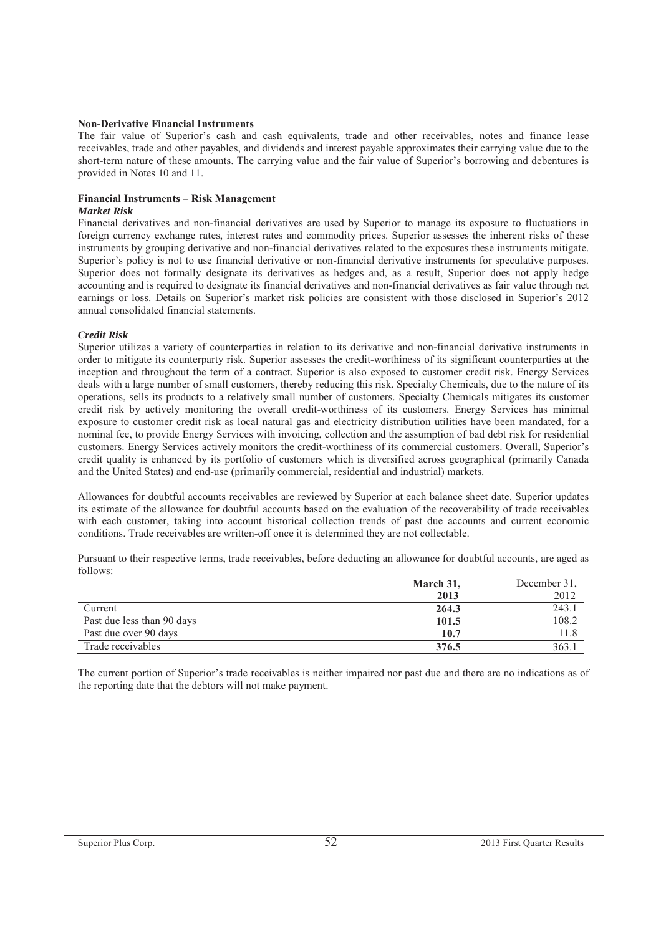#### **Non-Derivative Financial Instruments**

The fair value of Superior's cash and cash equivalents, trade and other receivables, notes and finance lease receivables, trade and other payables, and dividends and interest payable approximates their carrying value due to the short-term nature of these amounts. The carrying value and the fair value of Superior's borrowing and debentures is provided in Notes 10 and 11.

#### **Financial Instruments – Risk Management**

#### *Market Risk*

Financial derivatives and non-financial derivatives are used by Superior to manage its exposure to fluctuations in foreign currency exchange rates, interest rates and commodity prices. Superior assesses the inherent risks of these instruments by grouping derivative and non-financial derivatives related to the exposures these instruments mitigate. Superior's policy is not to use financial derivative or non-financial derivative instruments for speculative purposes. Superior does not formally designate its derivatives as hedges and, as a result, Superior does not apply hedge accounting and is required to designate its financial derivatives and non-financial derivatives as fair value through net earnings or loss. Details on Superior's market risk policies are consistent with those disclosed in Superior's 2012 annual consolidated financial statements.

#### *Credit Risk*

Superior utilizes a variety of counterparties in relation to its derivative and non-financial derivative instruments in order to mitigate its counterparty risk. Superior assesses the credit-worthiness of its significant counterparties at the inception and throughout the term of a contract. Superior is also exposed to customer credit risk. Energy Services deals with a large number of small customers, thereby reducing this risk. Specialty Chemicals, due to the nature of its operations, sells its products to a relatively small number of customers. Specialty Chemicals mitigates its customer credit risk by actively monitoring the overall credit-worthiness of its customers. Energy Services has minimal exposure to customer credit risk as local natural gas and electricity distribution utilities have been mandated, for a nominal fee, to provide Energy Services with invoicing, collection and the assumption of bad debt risk for residential customers. Energy Services actively monitors the credit-worthiness of its commercial customers. Overall, Superior's credit quality is enhanced by its portfolio of customers which is diversified across geographical (primarily Canada and the United States) and end-use (primarily commercial, residential and industrial) markets.

Allowances for doubtful accounts receivables are reviewed by Superior at each balance sheet date. Superior updates its estimate of the allowance for doubtful accounts based on the evaluation of the recoverability of trade receivables with each customer, taking into account historical collection trends of past due accounts and current economic conditions. Trade receivables are written-off once it is determined they are not collectable.

Pursuant to their respective terms, trade receivables, before deducting an allowance for doubtful accounts, are aged as follows:

|                            | March 31, | December 31, |
|----------------------------|-----------|--------------|
|                            | 2013      | 2012         |
| Current                    | 264.3     | 243.1        |
| Past due less than 90 days | 101.5     | 108.2        |
| Past due over 90 days      | 10.7      | 11.8         |
| Trade receivables          | 376.5     | 363.1        |

The current portion of Superior's trade receivables is neither impaired nor past due and there are no indications as of the reporting date that the debtors will not make payment.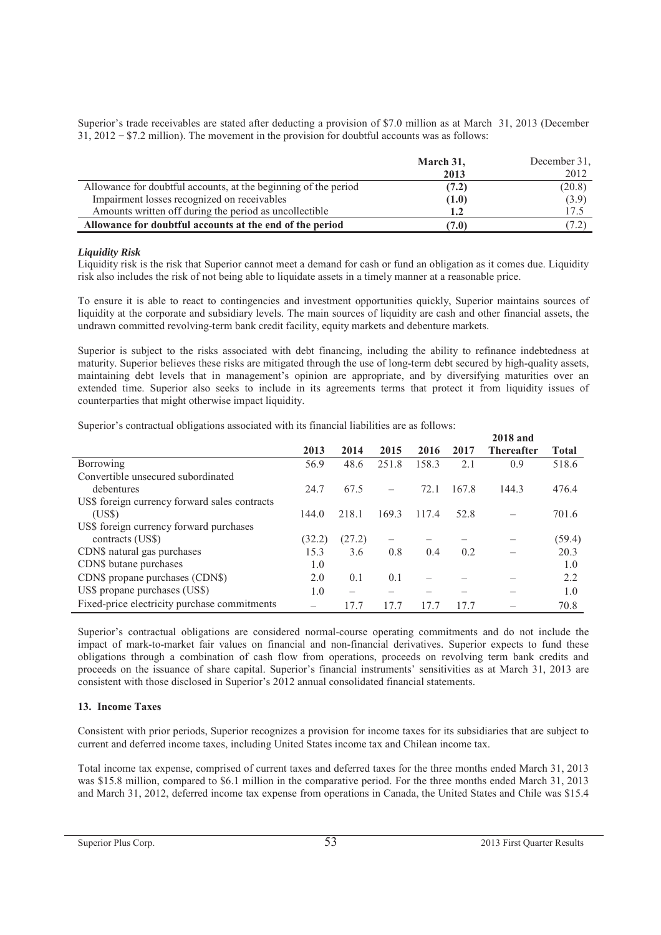Superior's trade receivables are stated after deducting a provision of \$7.0 million as at March 31, 2013 (December 31, 2012 − \$7.2 million). The movement in the provision for doubtful accounts was as follows:

|                                                                 | March 31, | December 31, |
|-----------------------------------------------------------------|-----------|--------------|
|                                                                 | 2013      | 2012         |
| Allowance for doubtful accounts, at the beginning of the period | (7.2)     | (20.8)       |
| Impairment losses recognized on receivables                     | (1.0)     | (3.9)        |
| Amounts written off during the period as uncollectible          | 1.2       |              |
| Allowance for doubtful accounts at the end of the period        | (7.0)     |              |

#### *Liquidity Risk*

Liquidity risk is the risk that Superior cannot meet a demand for cash or fund an obligation as it comes due. Liquidity risk also includes the risk of not being able to liquidate assets in a timely manner at a reasonable price.

To ensure it is able to react to contingencies and investment opportunities quickly, Superior maintains sources of liquidity at the corporate and subsidiary levels. The main sources of liquidity are cash and other financial assets, the undrawn committed revolving-term bank credit facility, equity markets and debenture markets.

Superior is subject to the risks associated with debt financing, including the ability to refinance indebtedness at maturity. Superior believes these risks are mitigated through the use of long-term debt secured by high-quality assets, maintaining debt levels that in management's opinion are appropriate, and by diversifying maturities over an extended time. Superior also seeks to include in its agreements terms that protect it from liquidity issues of counterparties that might otherwise impact liquidity.

Superior's contractual obligations associated with its financial liabilities are as follows:

|                                               |        |                          |       |       |       | 2018 and          |        |
|-----------------------------------------------|--------|--------------------------|-------|-------|-------|-------------------|--------|
|                                               | 2013   | 2014                     | 2015  | 2016  | 2017  | <b>Thereafter</b> | Total  |
| Borrowing                                     | 56.9   | 48.6                     | 251.8 | 158.3 | 2.1   | 0.9               | 518.6  |
| Convertible unsecured subordinated            |        |                          |       |       |       |                   |        |
| debentures                                    | 24.7   | 67.5                     |       | 72.1  | 167.8 | 144.3             | 476.4  |
| US\$ foreign currency forward sales contracts |        |                          |       |       |       |                   |        |
| (US\$)                                        | 144.0  | 218.1                    | 169.3 | 117.4 | 52.8  |                   | 701.6  |
| US\$ foreign currency forward purchases       |        |                          |       |       |       |                   |        |
| contracts (US\$)                              | (32.2) | (27.2)                   | -     |       |       |                   | (59.4) |
| CDN\$ natural gas purchases                   | 15.3   | 3.6                      | 0.8   | 0.4   | 0.2   |                   | 20.3   |
| CDN\$ butane purchases                        | 1.0    |                          |       |       |       |                   | 1.0    |
| CDN\$ propane purchases (CDN\$)               | 2.0    | 0.1                      | 0.1   |       |       |                   | 2.2    |
| US\$ propane purchases (US\$)                 | 1.0    | $\overline{\phantom{a}}$ |       |       |       |                   | 1.0    |
| Fixed-price electricity purchase commitments  |        | 17.7                     | 17.7  | 17.7  | 17.7  |                   | 70.8   |

Superior's contractual obligations are considered normal-course operating commitments and do not include the impact of mark-to-market fair values on financial and non-financial derivatives. Superior expects to fund these obligations through a combination of cash flow from operations, proceeds on revolving term bank credits and proceeds on the issuance of share capital. Superior's financial instruments' sensitivities as at March 31, 2013 are consistent with those disclosed in Superior's 2012 annual consolidated financial statements.

#### **13. Income Taxes**

Consistent with prior periods, Superior recognizes a provision for income taxes for its subsidiaries that are subject to current and deferred income taxes, including United States income tax and Chilean income tax.

Total income tax expense, comprised of current taxes and deferred taxes for the three months ended March 31, 2013 was \$15.8 million, compared to \$6.1 million in the comparative period. For the three months ended March 31, 2013 and March 31, 2012, deferred income tax expense from operations in Canada, the United States and Chile was \$15.4

**2018 and**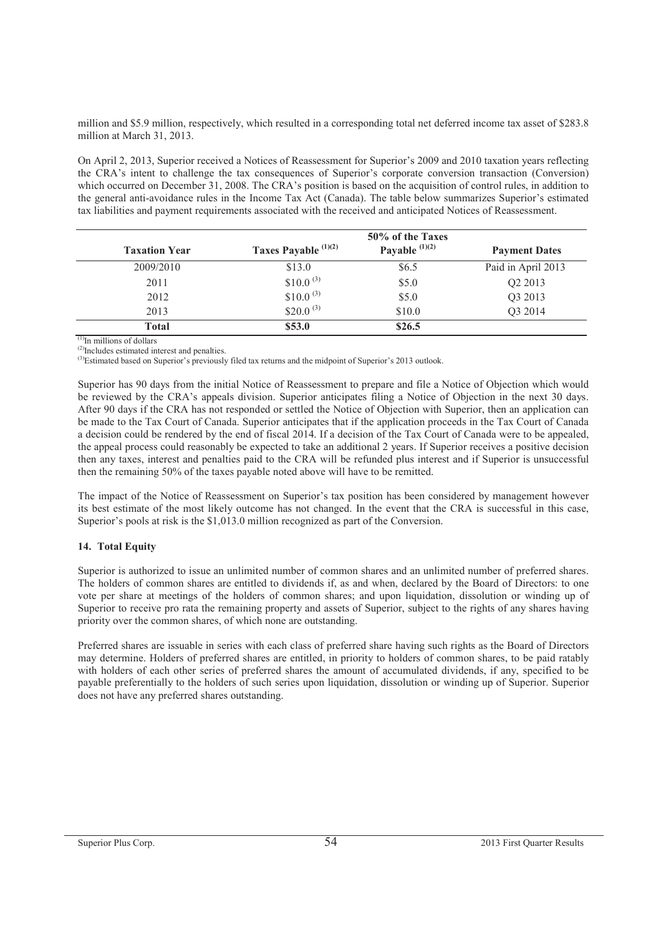million and \$5.9 million, respectively, which resulted in a corresponding total net deferred income tax asset of \$283.8 million at March 31, 2013.

On April 2, 2013, Superior received a Notices of Reassessment for Superior's 2009 and 2010 taxation years reflecting the CRA's intent to challenge the tax consequences of Superior's corporate conversion transaction (Conversion) which occurred on December 31, 2008. The CRA's position is based on the acquisition of control rules, in addition to the general anti-avoidance rules in the Income Tax Act (Canada). The table below summarizes Superior's estimated tax liabilities and payment requirements associated with the received and anticipated Notices of Reassessment.

|                      |                        | 50% of the Taxes |                      |
|----------------------|------------------------|------------------|----------------------|
| <b>Taxation Year</b> | Taxes Payable $(1)(2)$ | Payable $(1)(2)$ | <b>Payment Dates</b> |
| 2009/2010            | \$13.0                 | \$6.5            | Paid in April 2013   |
| 2011                 | $$10.0^{(3)}$          | \$5.0            | Q <sub>2</sub> 2013  |
| 2012                 | \$10.0 <sup>(3)</sup>  | \$5.0            | Q3 2013              |
| 2013                 | \$20.0 $^{(3)}$        | \$10.0           | Q3 2014              |
| Total                | \$53.0                 | \$26.5           |                      |

(1)In millions of dollars (2)<br>Includes estimated interest and penalties. (3)<br>Estimated based on Superior's previously filed tax returns and the midpoint of Superior's 2013 outlook.

Superior has 90 days from the initial Notice of Reassessment to prepare and file a Notice of Objection which would be reviewed by the CRA's appeals division. Superior anticipates filing a Notice of Objection in the next 30 days. After 90 days if the CRA has not responded or settled the Notice of Objection with Superior, then an application can be made to the Tax Court of Canada. Superior anticipates that if the application proceeds in the Tax Court of Canada a decision could be rendered by the end of fiscal 2014. If a decision of the Tax Court of Canada were to be appealed, the appeal process could reasonably be expected to take an additional 2 years. If Superior receives a positive decision then any taxes, interest and penalties paid to the CRA will be refunded plus interest and if Superior is unsuccessful then the remaining 50% of the taxes payable noted above will have to be remitted.

The impact of the Notice of Reassessment on Superior's tax position has been considered by management however its best estimate of the most likely outcome has not changed. In the event that the CRA is successful in this case, Superior's pools at risk is the \$1,013.0 million recognized as part of the Conversion.

### **14. Total Equity**

Superior is authorized to issue an unlimited number of common shares and an unlimited number of preferred shares. The holders of common shares are entitled to dividends if, as and when, declared by the Board of Directors: to one vote per share at meetings of the holders of common shares; and upon liquidation, dissolution or winding up of Superior to receive pro rata the remaining property and assets of Superior, subject to the rights of any shares having priority over the common shares, of which none are outstanding.

Preferred shares are issuable in series with each class of preferred share having such rights as the Board of Directors may determine. Holders of preferred shares are entitled, in priority to holders of common shares, to be paid ratably with holders of each other series of preferred shares the amount of accumulated dividends, if any, specified to be payable preferentially to the holders of such series upon liquidation, dissolution or winding up of Superior. Superior does not have any preferred shares outstanding.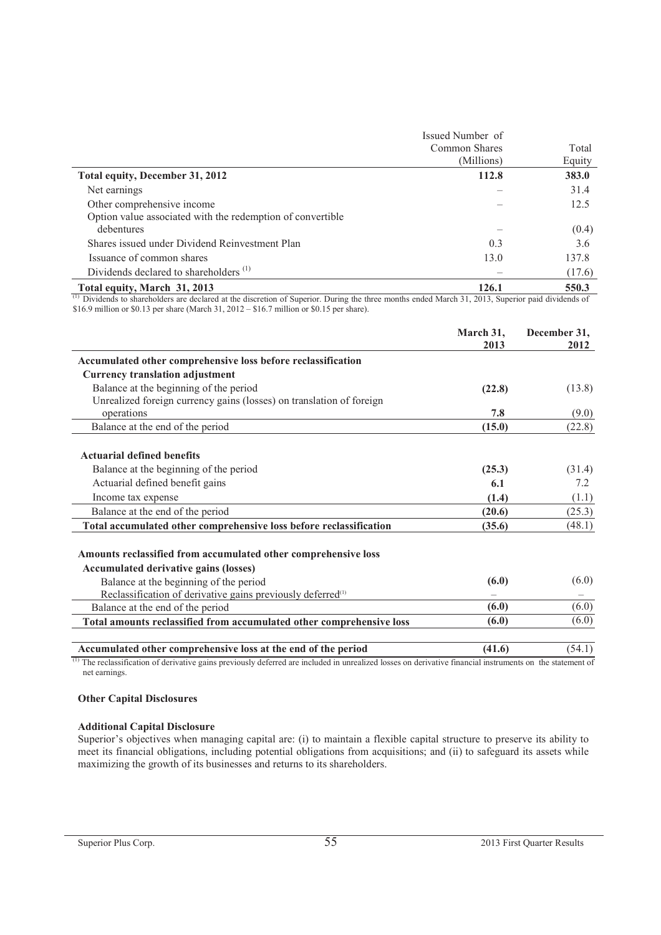|                                                            | Issued Number of |        |
|------------------------------------------------------------|------------------|--------|
|                                                            | Common Shares    | Total  |
|                                                            | (Millions)       | Equity |
| Total equity, December 31, 2012                            | 112.8            | 383.0  |
| Net earnings                                               |                  | 31.4   |
| Other comprehensive income                                 |                  | 12.5   |
| Option value associated with the redemption of convertible |                  |        |
| debentures                                                 |                  | (0.4)  |
| Shares issued under Dividend Reinvestment Plan             | 0.3              | 3.6    |
| Issuance of common shares                                  | 13.0             | 137.8  |
| Dividends declared to shareholders <sup>(1)</sup>          |                  | (17.6) |
| Total equity, March 31, 2013                               | 126.1            | 550.3  |

 $<sup>(1)</sup>$  Dividends to shareholders are declared at the discretion of Superior. During the three months ended March 31, 2013, Superior paid dividends of</sup> \$16.9 million or \$0.13 per share (March 31, 2012 – \$16.7 million or \$0.15 per share).

|                                                                         | March 31,<br>2013 | December 31,<br>2012 |
|-------------------------------------------------------------------------|-------------------|----------------------|
| Accumulated other comprehensive loss before reclassification            |                   |                      |
| <b>Currency translation adjustment</b>                                  |                   |                      |
| Balance at the beginning of the period                                  | (22.8)            | (13.8)               |
| Unrealized foreign currency gains (losses) on translation of foreign    |                   |                      |
| operations                                                              | 7.8               | (9.0)                |
| Balance at the end of the period                                        | (15.0)            | (22.8)               |
| <b>Actuarial defined benefits</b>                                       |                   |                      |
| Balance at the beginning of the period                                  | (25.3)            | (31.4)               |
| Actuarial defined benefit gains                                         | 6.1               | 7.2                  |
| Income tax expense                                                      | (1.4)             | (1.1)                |
| Balance at the end of the period                                        | (20.6)            | (25.3)               |
| Total accumulated other comprehensive loss before reclassification      | (35.6)            | (48.1)               |
| Amounts reclassified from accumulated other comprehensive loss          |                   |                      |
| <b>Accumulated derivative gains (losses)</b>                            |                   |                      |
| Balance at the beginning of the period                                  | (6.0)             | (6.0)                |
| Reclassification of derivative gains previously deferred <sup>(1)</sup> |                   |                      |
| Balance at the end of the period                                        | (6.0)             | (6.0)                |
| Total amounts reclassified from accumulated other comprehensive loss    | (6.0)             | (6.0)                |
| Accumulated other comprehensive loss at the end of the period           | (41.6)            | (54.1)               |

(1) The reclassification of derivative gains previously deferred are included in unrealized losses on derivative financial instruments on the statement of net earnings.

### **Other Capital Disclosures**

### **Additional Capital Disclosure**

Superior's objectives when managing capital are: (i) to maintain a flexible capital structure to preserve its ability to meet its financial obligations, including potential obligations from acquisitions; and (ii) to safeguard its assets while maximizing the growth of its businesses and returns to its shareholders.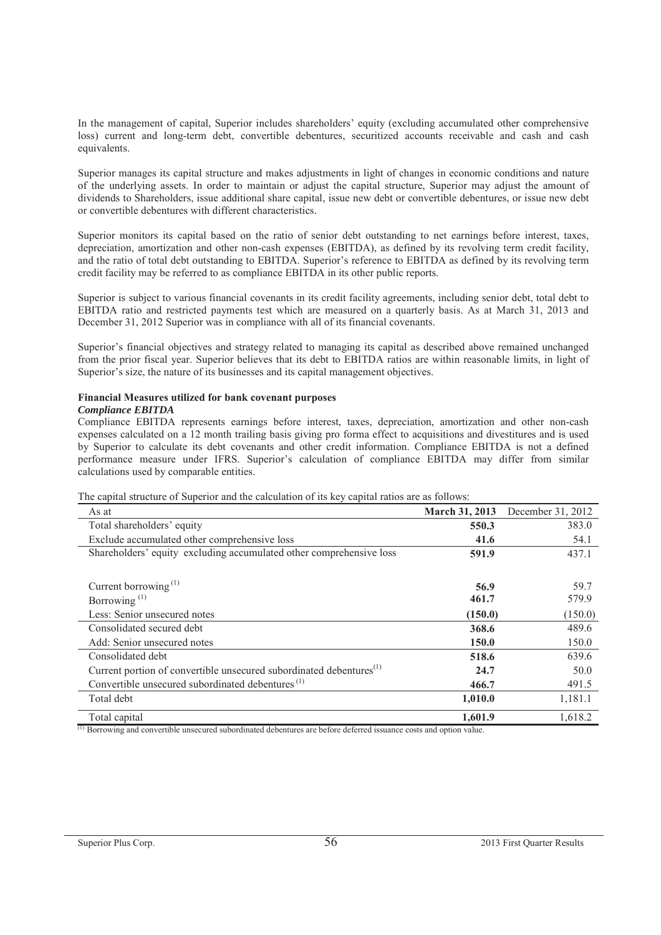In the management of capital, Superior includes shareholders' equity (excluding accumulated other comprehensive loss) current and long-term debt, convertible debentures, securitized accounts receivable and cash and cash equivalents.

Superior manages its capital structure and makes adjustments in light of changes in economic conditions and nature of the underlying assets. In order to maintain or adjust the capital structure, Superior may adjust the amount of dividends to Shareholders, issue additional share capital, issue new debt or convertible debentures, or issue new debt or convertible debentures with different characteristics.

Superior monitors its capital based on the ratio of senior debt outstanding to net earnings before interest, taxes, depreciation, amortization and other non-cash expenses (EBITDA), as defined by its revolving term credit facility, and the ratio of total debt outstanding to EBITDA. Superior's reference to EBITDA as defined by its revolving term credit facility may be referred to as compliance EBITDA in its other public reports.

Superior is subject to various financial covenants in its credit facility agreements, including senior debt, total debt to EBITDA ratio and restricted payments test which are measured on a quarterly basis. As at March 31, 2013 and December 31, 2012 Superior was in compliance with all of its financial covenants.

Superior's financial objectives and strategy related to managing its capital as described above remained unchanged from the prior fiscal year. Superior believes that its debt to EBITDA ratios are within reasonable limits, in light of Superior's size, the nature of its businesses and its capital management objectives.

### **Financial Measures utilized for bank covenant purposes**

#### *Compliance EBITDA*

Compliance EBITDA represents earnings before interest, taxes, depreciation, amortization and other non-cash expenses calculated on a 12 month trailing basis giving pro forma effect to acquisitions and divestitures and is used by Superior to calculate its debt covenants and other credit information. Compliance EBITDA is not a defined performance measure under IFRS. Superior's calculation of compliance EBITDA may differ from similar calculations used by comparable entities.

| As at                                                                           | <b>March 31, 2013</b> | December 31, 2012 |
|---------------------------------------------------------------------------------|-----------------------|-------------------|
| Total shareholders' equity                                                      | 550.3                 | 383.0             |
| Exclude accumulated other comprehensive loss                                    | 41.6                  | 54.1              |
| Shareholders' equity excluding accumulated other comprehensive loss             | 591.9                 | 437.1             |
|                                                                                 |                       |                   |
| Current borrowing $^{(1)}$                                                      | 56.9                  | 59.7              |
| Borrowing <sup>(1)</sup>                                                        | 461.7                 | 579.9             |
| Less: Senior unsecured notes                                                    | (150.0)               | (150.0)           |
| Consolidated secured debt                                                       | 368.6                 | 489.6             |
| Add: Senior unsecured notes                                                     | 150.0                 | 150.0             |
| Consolidated debt                                                               | 518.6                 | 639.6             |
| Current portion of convertible unsecured subordinated debentures <sup>(1)</sup> | 24.7                  | 50.0              |
| Convertible unsecured subordinated debentures <sup>(1)</sup>                    | 466.7                 | 491.5             |
| Total debt                                                                      | 1,010.0               | 1,181.1           |
| Total capital                                                                   | 1,601.9               | 1,618.2           |

The capital structure of Superior and the calculation of its key capital ratios are as follows:

<sup>(1)</sup> Borrowing and convertible unsecured subordinated debentures are before deferred issuance costs and option value.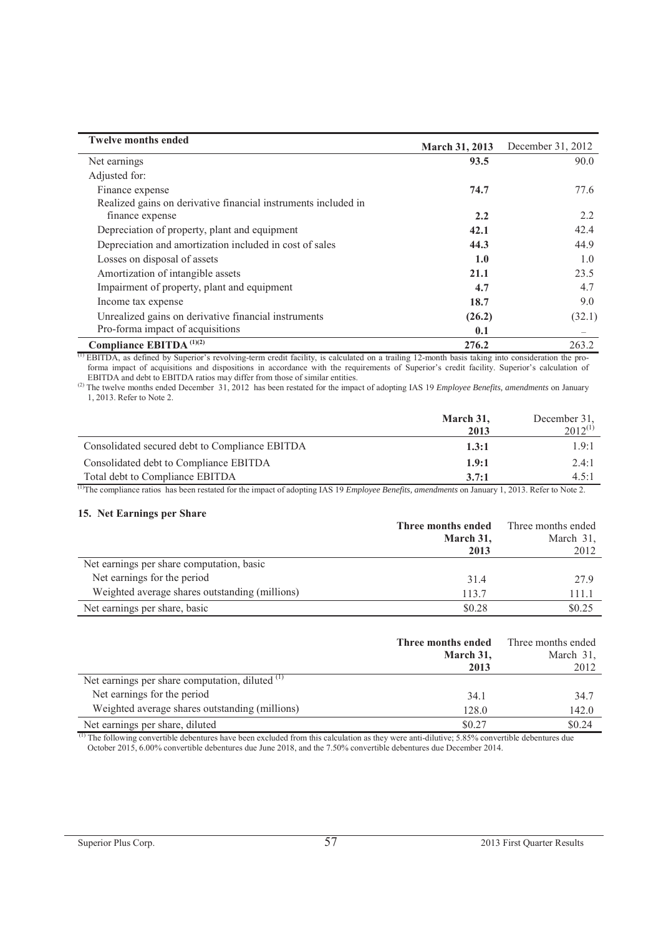| <b>Twelve months ended</b>                                     | <b>March 31, 2013</b> | December 31, 2012 |
|----------------------------------------------------------------|-----------------------|-------------------|
| Net earnings                                                   | 93.5                  | 90.0              |
| Adjusted for:                                                  |                       |                   |
| Finance expense                                                | 74.7                  | 77.6              |
| Realized gains on derivative financial instruments included in |                       |                   |
| finance expense                                                | 2.2                   | 2.2               |
| Depreciation of property, plant and equipment                  | 42.1                  | 42.4              |
| Depreciation and amortization included in cost of sales        | 44.3                  | 44.9              |
| Losses on disposal of assets                                   | 1.0                   | 1.0               |
| Amortization of intangible assets                              | 21.1                  | 23.5              |
| Impairment of property, plant and equipment                    | 4.7                   | 4.7               |
| Income tax expense                                             | 18.7                  | 9.0               |
| Unrealized gains on derivative financial instruments           | (26.2)                | (32.1)            |
| Pro-forma impact of acquisitions                               | 0.1                   |                   |
| <b>Compliance EBITDA</b> (1)(2)                                | 276.2                 | 263.2             |

<sup>(1)</sup> EBITDA, as defined by Superior's revolving-term credit facility, is calculated on a trailing 12-month basis taking into consideration the proforma impact of acquisitions and dispositions in accordance with the requirements of Superior's credit facility. Superior's calculation of EBITDA and debt to EBITDA ratios may differ from those of similar entities.

EBITDA and debt to EBITDA ratios may differ from those of similar entities. (2) The twelve months ended December 31, 2012 has been restated for the impact of adopting IAS 19 *Employee Benefits, amendments* on January 1, 2013. Refer to Note 2.

|                                                | March 31, | December 31, |
|------------------------------------------------|-----------|--------------|
|                                                | 2013      | $2012^{(1)}$ |
| Consolidated secured debt to Compliance EBITDA | 1.3:1     | 1.9:1        |
| Consolidated debt to Compliance EBITDA         | 1.9:1     | 2.4:1        |
| Total debt to Compliance EBITDA                | 3.7:1     | 4.5:1        |

<sup>(1)</sup>The compliance ratios has been restated for the impact of adopting IAS 19 *Employee Benefits, amendments* on January 1, 2013. Refer to Note 2.

#### **15. Net Earnings per Share**

|                                                | Three months ended | Three months ended |
|------------------------------------------------|--------------------|--------------------|
|                                                | March 31,          | March 31,          |
|                                                | 2013               | 2012               |
| Net earnings per share computation, basic      |                    |                    |
| Net earnings for the period                    | 31.4               | 27.9               |
| Weighted average shares outstanding (millions) | 113.7              | l 11.1             |
| Net earnings per share, basic                  | \$0.28             | \$0.25             |

|                                                   | Three months ended<br>March 31, | Three months ended<br>March 31, |
|---------------------------------------------------|---------------------------------|---------------------------------|
|                                                   | 2013                            | 2012                            |
| Net earnings per share computation, diluted $(1)$ |                                 |                                 |
| Net earnings for the period                       | 34.1                            | 34.7                            |
| Weighted average shares outstanding (millions)    | 128.0                           | 142.0                           |
| Net earnings per share, diluted                   | \$0.27                          | \$0.24                          |

 $\frac{(1)}{(1)}$  The following convertible debentures have been excluded from this calculation as they were anti-dilutive; 5.85% convertible debentures due October 2015, 6.00% convertible debentures due June 2018, and the 7.50% convertible debentures due December 2014.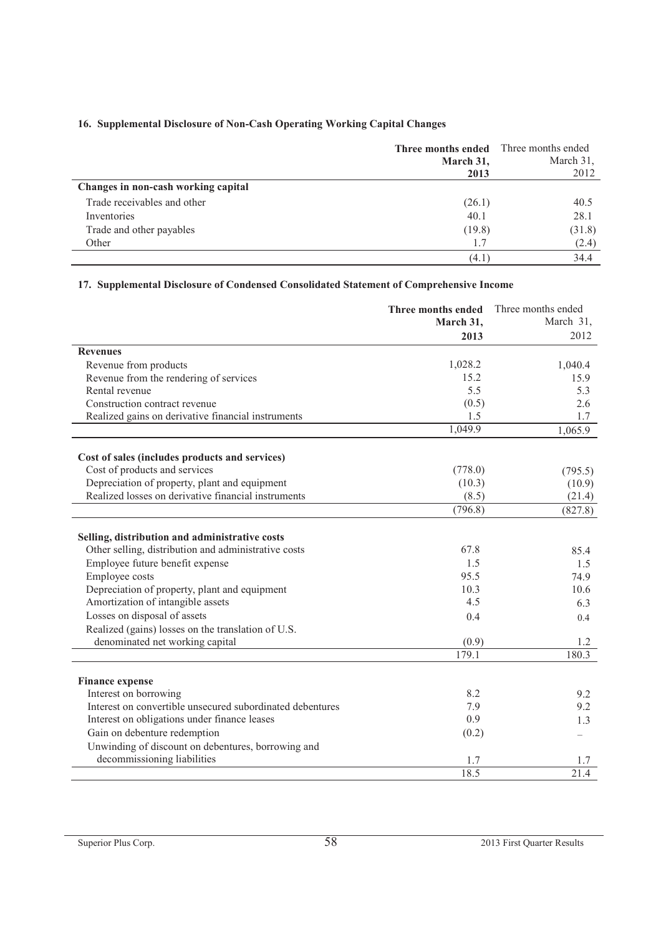## **16. Supplemental Disclosure of Non-Cash Operating Working Capital Changes**

|                                     | Three months ended Three months ended<br>March 31,<br>2013 | March 31,<br>2012 |
|-------------------------------------|------------------------------------------------------------|-------------------|
| Changes in non-cash working capital |                                                            |                   |
| Trade receivables and other         | (26.1)                                                     | 40.5              |
| Inventories                         | 40.1                                                       | 28.1              |
| Trade and other payables            | (19.8)                                                     | (31.8)            |
| Other                               | 1.7                                                        | (2.4)             |
|                                     | (4.1)                                                      | 34.4              |

## **17. Supplemental Disclosure of Condensed Consolidated Statement of Comprehensive Income**

|                                                           | Three months ended | Three months ended |
|-----------------------------------------------------------|--------------------|--------------------|
|                                                           | March 31,          | March 31,          |
|                                                           | 2013               | 2012               |
| <b>Revenues</b>                                           |                    |                    |
| Revenue from products                                     | 1,028.2            | 1,040.4            |
| Revenue from the rendering of services                    | 15.2               | 15.9               |
| Rental revenue                                            | 5.5                | 5.3                |
| Construction contract revenue                             | (0.5)              | 2.6                |
| Realized gains on derivative financial instruments        | 1.5                | 1.7                |
|                                                           | 1,049.9            | 1,065.9            |
| Cost of sales (includes products and services)            |                    |                    |
| Cost of products and services                             | (778.0)            | (795.5)            |
| Depreciation of property, plant and equipment             | (10.3)             | (10.9)             |
| Realized losses on derivative financial instruments       | (8.5)              | (21.4)             |
|                                                           | (796.8)            | (827.8)            |
|                                                           |                    |                    |
| Selling, distribution and administrative costs            |                    |                    |
| Other selling, distribution and administrative costs      | 67.8               | 85.4               |
| Employee future benefit expense                           | 1.5                | 1.5                |
| Employee costs                                            | 95.5               | 74.9               |
| Depreciation of property, plant and equipment             | 10.3               | 10.6               |
| Amortization of intangible assets                         | 4.5                | 6.3                |
| Losses on disposal of assets                              | 0.4                | 0.4                |
| Realized (gains) losses on the translation of U.S.        |                    |                    |
| denominated net working capital                           | (0.9)              | 1.2                |
|                                                           | 179.1              | 180.3              |
|                                                           |                    |                    |
| <b>Finance expense</b><br>Interest on borrowing           | 8.2                | 9.2                |
| Interest on convertible unsecured subordinated debentures | 7.9                | 9.2                |
|                                                           | 0.9                |                    |
| Interest on obligations under finance leases              |                    | 1.3                |
| Gain on debenture redemption                              | (0.2)              |                    |
| Unwinding of discount on debentures, borrowing and        |                    |                    |
| decommissioning liabilities                               | 1.7                | 1.7                |
|                                                           | 18.5               | 21.4               |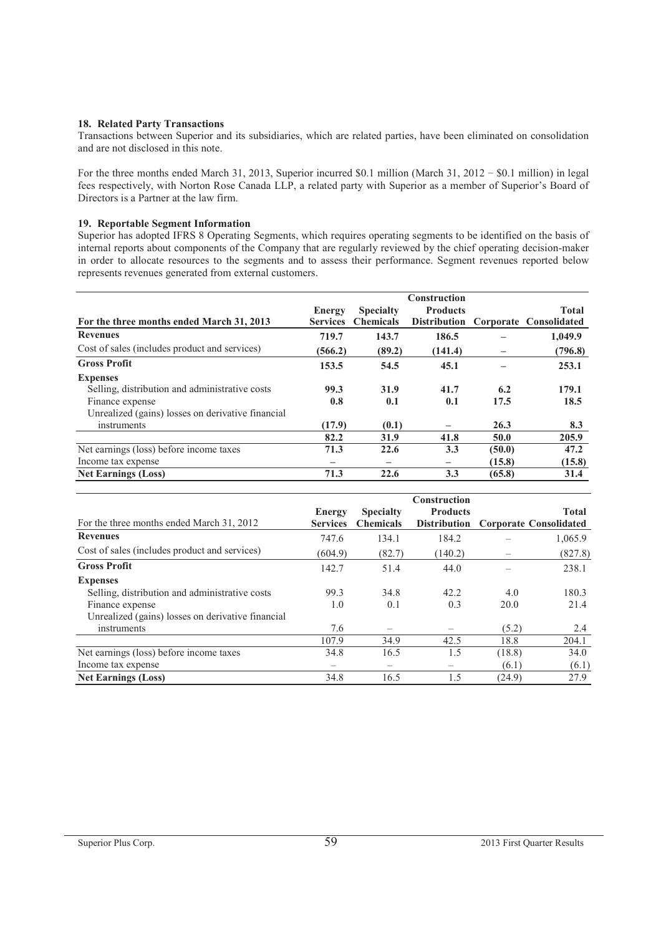#### **18. Related Party Transactions**

Transactions between Superior and its subsidiaries, which are related parties, have been eliminated on consolidation and are not disclosed in this note.

For the three months ended March 31, 2013, Superior incurred \$0.1 million (March 31, 2012 − \$0.1 million) in legal fees respectively, with Norton Rose Canada LLP, a related party with Superior as a member of Superior's Board of Directors is a Partner at the law firm.

#### **19. Reportable Segment Information**

Superior has adopted IFRS 8 Operating Segments, which requires operating segments to be identified on the basis of internal reports about components of the Company that are regularly reviewed by the chief operating decision-maker in order to allocate resources to the segments and to assess their performance. Segment revenues reported below represents revenues generated from external customers.

|                                                   |                 |                  | <b>Construction</b> |        |                        |
|---------------------------------------------------|-----------------|------------------|---------------------|--------|------------------------|
|                                                   | Energy          | <b>Specialty</b> | <b>Products</b>     |        | <b>Total</b>           |
| For the three months ended March 31, 2013         | <b>Services</b> | <b>Chemicals</b> | <b>Distribution</b> |        | Corporate Consolidated |
| <b>Revenues</b>                                   | 719.7           | 143.7            | 186.5               |        | 1,049.9                |
| Cost of sales (includes product and services)     | (566.2)         | (89.2)           | (141.4)             |        | (796.8)                |
| <b>Gross Profit</b>                               | 153.5           | 54.5             | 45.1                |        | 253.1                  |
| <b>Expenses</b>                                   |                 |                  |                     |        |                        |
| Selling, distribution and administrative costs    | 99.3            | 31.9             | 41.7                | 6.2    | 179.1                  |
| Finance expense                                   | 0.8             | 0.1              | 0.1                 | 17.5   | 18.5                   |
| Unrealized (gains) losses on derivative financial |                 |                  |                     |        |                        |
| instruments                                       | (17.9)          | (0.1)            |                     | 26.3   | 8.3                    |
|                                                   | 82.2            | 31.9             | 41.8                | 50.0   | 205.9                  |
| Net earnings (loss) before income taxes           | 71.3            | 22.6             | 3.3                 | (50.0) | 47.2                   |
| Income tax expense                                |                 |                  | $\qquad \qquad -$   | (15.8) | (15.8)                 |
| <b>Net Earnings (Loss)</b>                        | 71.3            | 22.6             | 3.3                 | (65.8) | 31.4                   |

| For the three months ended March 31, 2012         | Energy<br><b>Services</b> | <b>Specialty</b><br><b>Chemicals</b> | <b>Construction</b><br><b>Products</b><br><b>Distribution</b> |        | <b>Total</b><br><b>Corporate Consolidated</b> |
|---------------------------------------------------|---------------------------|--------------------------------------|---------------------------------------------------------------|--------|-----------------------------------------------|
| <b>Revenues</b>                                   | 747.6                     | 134.1                                | 184.2                                                         |        | 1,065.9                                       |
| Cost of sales (includes product and services)     | (604.9)                   | (82.7)                               | (140.2)                                                       |        | (827.8)                                       |
| <b>Gross Profit</b>                               | 142.7                     | 51.4                                 | 44.0                                                          |        | 238.1                                         |
| <b>Expenses</b>                                   |                           |                                      |                                                               |        |                                               |
| Selling, distribution and administrative costs    | 99.3                      | 34.8                                 | 42.2                                                          | 4.0    | 180.3                                         |
| Finance expense                                   | 1.0                       | 0.1                                  | 0.3                                                           | 20.0   | 21.4                                          |
| Unrealized (gains) losses on derivative financial |                           |                                      |                                                               |        |                                               |
| instruments                                       | 7.6                       |                                      |                                                               | (5.2)  | 2.4                                           |
|                                                   | 107.9                     | 34.9                                 | 42.5                                                          | 18.8   | 204.1                                         |
| Net earnings (loss) before income taxes           | 34.8                      | 16.5                                 | 1.5                                                           | (18.8) | 34.0                                          |
| Income tax expense                                | $\hspace{0.05cm}$         | $\qquad \qquad$                      |                                                               | (6.1)  | (6.1)                                         |
| <b>Net Earnings (Loss)</b>                        | 34.8                      | 16.5                                 | 1.5                                                           | (24.9) | 27.9                                          |